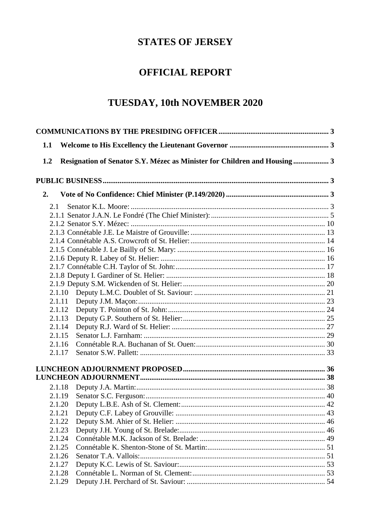# **STATES OF JERSEY**

## **OFFICIAL REPORT**

# TUESDAY, 10th NOVEMBER 2020

| 1.1 |        |                                                                          |  |
|-----|--------|--------------------------------------------------------------------------|--|
| 1.2 |        | Resignation of Senator S.Y. Mézec as Minister for Children and Housing 3 |  |
|     |        |                                                                          |  |
| 2.  |        |                                                                          |  |
|     | 2.1    |                                                                          |  |
|     |        |                                                                          |  |
|     |        |                                                                          |  |
|     |        |                                                                          |  |
|     |        |                                                                          |  |
|     |        |                                                                          |  |
|     |        |                                                                          |  |
|     |        |                                                                          |  |
|     |        |                                                                          |  |
|     |        |                                                                          |  |
|     | 2.1.10 |                                                                          |  |
|     | 2.1.11 |                                                                          |  |
|     | 2.1.12 |                                                                          |  |
|     | 2.1.13 |                                                                          |  |
|     | 2.1.14 |                                                                          |  |
|     | 2.1.15 |                                                                          |  |
|     | 2.1.16 |                                                                          |  |
|     | 2.1.17 |                                                                          |  |
|     |        |                                                                          |  |
|     |        |                                                                          |  |
|     | 2.1.18 |                                                                          |  |
|     | 2.1.19 |                                                                          |  |
|     |        |                                                                          |  |
|     | 2.1.21 |                                                                          |  |
|     | 2.1.22 |                                                                          |  |
|     | 2.1.23 |                                                                          |  |
|     | 2.1.24 |                                                                          |  |
|     | 2.1.25 |                                                                          |  |
|     | 2.1.26 |                                                                          |  |
|     | 2.1.27 |                                                                          |  |
|     | 2.1.28 |                                                                          |  |
|     | 2.1.29 |                                                                          |  |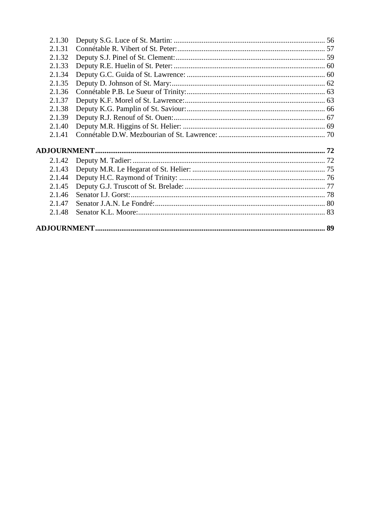| 2.1.48 |  |  |  |
|--------|--|--|--|
| 2.1.47 |  |  |  |
| 2.1.46 |  |  |  |
| 2.1.45 |  |  |  |
| 2.1.44 |  |  |  |
| 2.1.43 |  |  |  |
| 2.1.42 |  |  |  |
|        |  |  |  |
| 2.1.41 |  |  |  |
| 2.1.40 |  |  |  |
| 2.1.39 |  |  |  |
| 2.1.38 |  |  |  |
| 2.1.37 |  |  |  |
| 2.1.36 |  |  |  |
| 2.1.35 |  |  |  |
| 2.1.34 |  |  |  |
| 2.1.33 |  |  |  |
| 2.1.32 |  |  |  |
| 2.1.31 |  |  |  |
| 2.1.30 |  |  |  |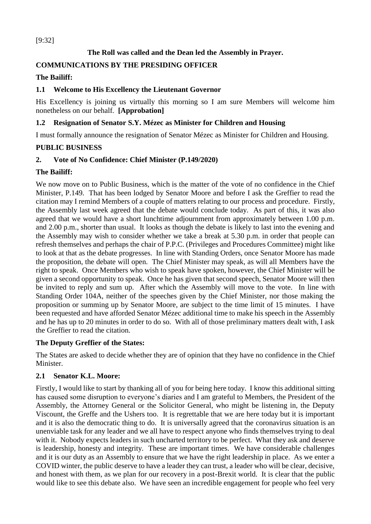## [9:32]

## **The Roll was called and the Dean led the Assembly in Prayer.**

## <span id="page-2-0"></span>**COMMUNICATIONS BY THE PRESIDING OFFICER**

## **The Bailiff:**

## <span id="page-2-1"></span>**1.1 Welcome to His Excellency the Lieutenant Governor**

His Excellency is joining us virtually this morning so I am sure Members will welcome him nonetheless on our behalf. **[Approbation]**

## <span id="page-2-2"></span>**1.2 Resignation of Senator S.Y. Mézec as Minister for Children and Housing**

I must formally announce the resignation of Senator Mézec as Minister for Children and Housing.

## <span id="page-2-3"></span>**PUBLIC BUSINESS**

## <span id="page-2-4"></span>**2. Vote of No Confidence: Chief Minister (P.149/2020)**

## **The Bailiff:**

We now move on to Public Business, which is the matter of the vote of no confidence in the Chief Minister, P.149. That has been lodged by Senator Moore and before I ask the Greffier to read the citation may I remind Members of a couple of matters relating to our process and procedure. Firstly, the Assembly last week agreed that the debate would conclude today. As part of this, it was also agreed that we would have a short lunchtime adjournment from approximately between 1.00 p.m. and 2.00 p.m., shorter than usual. It looks as though the debate is likely to last into the evening and the Assembly may wish to consider whether we take a break at 5.30 p.m. in order that people can refresh themselves and perhaps the chair of P.P.C. (Privileges and Procedures Committee) might like to look at that as the debate progresses. In line with Standing Orders, once Senator Moore has made the proposition, the debate will open. The Chief Minister may speak, as will all Members have the right to speak. Once Members who wish to speak have spoken, however, the Chief Minister will be given a second opportunity to speak. Once he has given that second speech, Senator Moore will then be invited to reply and sum up. After which the Assembly will move to the vote. In line with Standing Order 104A, neither of the speeches given by the Chief Minister, nor those making the proposition or summing up by Senator Moore, are subject to the time limit of 15 minutes. I have been requested and have afforded Senator Mézec additional time to make his speech in the Assembly and he has up to 20 minutes in order to do so. With all of those preliminary matters dealt with, I ask the Greffier to read the citation.

## **The Deputy Greffier of the States:**

The States are asked to decide whether they are of opinion that they have no confidence in the Chief Minister.

## <span id="page-2-5"></span>**2.1 Senator K.L. Moore:**

Firstly, I would like to start by thanking all of you for being here today. I know this additional sitting has caused some disruption to everyone's diaries and I am grateful to Members, the President of the Assembly, the Attorney General or the Solicitor General, who might be listening in, the Deputy Viscount, the Greffe and the Ushers too. It is regrettable that we are here today but it is important and it is also the democratic thing to do. It is universally agreed that the coronavirus situation is an unenviable task for any leader and we all have to respect anyone who finds themselves trying to deal with it. Nobody expects leaders in such uncharted territory to be perfect. What they ask and deserve is leadership, honesty and integrity. These are important times. We have considerable challenges and it is our duty as an Assembly to ensure that we have the right leadership in place. As we enter a COVID winter, the public deserve to have a leader they can trust, a leader who will be clear, decisive, and honest with them, as we plan for our recovery in a post-Brexit world. It is clear that the public would like to see this debate also. We have seen an incredible engagement for people who feel very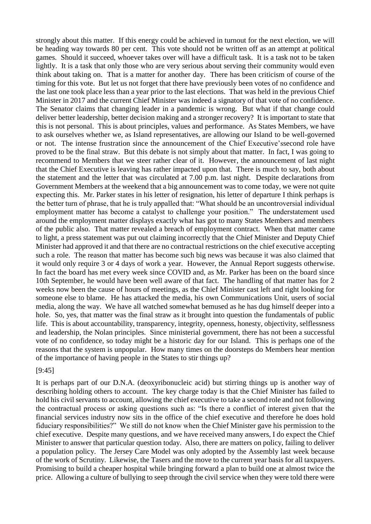strongly about this matter. If this energy could be achieved in turnout for the next election, we will be heading way towards 80 per cent. This vote should not be written off as an attempt at political games. Should it succeed, whoever takes over will have a difficult task. It is a task not to be taken lightly. It is a task that only those who are very serious about serving their community would even think about taking on. That is a matter for another day. There has been criticism of course of the timing for this vote. But let us not forget that there have previously been votes of no confidence and the last one took place less than a year prior to the last elections. That was held in the previous Chief Minister in 2017 and the current Chief Minister was indeed a signatory of that vote of no confidence. The Senator claims that changing leader in a pandemic is wrong. But what if that change could deliver better leadership, better decision making and a stronger recovery? It is important to state that this is not personal. This is about principles, values and performance. As States Members, we have to ask ourselves whether we, as Island representatives, are allowing our Island to be well-governed or not. The intense frustration since the announcement of the Chief Executive'ssecond role have proved to be the final straw. But this debate is not simply about that matter. In fact, I was going to recommend to Members that we steer rather clear of it. However, the announcement of last night that the Chief Executive is leaving has rather impacted upon that. There is much to say, both about the statement and the letter that was circulated at 7.00 p.m. last night. Despite declarations from Government Members at the weekend that a big announcement was to come today, we were not quite expecting this. Mr. Parker states in his letter of resignation, his letter of departure I think perhaps is the better turn of phrase, that he is truly appalled that: "What should be an uncontroversial individual employment matter has become a catalyst to challenge your position." The understatement used around the employment matter displays exactly what has got to many States Members and members of the public also. That matter revealed a breach of employment contract. When that matter came to light, a press statement was put out claiming incorrectly that the Chief Minister and Deputy Chief Minister had approved it and that there are no contractual restrictions on the chief executive accepting such a role. The reason that matter has become such big news was because it was also claimed that it would only require 3 or 4 days of work a year. However, the Annual Report suggests otherwise. In fact the board has met every week since COVID and, as Mr. Parker has been on the board since 10th September, he would have been well aware of that fact. The handling of that matter has for 2 weeks now been the cause of hours of meetings, as the Chief Minister cast left and right looking for someone else to blame. He has attacked the media, his own Communications Unit, users of social media, along the way. We have all watched somewhat bemused as he has dug himself deeper into a hole. So, yes, that matter was the final straw as it brought into question the fundamentals of public life. This is about accountability, transparency, integrity, openness, honesty, objectivity, selflessness and leadership, the Nolan principles. Since ministerial government, there has not been a successful vote of no confidence, so today might be a historic day for our Island. This is perhaps one of the reasons that the system is unpopular. How many times on the doorsteps do Members hear mention of the importance of having people in the States to stir things up?

#### [9:45]

It is perhaps part of our D.N.A. (deoxyribonucleic acid) but stirring things up is another way of describing holding others to account. The key charge today is that the Chief Minister has failed to hold his civil servants to account, allowing the chief executive to take a second role and not following the contractual process or asking questions such as: "Is there a conflict of interest given that the financial services industry now sits in the office of the chief executive and therefore he does hold fiduciary responsibilities?" We still do not know when the Chief Minister gave his permission to the chief executive. Despite many questions, and we have received many answers, I do expect the Chief Minister to answer that particular question today. Also, there are matters on policy, failing to deliver a population policy. The Jersey Care Model was only adopted by the Assembly last week because of the work of Scrutiny. Likewise, the Tasers and the move to the current year basis for all taxpayers. Promising to build a cheaper hospital while bringing forward a plan to build one at almost twice the price. Allowing a culture of bullying to seep through the civil service when they were told there were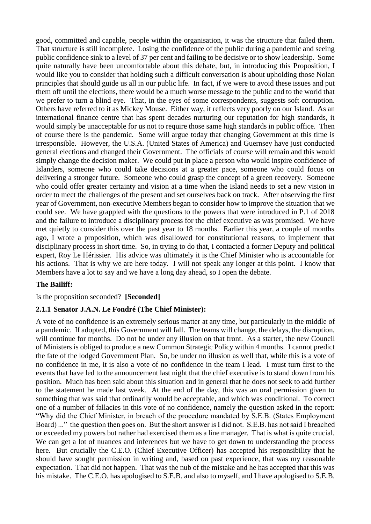good, committed and capable, people within the organisation, it was the structure that failed them. That structure is still incomplete. Losing the confidence of the public during a pandemic and seeing public confidence sink to a level of 37 per cent and failing to be decisive or to show leadership. Some quite naturally have been uncomfortable about this debate, but, in introducing this Proposition, I would like you to consider that holding such a difficult conversation is about upholding those Nolan principles that should guide us all in our public life. In fact, if we were to avoid these issues and put them off until the elections, there would be a much worse message to the public and to the world that we prefer to turn a blind eye. That, in the eyes of some correspondents, suggests soft corruption. Others have referred to it as Mickey Mouse. Either way, it reflects very poorly on our Island. As an international finance centre that has spent decades nurturing our reputation for high standards, it would simply be unacceptable for us not to require those same high standards in public office. Then of course there is the pandemic. Some will argue today that changing Government at this time is irresponsible. However, the U.S.A. (United States of America) and Guernsey have just conducted general elections and changed their Government. The officials of course will remain and this would simply change the decision maker. We could put in place a person who would inspire confidence of Islanders, someone who could take decisions at a greater pace, someone who could focus on delivering a stronger future. Someone who could grasp the concept of a green recovery. Someone who could offer greater certainty and vision at a time when the Island needs to set a new vision in order to meet the challenges of the present and set ourselves back on track. After observing the first year of Government, non-executive Members began to consider how to improve the situation that we could see. We have grappled with the questions to the powers that were introduced in P.1 of 2018 and the failure to introduce a disciplinary process for the chief executive as was promised. We have met quietly to consider this over the past year to 18 months. Earlier this year, a couple of months ago, I wrote a proposition, which was disallowed for constitutional reasons, to implement that disciplinary process in short time. So, in trying to do that, I contacted a former Deputy and political expert, Roy Le Hérissier. His advice was ultimately it is the Chief Minister who is accountable for his actions. That is why we are here today. I will not speak any longer at this point. I know that Members have a lot to say and we have a long day ahead, so I open the debate.

## **The Bailiff:**

Is the proposition seconded? **[Seconded]**

## <span id="page-4-0"></span>**2.1.1 Senator J.A.N. Le Fondré (The Chief Minister):**

A vote of no confidence is an extremely serious matter at any time, but particularly in the middle of a pandemic. If adopted, this Government will fall. The teams will change, the delays, the disruption, will continue for months. Do not be under any illusion on that front. As a starter, the new Council of Ministers is obliged to produce a new Common Strategic Policy within 4 months. I cannot predict the fate of the lodged Government Plan. So, be under no illusion as well that, while this is a vote of no confidence in me, it is also a vote of no confidence in the team I lead. I must turn first to the events that have led to the announcement last night that the chief executive is to stand down from his position. Much has been said about this situation and in general that he does not seek to add further to the statement he made last week. At the end of the day, this was an oral permission given to something that was said that ordinarily would be acceptable, and which was conditional. To correct one of a number of fallacies in this vote of no confidence, namely the question asked in the report: "Why did the Chief Minister, in breach of the procedure mandated by S.E.B. (States Employment Board) ..." the question then goes on. But the short answer is I did not. S.E.B. has not said I breached or exceeded my powers but rather had exercised them as a line manager. That is what is quite crucial. We can get a lot of nuances and inferences but we have to get down to understanding the process here. But crucially the C.E.O. (Chief Executive Officer) has accepted his responsibility that he should have sought permission in writing and, based on past experience, that was my reasonable expectation. That did not happen. That was the nub of the mistake and he has accepted that this was his mistake. The C.E.O. has apologised to S.E.B. and also to myself, and I have apologised to S.E.B.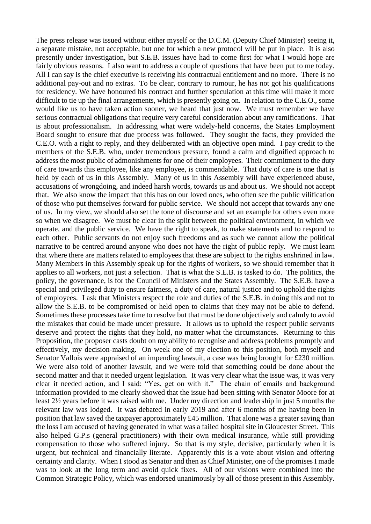The press release was issued without either myself or the D.C.M. (Deputy Chief Minister) seeing it, a separate mistake, not acceptable, but one for which a new protocol will be put in place. It is also presently under investigation, but S.E.B. issues have had to come first for what I would hope are fairly obvious reasons. I also want to address a couple of questions that have been put to me today. All I can say is the chief executive is receiving his contractual entitlement and no more. There is no additional pay-out and no extras. To be clear, contrary to rumour, he has not got his qualifications for residency. We have honoured his contract and further speculation at this time will make it more difficult to tie up the final arrangements, which is presently going on. In relation to the C.E.O., some would like us to have taken action sooner, we heard that just now. We must remember we have serious contractual obligations that require very careful consideration about any ramifications. That is about professionalism. In addressing what were widely-held concerns, the States Employment Board sought to ensure that due process was followed. They sought the facts, they provided the C.E.O. with a right to reply, and they deliberated with an objective open mind. I pay credit to the members of the S.E.B. who, under tremendous pressure, found a calm and dignified approach to address the most public of admonishments for one of their employees. Their commitment to the duty of care towards this employee, like any employee, is commendable. That duty of care is one that is held by each of us in this Assembly. Many of us in this Assembly will have experienced abuse, accusations of wrongdoing, and indeed harsh words, towards us and about us. We should not accept that. We also know the impact that this has on our loved ones, who often see the public vilification of those who put themselves forward for public service. We should not accept that towards any one of us. In my view, we should also set the tone of discourse and set an example for others even more so when we disagree. We must be clear in the split between the political environment, in which we operate, and the public service. We have the right to speak, to make statements and to respond to each other. Public servants do not enjoy such freedoms and as such we cannot allow the political narrative to be centred around anyone who does not have the right of public reply. We must learn that where there are matters related to employees that these are subject to the rights enshrined in law. Many Members in this Assembly speak up for the rights of workers, so we should remember that it applies to all workers, not just a selection. That is what the S.E.B. is tasked to do. The politics, the policy, the governance, is for the Council of Ministers and the States Assembly. The S.E.B. have a special and privileged duty to ensure fairness, a duty of care, natural justice and to uphold the rights of employees. I ask that Ministers respect the role and duties of the S.E.B. in doing this and not to allow the S.E.B. to be compromised or held open to claims that they may not be able to defend. Sometimes these processes take time to resolve but that must be done objectively and calmly to avoid the mistakes that could be made under pressure. It allows us to uphold the respect public servants deserve and protect the rights that they hold, no matter what the circumstances. Returning to this Proposition, the proposer casts doubt on my ability to recognise and address problems promptly and effectively, my decision-making. On week one of my election to this position, both myself and Senator Vallois were appraised of an impending lawsuit, a case was being brought for £230 million. We were also told of another lawsuit, and we were told that something could be done about the second matter and that it needed urgent legislation. It was very clear what the issue was, it was very clear it needed action, and I said: "Yes, get on with it." The chain of emails and background information provided to me clearly showed that the issue had been sitting with Senator Moore for at least 2½ years before it was raised with me. Under my direction and leadership in just 5 months the relevant law was lodged. It was debated in early 2019 and after 6 months of me having been in position that law saved the taxpayer approximately £45 million. That alone was a greater saving than the loss I am accused of having generated in what was a failed hospital site in Gloucester Street. This also helped G.P.s (general practitioners) with their own medical insurance, while still providing compensation to those who suffered injury. So that is my style, decisive, particularly when it is urgent, but technical and financially literate. Apparently this is a vote about vision and offering certainty and clarity. When I stood as Senator and then as Chief Minister, one of the promises I made was to look at the long term and avoid quick fixes. All of our visions were combined into the Common Strategic Policy, which was endorsed unanimously by all of those present in this Assembly.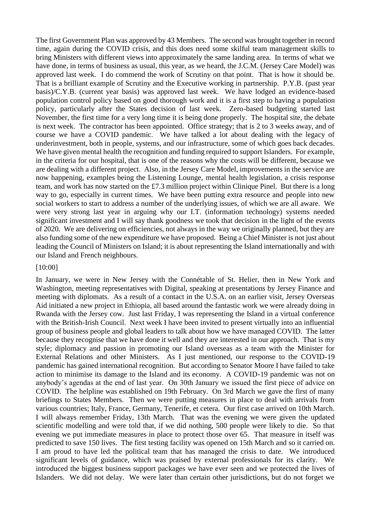The first Government Plan was approved by 43 Members. The second was brought together in record time, again during the COVID crisis, and this does need some skilful team management skills to bring Ministers with different views into approximately the same landing area. In terms of what we have done, in terms of business as usual, this year, as we heard, the J.C.M. (Jersey Care Model) was approved last week. I do commend the work of Scrutiny on that point. That is how it should be. That is a brilliant example of Scrutiny and the Executive working in partnership. P.Y.B. (past year basis)/C.Y.B. (current year basis) was approved last week. We have lodged an evidence-based population control policy based on good thorough work and it is a first step to having a population policy, particularly after the States decision of last week. Zero-based budgeting started last November, the first time for a very long time it is being done properly. The hospital site, the debate is next week. The contractor has been appointed. Office strategy; that is 2 to 3 weeks away, and of course we have a COVID pandemic. We have talked a lot about dealing with the legacy of underinvestment, both in people, systems, and our infrastructure, some of which goes back decades. We have given mental health the recognition and funding required to support Islanders. For example, in the criteria for our hospital, that is one of the reasons why the costs will be different, because we are dealing with a different project. Also, in the Jersey Care Model, improvements in the service are now happening, examples being the Listening Lounge, mental health legislation, a crisis response team, and work has now started on the £7.3 million project within Clinique Pinel. But there is a long way to go, especially in current times. We have been putting extra resource and people into new social workers to start to address a number of the underlying issues, of which we are all aware. We were very strong last year in arguing why our I.T. (information technology) systems needed significant investment and I will say thank goodness we took that decision in the light of the events of 2020. We are delivering on efficiencies, not always in the way we originally planned, but they are also funding some of the new expenditure we have proposed. Being a Chief Minister is not just about leading the Council of Ministers on Island; it is about representing the Island internationally and with our Island and French neighbours.

#### [10:00]

In January, we were in New Jersey with the Connétable of St. Helier, then in New York and Washington, meeting representatives with Digital, speaking at presentations by Jersey Finance and meeting with diplomats. As a result of a contact in the U.S.A. on an earlier visit, Jersey Overseas Aid initiated a new project in Ethiopia, all based around the fantastic work we were already doing in Rwanda with the Jersey cow. Just last Friday, I was representing the Island in a virtual conference with the British-Irish Council. Next week I have been invited to present virtually into an influential group of business people and global leaders to talk about how we have managed COVID. The latter because they recognise that we have done it well and they are interested in our approach. That is my style; diplomacy and passion in promoting our Island overseas as a team with the Minister for External Relations and other Ministers. As I just mentioned, our response to the COVID-19 pandemic has gained international recognition. But according to Senator Moore I have failed to take action to minimise its damage to the Island and its economy. A COVID-19 pandemic was not on anybody's agendas at the end of last year. On 30th January we issued the first piece of advice on COVID. The helpline was established on 19th February. On 3rd March we gave the first of many briefings to States Members. Then we were putting measures in place to deal with arrivals from various countries; Italy, France, Germany, Tenerife, et cetera. Our first case arrived on 10th March. I will always remember Friday, 13th March. That was the evening we were given the updated scientific modelling and were told that, if we did nothing, 500 people were likely to die. So that evening we put immediate measures in place to protect those over 65. That measure in itself was predicted to save 150 lives. The first testing facility was opened on 15th March and so it carried on. I am proud to have led the political team that has managed the crisis to date. We introduced significant levels of guidance, which was praised by external professionals for its clarity. We introduced the biggest business support packages we have ever seen and we protected the lives of Islanders. We did not delay. We were later than certain other jurisdictions, but do not forget we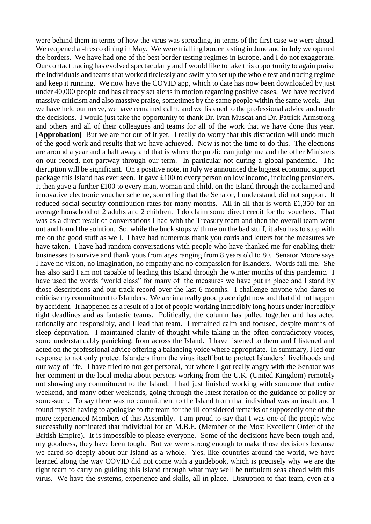were behind them in terms of how the virus was spreading, in terms of the first case we were ahead. We reopened al-fresco dining in May. We were trialling border testing in June and in July we opened the borders. We have had one of the best border testing regimes in Europe, and I do not exaggerate. Our contact tracing has evolved spectacularly and I would like to take this opportunity to again praise the individuals and teams that worked tirelessly and swiftly to set up the whole test and tracing regime and keep it running. We now have the COVID app, which to date has now been downloaded by just under 40,000 people and has already set alerts in motion regarding positive cases. We have received massive criticism and also massive praise, sometimes by the same people within the same week. But we have held our nerve, we have remained calm, and we listened to the professional advice and made the decisions. I would just take the opportunity to thank Dr. Ivan Muscat and Dr. Patrick Armstrong and others and all of their colleagues and teams for all of the work that we have done this year. **[Approbation]** But we are not out of it yet. I really do worry that this distraction will undo much of the good work and results that we have achieved. Now is not the time to do this. The elections are around a year and a half away and that is where the public can judge me and the other Ministers on our record, not partway through our term. In particular not during a global pandemic. The disruption will be significant. On a positive note, in July we announced the biggest economic support package this Island has ever seen. It gave £100 to every person on low income, including pensioners. It then gave a further £100 to every man, woman and child, on the Island through the acclaimed and innovative electronic voucher scheme, something that the Senator, I understand, did not support. It reduced social security contribution rates for many months. All in all that is worth £1,350 for an average household of 2 adults and 2 children. I do claim some direct credit for the vouchers. That was as a direct result of conversations I had with the Treasury team and then the overall team went out and found the solution. So, while the buck stops with me on the bad stuff, it also has to stop with me on the good stuff as well. I have had numerous thank you cards and letters for the measures we have taken. I have had random conversations with people who have thanked me for enabling their businesses to survive and thank yous from ages ranging from 8 years old to 80. Senator Moore says I have no vision, no imagination, no empathy and no compassion for Islanders. Words fail me. She has also said I am not capable of leading this Island through the winter months of this pandemic. I have used the words "world class" for many of the measures we have put in place and I stand by those descriptions and our track record over the last 6 months. I challenge anyone who dares to criticise my commitment to Islanders. We are in a really good place right now and that did not happen by accident. It happened as a result of a lot of people working incredibly long hours under incredibly tight deadlines and as fantastic teams. Politically, the column has pulled together and has acted rationally and responsibly, and I lead that team. I remained calm and focused, despite months of sleep deprivation. I maintained clarity of thought while taking in the often-contradictory voices, some understandably panicking, from across the Island. I have listened to them and I listened and acted on the professional advice offering a balancing voice where appropriate. In summary, I led our response to not only protect Islanders from the virus itself but to protect Islanders' livelihoods and our way of life. I have tried to not get personal, but where I got really angry with the Senator was her comment in the local media about persons working from the U.K. (United Kingdom) remotely not showing any commitment to the Island. I had just finished working with someone that entire weekend, and many other weekends, going through the latest iteration of the guidance or policy or some-such. To say there was no commitment to the Island from that individual was an insult and I found myself having to apologise to the team for the ill-considered remarks of supposedly one of the more experienced Members of this Assembly. I am proud to say that I was one of the people who successfully nominated that individual for an M.B.E. (Member of the Most Excellent Order of the British Empire). It is impossible to please everyone. Some of the decisions have been tough and, my goodness, they have been tough. But we were strong enough to make those decisions because we cared so deeply about our Island as a whole. Yes, like countries around the world, we have learned along the way COVID did not come with a guidebook, which is precisely why we are the right team to carry on guiding this Island through what may well be turbulent seas ahead with this virus. We have the systems, experience and skills, all in place. Disruption to that team, even at a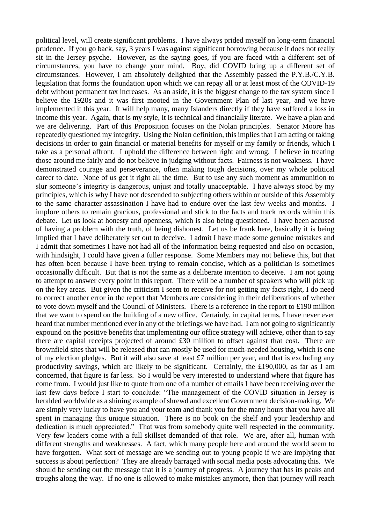political level, will create significant problems. I have always prided myself on long-term financial prudence. If you go back, say, 3 years I was against significant borrowing because it does not really sit in the Jersey psyche. However, as the saying goes, if you are faced with a different set of circumstances, you have to change your mind. Boy, did COVID bring up a different set of circumstances. However, I am absolutely delighted that the Assembly passed the P.Y.B./C.Y.B. legislation that forms the foundation upon which we can repay all or at least most of the COVID-19 debt without permanent tax increases. As an aside, it is the biggest change to the tax system since I believe the 1920s and it was first mooted in the Government Plan of last year, and we have implemented it this year. It will help many, many Islanders directly if they have suffered a loss in income this year. Again, that is my style, it is technical and financially literate. We have a plan and we are delivering. Part of this Proposition focuses on the Nolan principles. Senator Moore has repeatedly questioned my integrity. Using the Nolan definition, this implies that I am acting or taking decisions in order to gain financial or material benefits for myself or my family or friends, which I take as a personal affront. I uphold the difference between right and wrong. I believe in treating those around me fairly and do not believe in judging without facts. Fairness is not weakness. I have demonstrated courage and perseverance, often making tough decisions, over my whole political career to date. None of us get it right all the time. But to use any such moment as ammunition to slur someone's integrity is dangerous, unjust and totally unacceptable. I have always stood by my principles, which is why I have not descended to subjecting others within or outside of this Assembly to the same character assassination I have had to endure over the last few weeks and months. I implore others to remain gracious, professional and stick to the facts and track records within this debate. Let us look at honesty and openness, which is also being questioned. I have been accused of having a problem with the truth, of being dishonest. Let us be frank here, basically it is being implied that I have deliberately set out to deceive. I admit I have made some genuine mistakes and I admit that sometimes I have not had all of the information being requested and also on occasion, with hindsight, I could have given a fuller response. Some Members may not believe this, but that has often been because I have been trying to remain concise, which as a politician is sometimes occasionally difficult. But that is not the same as a deliberate intention to deceive. I am not going to attempt to answer every point in this report. There will be a number of speakers who will pick up on the key areas. But given the criticism I seem to receive for not getting my facts right, I do need to correct another error in the report that Members are considering in their deliberations of whether to vote down myself and the Council of Ministers. There is a reference in the report to £190 million that we want to spend on the building of a new office. Certainly, in capital terms, I have never ever heard that number mentioned ever in any of the briefings we have had. I am not going to significantly expound on the positive benefits that implementing our office strategy will achieve, other than to say there are capital receipts projected of around £30 million to offset against that cost. There are brownfield sites that will be released that can mostly be used for much-needed housing, which is one of my election pledges. But it will also save at least  $\pounds$ 7 million per year, and that is excluding any productivity savings, which are likely to be significant. Certainly, the £190,000, as far as I am concerned, that figure is far less. So I would be very interested to understand where that figure has come from. I would just like to quote from one of a number of emails I have been receiving over the last few days before I start to conclude: "The management of the COVID situation in Jersey is heralded worldwide as a shining example of shrewd and excellent Government decision-making. We are simply very lucky to have you and your team and thank you for the many hours that you have all spent in managing this unique situation. There is no book on the shelf and your leadership and dedication is much appreciated." That was from somebody quite well respected in the community. Very few leaders come with a full skillset demanded of that role. We are, after all, human with different strengths and weaknesses. A fact, which many people here and around the world seem to have forgotten. What sort of message are we sending out to young people if we are implying that success is about perfection? They are already barraged with social media posts advocating this. We should be sending out the message that it is a journey of progress. A journey that has its peaks and troughs along the way. If no one is allowed to make mistakes anymore, then that journey will reach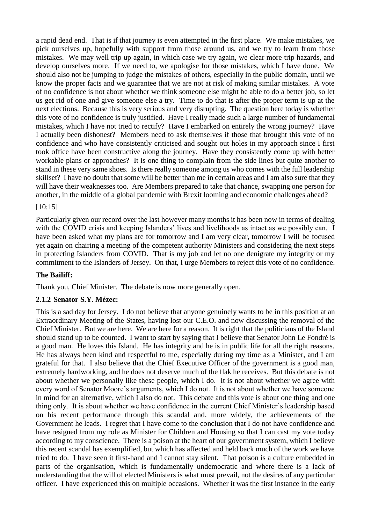a rapid dead end. That is if that journey is even attempted in the first place. We make mistakes, we pick ourselves up, hopefully with support from those around us, and we try to learn from those mistakes. We may well trip up again, in which case we try again, we clear more trip hazards, and develop ourselves more. If we need to, we apologise for those mistakes, which I have done. We should also not be jumping to judge the mistakes of others, especially in the public domain, until we know the proper facts and we guarantee that we are not at risk of making similar mistakes. A vote of no confidence is not about whether we think someone else might be able to do a better job, so let us get rid of one and give someone else a try. Time to do that is after the proper term is up at the next elections. Because this is very serious and very disrupting. The question here today is whether this vote of no confidence is truly justified. Have I really made such a large number of fundamental mistakes, which I have not tried to rectify? Have I embarked on entirely the wrong journey? Have I actually been dishonest? Members need to ask themselves if those that brought this vote of no confidence and who have consistently criticised and sought out holes in my approach since I first took office have been constructive along the journey. Have they consistently come up with better workable plans or approaches? It is one thing to complain from the side lines but quite another to stand in these very same shoes. Is there really someone among us who comes with the full leadership skillset? I have no doubt that some will be better than me in certain areas and I am also sure that they will have their weaknesses too. Are Members prepared to take that chance, swapping one person for another, in the middle of a global pandemic with Brexit looming and economic challenges ahead?

#### [10:15]

Particularly given our record over the last however many months it has been now in terms of dealing with the COVID crisis and keeping Islanders' lives and livelihoods as intact as we possibly can. I have been asked what my plans are for tomorrow and I am very clear, tomorrow I will be focused yet again on chairing a meeting of the competent authority Ministers and considering the next steps in protecting Islanders from COVID. That is my job and let no one denigrate my integrity or my commitment to the Islanders of Jersey. On that, I urge Members to reject this vote of no confidence.

#### **The Bailiff:**

Thank you, Chief Minister. The debate is now more generally open.

#### <span id="page-9-0"></span>**2.1.2 Senator S.Y. Mézec:**

This is a sad day for Jersey. I do not believe that anyone genuinely wants to be in this position at an Extraordinary Meeting of the States, having lost our C.E.O. and now discussing the removal of the Chief Minister. But we are here. We are here for a reason. It is right that the politicians of the Island should stand up to be counted. I want to start by saying that I believe that Senator John Le Fondré is a good man. He loves this Island. He has integrity and he is in public life for all the right reasons. He has always been kind and respectful to me, especially during my time as a Minister, and I am grateful for that. I also believe that the Chief Executive Officer of the government is a good man, extremely hardworking, and he does not deserve much of the flak he receives. But this debate is not about whether we personally like these people, which I do. It is not about whether we agree with every word of Senator Moore's arguments, which I do not. It is not about whether we have someone in mind for an alternative, which I also do not. This debate and this vote is about one thing and one thing only. It is about whether we have confidence in the current Chief Minister's leadership based on his recent performance through this scandal and, more widely, the achievements of the Government he leads. I regret that I have come to the conclusion that I do not have confidence and have resigned from my role as Minister for Children and Housing so that I can cast my vote today according to my conscience. There is a poison at the heart of our government system, which I believe this recent scandal has exemplified, but which has affected and held back much of the work we have tried to do. I have seen it first-hand and I cannot stay silent. That poison is a culture embedded in parts of the organisation, which is fundamentally undemocratic and where there is a lack of understanding that the will of elected Ministers is what must prevail, not the desires of any particular officer. I have experienced this on multiple occasions. Whether it was the first instance in the early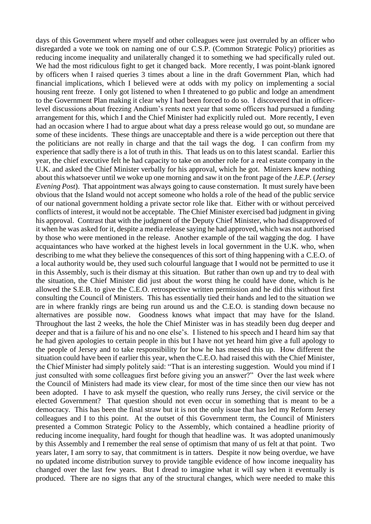days of this Government where myself and other colleagues were just overruled by an officer who disregarded a vote we took on naming one of our C.S.P. (Common Strategic Policy) priorities as reducing income inequality and unilaterally changed it to something we had specifically ruled out. We had the most ridiculous fight to get it changed back. More recently, I was point-blank ignored by officers when I raised queries 3 times about a line in the draft Government Plan, which had financial implications, which I believed were at odds with my policy on implementing a social housing rent freeze. I only got listened to when I threatened to go public and lodge an amendment to the Government Plan making it clear why I had been forced to do so. I discovered that in officerlevel discussions about freezing Andium's rents next year that some officers had pursued a funding arrangement for this, which I and the Chief Minister had explicitly ruled out. More recently, I even had an occasion where I had to argue about what day a press release would go out, so mundane are some of these incidents. These things are unacceptable and there is a wide perception out there that the politicians are not really in charge and that the tail wags the dog. I can confirm from my experience that sadly there is a lot of truth in this. That leads us on to this latest scandal. Earlier this year, the chief executive felt he had capacity to take on another role for a real estate company in the U.K. and asked the Chief Minister verbally for his approval, which he got. Ministers knew nothing about this whatsoever until we woke up one morning and saw it on the front page of the *J.E.P.* (*Jersey Evening Post*). That appointment was always going to cause consternation. It must surely have been obvious that the Island would not accept someone who holds a role of the head of the public service of our national government holding a private sector role like that. Either with or without perceived conflicts of interest, it would not be acceptable. The Chief Minister exercised bad judgment in giving his approval. Contrast that with the judgment of the Deputy Chief Minister, who had disapproved of it when he was asked for it, despite a media release saying he had approved, which was not authorised by those who were mentioned in the release. Another example of the tail wagging the dog. I have acquaintances who have worked at the highest levels in local government in the U.K. who, when describing to me what they believe the consequences of this sort of thing happening with a C.E.O. of a local authority would be, they used such colourful language that I would not be permitted to use it in this Assembly, such is their dismay at this situation. But rather than own up and try to deal with the situation, the Chief Minister did just about the worst thing he could have done, which is he allowed the S.E.B. to give the C.E.O. retrospective written permission and he did this without first consulting the Council of Ministers. This has essentially tied their hands and led to the situation we are in where frankly rings are being run around us and the C.E.O. is standing down because no alternatives are possible now. Goodness knows what impact that may have for the Island. Throughout the last 2 weeks, the hole the Chief Minister was in has steadily been dug deeper and deeper and that is a failure of his and no one else's. I listened to his speech and I heard him say that he had given apologies to certain people in this but I have not yet heard him give a full apology to the people of Jersey and to take responsibility for how he has messed this up. How different the situation could have been if earlier this year, when the C.E.O. had raised this with the Chief Minister, the Chief Minister had simply politely said: "That is an interesting suggestion. Would you mind if I just consulted with some colleagues first before giving you an answer?" Over the last week where the Council of Ministers had made its view clear, for most of the time since then our view has not been adopted. I have to ask myself the question, who really runs Jersey, the civil service or the elected Government? That question should not even occur in something that is meant to be a democracy. This has been the final straw but it is not the only issue that has led my Reform Jersey colleagues and I to this point. At the outset of this Government term, the Council of Ministers presented a Common Strategic Policy to the Assembly, which contained a headline priority of reducing income inequality, hard fought for though that headline was. It was adopted unanimously by this Assembly and I remember the real sense of optimism that many of us felt at that point. Two years later, I am sorry to say, that commitment is in tatters. Despite it now being overdue, we have no updated income distribution survey to provide tangible evidence of how income inequality has changed over the last few years. But I dread to imagine what it will say when it eventually is produced. There are no signs that any of the structural changes, which were needed to make this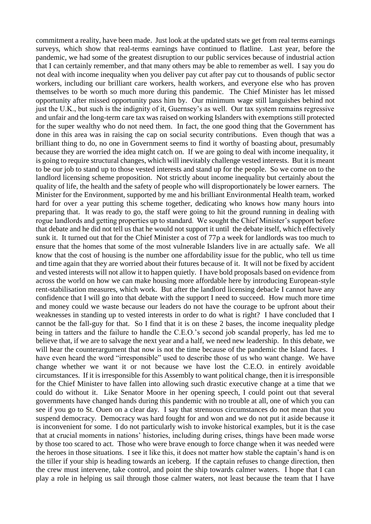commitment a reality, have been made. Just look at the updated stats we get from real terms earnings surveys, which show that real-terms earnings have continued to flatline. Last year, before the pandemic, we had some of the greatest disruption to our public services because of industrial action that I can certainly remember, and that many others may be able to remember as well. I say you do not deal with income inequality when you deliver pay cut after pay cut to thousands of public sector workers, including our brilliant care workers, health workers, and everyone else who has proven themselves to be worth so much more during this pandemic. The Chief Minister has let missed opportunity after missed opportunity pass him by. Our minimum wage still languishes behind not just the U.K., but such is the indignity of it, Guernsey's as well. Our tax system remains regressive and unfair and the long-term care tax was raised on working Islanders with exemptions still protected for the super wealthy who do not need them. In fact, the one good thing that the Government has done in this area was in raising the cap on social security contributions. Even though that was a brilliant thing to do, no one in Government seems to find it worthy of boasting about, presumably because they are worried the idea might catch on. If we are going to deal with income inequality, it is going to require structural changes, which will inevitably challenge vested interests. But it is meant to be our job to stand up to those vested interests and stand up for the people. So we come on to the landlord licensing scheme proposition. Not strictly about income inequality but certainly about the quality of life, the health and the safety of people who will disproportionately be lower earners. The Minister for the Environment, supported by me and his brilliant Environmental Health team, worked hard for over a year putting this scheme together, dedicating who knows how many hours into preparing that. It was ready to go, the staff were going to hit the ground running in dealing with rogue landlords and getting properties up to standard. We sought the Chief Minister's support before that debate and he did not tell us that he would not support it until the debate itself, which effectively sunk it. It turned out that for the Chief Minister a cost of 77p a week for landlords was too much to ensure that the homes that some of the most vulnerable Islanders live in are actually safe. We all know that the cost of housing is the number one affordability issue for the public, who tell us time and time again that they are worried about their futures because of it. It will not be fixed by accident and vested interests will not allow it to happen quietly. I have bold proposals based on evidence from across the world on how we can make housing more affordable here by introducing European-style rent-stabilisation measures, which work. But after the landlord licensing debacle I cannot have any confidence that I will go into that debate with the support I need to succeed. How much more time and money could we waste because our leaders do not have the courage to be upfront about their weaknesses in standing up to vested interests in order to do what is right? I have concluded that I cannot be the fall-guy for that. So I find that it is on these 2 bases, the income inequality pledge being in tatters and the failure to handle the C.E.O.'s second job scandal properly, has led me to believe that, if we are to salvage the next year and a half, we need new leadership. In this debate, we will hear the counterargument that now is not the time because of the pandemic the Island faces. I have even heard the word "irresponsible" used to describe those of us who want change. We have change whether we want it or not because we have lost the C.E.O. in entirely avoidable circumstances. If it is irresponsible for this Assembly to want political change, then it is irresponsible for the Chief Minister to have fallen into allowing such drastic executive change at a time that we could do without it. Like Senator Moore in her opening speech, I could point out that several governments have changed hands during this pandemic with no trouble at all, one of which you can see if you go to St. Ouen on a clear day. I say that strenuous circumstances do not mean that you suspend democracy. Democracy was hard fought for and won and we do not put it aside because it is inconvenient for some. I do not particularly wish to invoke historical examples, but it is the case that at crucial moments in nations' histories, including during crises, things have been made worse by those too scared to act. Those who were brave enough to force change when it was needed were the heroes in those situations. I see it like this, it does not matter how stable the captain's hand is on the tiller if your ship is heading towards an iceberg. If the captain refuses to change direction, then the crew must intervene, take control, and point the ship towards calmer waters. I hope that I can play a role in helping us sail through those calmer waters, not least because the team that I have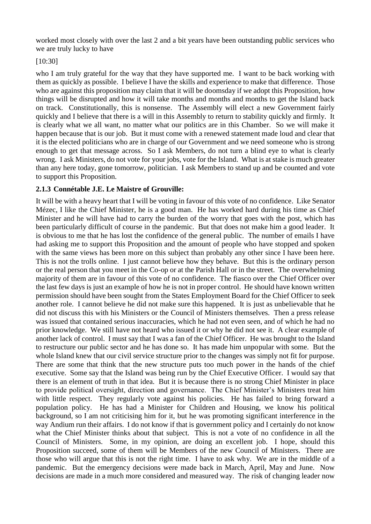worked most closely with over the last 2 and a bit years have been outstanding public services who we are truly lucky to have

## [10:30]

who I am truly grateful for the way that they have supported me. I want to be back working with them as quickly as possible. I believe I have the skills and experience to make that difference. Those who are against this proposition may claim that it will be doomsday if we adopt this Proposition, how things will be disrupted and how it will take months and months and months to get the Island back on track. Constitutionally, this is nonsense. The Assembly will elect a new Government fairly quickly and I believe that there is a will in this Assembly to return to stability quickly and firmly. It is clearly what we all want, no matter what our politics are in this Chamber. So we will make it happen because that is our job. But it must come with a renewed statement made loud and clear that it is the elected politicians who are in charge of our Government and we need someone who is strong enough to get that message across. So I ask Members, do not turn a blind eye to what is clearly wrong. I ask Ministers, do not vote for your jobs, vote for the Island. What is at stake is much greater than any here today, gone tomorrow, politician. I ask Members to stand up and be counted and vote to support this Proposition.

## <span id="page-12-0"></span>**2.1.3 Connétable J.E. Le Maistre of Grouville:**

It will be with a heavy heart that I will be voting in favour of this vote of no confidence. Like Senator Mézec, I like the Chief Minister, he is a good man. He has worked hard during his time as Chief Minister and he will have had to carry the burden of the worry that goes with the post, which has been particularly difficult of course in the pandemic. But that does not make him a good leader. It is obvious to me that he has lost the confidence of the general public. The number of emails I have had asking me to support this Proposition and the amount of people who have stopped and spoken with the same views has been more on this subject than probably any other since I have been here. This is not the trolls online. I just cannot believe how they behave. But this is the ordinary person or the real person that you meet in the Co-op or at the Parish Hall or in the street. The overwhelming majority of them are in favour of this vote of no confidence. The fiasco over the Chief Officer over the last few days is just an example of how he is not in proper control. He should have known written permission should have been sought from the States Employment Board for the Chief Officer to seek another role. I cannot believe he did not make sure this happened. It is just as unbelievable that he did not discuss this with his Ministers or the Council of Ministers themselves. Then a press release was issued that contained serious inaccuracies, which he had not even seen, and of which he had no prior knowledge. We still have not heard who issued it or why he did not see it. A clear example of another lack of control. I must say that I was a fan of the Chief Officer. He was brought to the Island to restructure our public sector and he has done so. It has made him unpopular with some. But the whole Island knew that our civil service structure prior to the changes was simply not fit for purpose. There are some that think that the new structure puts too much power in the hands of the chief executive. Some say that the Island was being run by the Chief Executive Officer. I would say that there is an element of truth in that idea. But it is because there is no strong Chief Minister in place to provide political oversight, direction and governance. The Chief Minister's Ministers treat him with little respect. They regularly vote against his policies. He has failed to bring forward a population policy. He has had a Minister for Children and Housing, we know his political background, so I am not criticising him for it, but he was promoting significant interference in the way Andium run their affairs. I do not know if that is government policy and I certainly do not know what the Chief Minister thinks about that subject. This is not a vote of no confidence in all the Council of Ministers. Some, in my opinion, are doing an excellent job. I hope, should this Proposition succeed, some of them will be Members of the new Council of Ministers. There are those who will argue that this is not the right time. I have to ask why. We are in the middle of a pandemic. But the emergency decisions were made back in March, April, May and June. Now decisions are made in a much more considered and measured way. The risk of changing leader now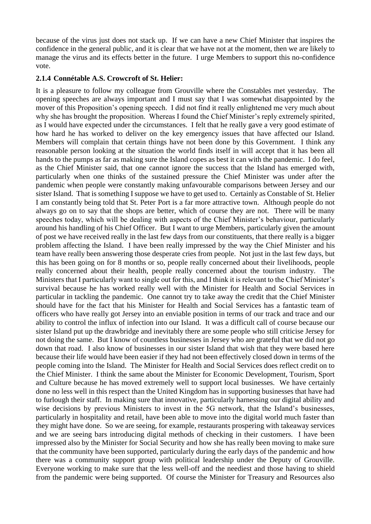because of the virus just does not stack up. If we can have a new Chief Minister that inspires the confidence in the general public, and it is clear that we have not at the moment, then we are likely to manage the virus and its effects better in the future. I urge Members to support this no-confidence vote.

#### <span id="page-13-0"></span>**2.1.4 Connétable A.S. Crowcroft of St. Helier:**

It is a pleasure to follow my colleague from Grouville where the Constables met yesterday. The opening speeches are always important and I must say that I was somewhat disappointed by the mover of this Proposition's opening speech. I did not find it really enlightened me very much about why she has brought the proposition. Whereas I found the Chief Minister's reply extremely spirited, as I would have expected under the circumstances. I felt that he really gave a very good estimate of how hard he has worked to deliver on the key emergency issues that have affected our Island. Members will complain that certain things have not been done by this Government. I think any reasonable person looking at the situation the world finds itself in will accept that it has been all hands to the pumps as far as making sure the Island copes as best it can with the pandemic. I do feel, as the Chief Minister said, that one cannot ignore the success that the Island has emerged with, particularly when one thinks of the sustained pressure the Chief Minister was under after the pandemic when people were constantly making unfavourable comparisons between Jersey and our sister Island. That is something I suppose we have to get used to. Certainly as Constable of St. Helier I am constantly being told that St. Peter Port is a far more attractive town. Although people do not always go on to say that the shops are better, which of course they are not. There will be many speeches today, which will be dealing with aspects of the Chief Minister's behaviour, particularly around his handling of his Chief Officer. But I want to urge Members, particularly given the amount of post we have received really in the last few days from our constituents, that there really is a bigger problem affecting the Island. I have been really impressed by the way the Chief Minister and his team have really been answering those desperate cries from people. Not just in the last few days, but this has been going on for 8 months or so, people really concerned about their livelihoods, people really concerned about their health, people really concerned about the tourism industry. The Ministers that I particularly want to single out for this, and I think it is relevant to the Chief Minister's survival because he has worked really well with the Minister for Health and Social Services in particular in tackling the pandemic. One cannot try to take away the credit that the Chief Minister should have for the fact that his Minister for Health and Social Services has a fantastic team of officers who have really got Jersey into an enviable position in terms of our track and trace and our ability to control the influx of infection into our Island. It was a difficult call of course because our sister Island put up the drawbridge and inevitably there are some people who still criticise Jersey for not doing the same. But I know of countless businesses in Jersey who are grateful that we did not go down that road. I also know of businesses in our sister Island that wish that they were based here because their life would have been easier if they had not been effectively closed down in terms of the people coming into the Island. The Minister for Health and Social Services does reflect credit on to the Chief Minister. I think the same about the Minister for Economic Development, Tourism, Sport and Culture because he has moved extremely well to support local businesses. We have certainly done no less well in this respect than the United Kingdom has in supporting businesses that have had to furlough their staff. In making sure that innovative, particularly harnessing our digital ability and wise decisions by previous Ministers to invest in the 5G network, that the Island's businesses, particularly in hospitality and retail, have been able to move into the digital world much faster than they might have done. So we are seeing, for example, restaurants prospering with takeaway services and we are seeing bars introducing digital methods of checking in their customers. I have been impressed also by the Minister for Social Security and how she has really been moving to make sure that the community have been supported, particularly during the early days of the pandemic and how there was a community support group with political leadership under the Deputy of Grouville. Everyone working to make sure that the less well-off and the neediest and those having to shield from the pandemic were being supported. Of course the Minister for Treasury and Resources also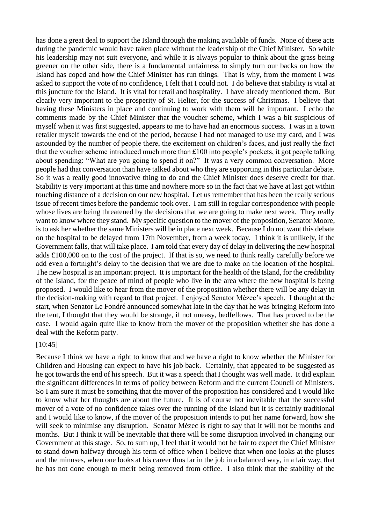has done a great deal to support the Island through the making available of funds. None of these acts during the pandemic would have taken place without the leadership of the Chief Minister. So while his leadership may not suit everyone, and while it is always popular to think about the grass being greener on the other side, there is a fundamental unfairness to simply turn our backs on how the Island has coped and how the Chief Minister has run things. That is why, from the moment I was asked to support the vote of no confidence, I felt that I could not. I do believe that stability is vital at this juncture for the Island. It is vital for retail and hospitality. I have already mentioned them. But clearly very important to the prosperity of St. Helier, for the success of Christmas. I believe that having these Ministers in place and continuing to work with them will be important. I echo the comments made by the Chief Minister that the voucher scheme, which I was a bit suspicious of myself when it was first suggested, appears to me to have had an enormous success. I was in a town retailer myself towards the end of the period, because I had not managed to use my card, and I was astounded by the number of people there, the excitement on children's faces, and just really the fact that the voucher scheme introduced much more than £100 into people's pockets, it got people talking about spending: "What are you going to spend it on?" It was a very common conversation. More people had that conversation than have talked about who they are supporting in this particular debate. So it was a really good innovative thing to do and the Chief Minister does deserve credit for that. Stability is very important at this time and nowhere more so in the fact that we have at last got within touching distance of a decision on our new hospital. Let us remember that has been the really serious issue of recent times before the pandemic took over. I am still in regular correspondence with people whose lives are being threatened by the decisions that we are going to make next week. They really want to know where they stand. My specific question to the mover of the proposition, Senator Moore, is to ask her whether the same Ministers will be in place next week. Because I do not want this debate on the hospital to be delayed from 17th November, from a week today. I think it is unlikely, if the Government falls, that will take place. I am told that every day of delay in delivering the new hospital adds £100,000 on to the cost of the project. If that is so, we need to think really carefully before we add even a fortnight's delay to the decision that we are due to make on the location of the hospital. The new hospital is an important project. It is important for the health of the Island, for the credibility of the Island, for the peace of mind of people who live in the area where the new hospital is being proposed. I would like to hear from the mover of the proposition whether there will be any delay in the decision-making with regard to that project. I enjoyed Senator Mézec's speech. I thought at the start, when Senator Le Fondré announced somewhat late in the day that he was bringing Reform into the tent, I thought that they would be strange, if not uneasy, bedfellows. That has proved to be the case. I would again quite like to know from the mover of the proposition whether she has done a deal with the Reform party.

#### [10:45]

Because I think we have a right to know that and we have a right to know whether the Minister for Children and Housing can expect to have his job back. Certainly, that appeared to be suggested as he got towards the end of his speech. But it was a speech that I thought was well made. It did explain the significant differences in terms of policy between Reform and the current Council of Ministers. So I am sure it must be something that the mover of the proposition has considered and I would like to know what her thoughts are about the future. It is of course not inevitable that the successful mover of a vote of no confidence takes over the running of the Island but it is certainly traditional and I would like to know, if the mover of the proposition intends to put her name forward, how she will seek to minimise any disruption. Senator Mézec is right to say that it will not be months and months. But I think it will be inevitable that there will be some disruption involved in changing our Government at this stage. So, to sum up, I feel that it would not be fair to expect the Chief Minister to stand down halfway through his term of office when I believe that when one looks at the pluses and the minuses, when one looks at his career thus far in the job in a balanced way, in a fair way, that he has not done enough to merit being removed from office. I also think that the stability of the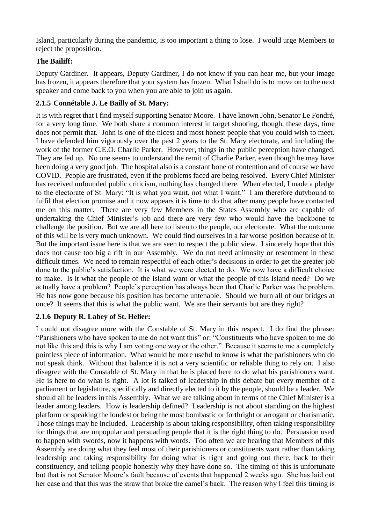Island, particularly during the pandemic, is too important a thing to lose. I would urge Members to reject the proposition.

## **The Bailiff:**

Deputy Gardiner. It appears, Deputy Gardiner, I do not know if you can hear me, but your image has frozen, it appears therefore that your system has frozen. What I shall do is to move on to the next speaker and come back to you when you are able to join us again.

## <span id="page-15-0"></span>**2.1.5 Connétable J. Le Bailly of St. Mary:**

It is with regret that I find myself supporting Senator Moore. I have known John, Senator Le Fondré, for a very long time. We both share a common interest in target shooting, though, these days, time does not permit that. John is one of the nicest and most honest people that you could wish to meet. I have defended him vigorously over the past 2 years to the St. Mary electorate, and including the work of the former C.E.O. Charlie Parker. However, things in the public perception have changed. They are fed up. No one seems to understand the remit of Charlie Parker, even though he may have been doing a very good job. The hospital also is a constant bone of contention and of course we have COVID. People are frustrated, even if the problems faced are being resolved. Every Chief Minister has received unfounded public criticism, nothing has changed there. When elected, I made a pledge to the electorate of St. Mary: "It is what you want, not what I want." I am therefore dutybound to fulfil that election promise and it now appears it is time to do that after many people have contacted me on this matter. There are very few Members in the States Assembly who are capable of undertaking the Chief Minister's job and there are very few who would have the backbone to challenge the position. But we are all here to listen to the people, our electorate. What the outcome of this will be is very much unknown. We could find ourselves in a far worse position because of it. But the important issue here is that we are seen to respect the public view. I sincerely hope that this does not cause too big a rift in our Assembly. We do not need animosity or resentment in these difficult times. We need to remain respectful of each other's decisions in order to get the greater job done to the public's satisfaction. It is what we were elected to do. We now have a difficult choice to make. Is it what the people of the Island want or what the people of this Island need? Do we actually have a problem? People's perception has always been that Charlie Parker was the problem. He has now gone because his position has become untenable. Should we burn all of our bridges at once? It seems that this is what the public want. We are their servants but are they right?

## <span id="page-15-1"></span>**2.1.6 Deputy R. Labey of St. Helier:**

I could not disagree more with the Constable of St. Mary in this respect. I do find the phrase: "Parishioners who have spoken to me do not want this" or: "Constituents who have spoken to me do not like this and this is why I am voting one way or the other." Because it seems to me a completely pointless piece of information. What would be more useful to know is what the parishioners who do not speak think. Without that balance it is not a very scientific or reliable thing to rely on. I also disagree with the Constable of St. Mary in that he is placed here to do what his parishioners want. He is here to do what is right. A lot is talked of leadership in this debate but every member of a parliament or legislature, specifically and directly elected to it by the people, should be a leader. We should all be leaders in this Assembly. What we are talking about in terms of the Chief Minister is a leader among leaders. How is leadership defined? Leadership is not about standing on the highest platform or speaking the loudest or being the most bombastic or forthright or arrogant or charismatic. Those things may be included. Leadership is about taking responsibility, often taking responsibility for things that are unpopular and persuading people that it is the right thing to do. Persuasion used to happen with swords, now it happens with words. Too often we are hearing that Members of this Assembly are doing what they feel most of their parishioners or constituents want rather than taking leadership and taking responsibility for doing what is right and going out there, back to their constituency, and telling people honestly why they have done so. The timing of this is unfortunate but that is not Senator Moore's fault because of events that happened 2 weeks ago. She has laid out her case and that this was the straw that broke the camel's back. The reason why I feel this timing is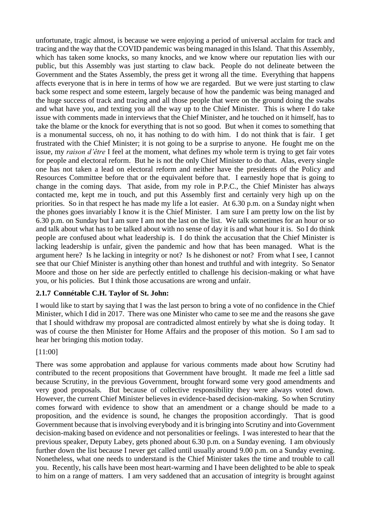unfortunate, tragic almost, is because we were enjoying a period of universal acclaim for track and tracing and the way that the COVID pandemic was being managed in this Island. That this Assembly, which has taken some knocks, so many knocks, and we know where our reputation lies with our public, but this Assembly was just starting to claw back. People do not delineate between the Government and the States Assembly, the press get it wrong all the time. Everything that happens affects everyone that is in here in terms of how we are regarded. But we were just starting to claw back some respect and some esteem, largely because of how the pandemic was being managed and the huge success of track and tracing and all those people that were on the ground doing the swabs and what have you, and texting you all the way up to the Chief Minister. This is where I do take issue with comments made in interviews that the Chief Minister, and he touched on it himself, has to take the blame or the knock for everything that is not so good. But when it comes to something that is a monumental success, oh no, it has nothing to do with him. I do not think that is fair. I get frustrated with the Chief Minister; it is not going to be a surprise to anyone. He fought me on the issue, my *raison d'être* I feel at the moment, what defines my whole term is trying to get fair votes for people and electoral reform. But he is not the only Chief Minister to do that. Alas, every single one has not taken a lead on electoral reform and neither have the presidents of the Policy and Resources Committee before that or the equivalent before that. I earnestly hope that is going to change in the coming days. That aside, from my role in P.P.C., the Chief Minister has always contacted me, kept me in touch, and put this Assembly first and certainly very high up on the priorities. So in that respect he has made my life a lot easier. At 6.30 p.m. on a Sunday night when the phones goes invariably I know it is the Chief Minister. I am sure I am pretty low on the list by 6.30 p.m. on Sunday but I am sure I am not the last on the list. We talk sometimes for an hour or so and talk about what has to be talked about with no sense of day it is and what hour it is. So I do think people are confused about what leadership is. I do think the accusation that the Chief Minister is lacking leadership is unfair, given the pandemic and how that has been managed. What is the argument here? Is he lacking in integrity or not? Is he dishonest or not? From what I see, I cannot see that our Chief Minister is anything other than honest and truthful and with integrity. So Senator Moore and those on her side are perfectly entitled to challenge his decision-making or what have you, or his policies. But I think those accusations are wrong and unfair.

## <span id="page-16-0"></span>**2.1.7 Connétable C.H. Taylor of St. John:**

I would like to start by saying that I was the last person to bring a vote of no confidence in the Chief Minister, which I did in 2017. There was one Minister who came to see me and the reasons she gave that I should withdraw my proposal are contradicted almost entirely by what she is doing today. It was of course the then Minister for Home Affairs and the proposer of this motion. So I am sad to hear her bringing this motion today.

[11:00]

There was some approbation and applause for various comments made about how Scrutiny had contributed to the recent propositions that Government have brought. It made me feel a little sad because Scrutiny, in the previous Government, brought forward some very good amendments and very good proposals. But because of collective responsibility they were always voted down. However, the current Chief Minister believes in evidence-based decision-making. So when Scrutiny comes forward with evidence to show that an amendment or a change should be made to a proposition, and the evidence is sound, he changes the proposition accordingly. That is good Government because that is involving everybody and it is bringing into Scrutiny and into Government decision-making based on evidence and not personalities or feelings. I was interested to hear that the previous speaker, Deputy Labey, gets phoned about 6.30 p.m. on a Sunday evening. I am obviously further down the list because I never get called until usually around 9.00 p.m. on a Sunday evening. Nonetheless, what one needs to understand is the Chief Minister takes the time and trouble to call you. Recently, his calls have been most heart-warming and I have been delighted to be able to speak to him on a range of matters. I am very saddened that an accusation of integrity is brought against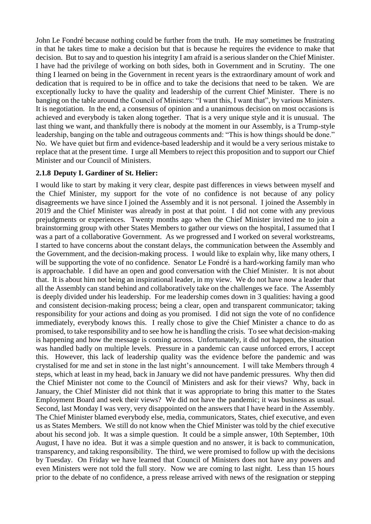John Le Fondré because nothing could be further from the truth. He may sometimes be frustrating in that he takes time to make a decision but that is because he requires the evidence to make that decision. But to say and to question his integrity I am afraid is a serious slander on the Chief Minister. I have had the privilege of working on both sides, both in Government and in Scrutiny. The one thing I learned on being in the Government in recent years is the extraordinary amount of work and dedication that is required to be in office and to take the decisions that need to be taken. We are exceptionally lucky to have the quality and leadership of the current Chief Minister. There is no banging on the table around the Council of Ministers: "I want this, I want that", by various Ministers. It is negotiation. In the end, a consensus of opinion and a unanimous decision on most occasions is achieved and everybody is taken along together. That is a very unique style and it is unusual. The last thing we want, and thankfully there is nobody at the moment in our Assembly, is a Trump-style leadership, banging on the table and outrageous comments and: "This is how things should be done." No. We have quiet but firm and evidence-based leadership and it would be a very serious mistake to replace that at the present time. I urge all Members to reject this proposition and to support our Chief Minister and our Council of Ministers.

#### <span id="page-17-0"></span>**2.1.8 Deputy I. Gardiner of St. Helier:**

I would like to start by making it very clear, despite past differences in views between myself and the Chief Minister, my support for the vote of no confidence is not because of any policy disagreements we have since I joined the Assembly and it is not personal. I joined the Assembly in 2019 and the Chief Minister was already in post at that point. I did not come with any previous prejudgments or experiences. Twenty months ago when the Chief Minister invited me to join a brainstorming group with other States Members to gather our views on the hospital, I assumed that I was a part of a collaborative Government. As we progressed and I worked on several workstreams, I started to have concerns about the constant delays, the communication between the Assembly and the Government, and the decision-making process. I would like to explain why, like many others, I will be supporting the vote of no confidence. Senator Le Fondré is a hard-working family man who is approachable. I did have an open and good conversation with the Chief Minister. It is not about that. It is about him not being an inspirational leader, in my view. We do not have now a leader that all the Assembly can stand behind and collaboratively take on the challenges we face. The Assembly is deeply divided under his leadership. For me leadership comes down in 3 qualities: having a good and consistent decision-making process; being a clear, open and transparent communicator; taking responsibility for your actions and doing as you promised. I did not sign the vote of no confidence immediately, everybody knows this. I really chose to give the Chief Minister a chance to do as promised, to take responsibility and to see how he is handling the crisis. To see what decision-making is happening and how the message is coming across. Unfortunately, it did not happen, the situation was handled badly on multiple levels. Pressure in a pandemic can cause unforced errors, I accept this. However, this lack of leadership quality was the evidence before the pandemic and was crystalised for me and set in stone in the last night's announcement. I will take Members through 4 steps, which at least in my head, back in January we did not have pandemic pressures. Why then did the Chief Minister not come to the Council of Ministers and ask for their views? Why, back in January, the Chief Minister did not think that it was appropriate to bring this matter to the States Employment Board and seek their views? We did not have the pandemic; it was business as usual. Second, last Monday I was very, very disappointed on the answers that I have heard in the Assembly. The Chief Minister blamed everybody else, media, communicators, States, chief executive, and even us as States Members. We still do not know when the Chief Minister was told by the chief executive about his second job. It was a simple question. It could be a simple answer, 10th September, 10th August, I have no idea. But it was a simple question and no answer, it is back to communication, transparency, and taking responsibility. The third, we were promised to follow up with the decisions by Tuesday. On Friday we have learned that Council of Ministers does not have any powers and even Ministers were not told the full story. Now we are coming to last night. Less than 15 hours prior to the debate of no confidence, a press release arrived with news of the resignation or stepping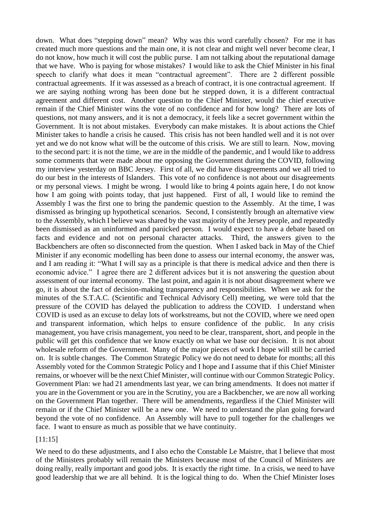down. What does "stepping down" mean? Why was this word carefully chosen? For me it has created much more questions and the main one, it is not clear and might well never become clear, I do not know, how much it will cost the public purse. I am not talking about the reputational damage that we have. Who is paying for whose mistakes? I would like to ask the Chief Minister in his final speech to clarify what does it mean "contractual agreement". There are 2 different possible contractual agreements. If it was assessed as a breach of contract, it is one contractual agreement. If we are saying nothing wrong has been done but he stepped down, it is a different contractual agreement and different cost. Another question to the Chief Minister, would the chief executive remain if the Chief Minister wins the vote of no confidence and for how long? There are lots of questions, not many answers, and it is not a democracy, it feels like a secret government within the Government. It is not about mistakes. Everybody can make mistakes. It is about actions the Chief Minister takes to handle a crisis he caused. This crisis has not been handled well and it is not over yet and we do not know what will be the outcome of this crisis. We are still to learn. Now, moving to the second part: it is not the time, we are in the middle of the pandemic, and I would like to address some comments that were made about me opposing the Government during the COVID, following my interview yesterday on BBC Jersey. First of all, we did have disagreements and we all tried to do our best in the interests of Islanders. This vote of no confidence is not about our disagreements or my personal views. I might be wrong. I would like to bring 4 points again here, I do not know how I am going with points today, that just happened. First of all, I would like to remind the Assembly I was the first one to bring the pandemic question to the Assembly. At the time, I was dismissed as bringing up hypothetical scenarios. Second, I consistently brough an alternative view to the Assembly, which I believe was shared by the vast majority of the Jersey people, and repeatedly been dismissed as an uninformed and panicked person. I would expect to have a debate based on facts and evidence and not on personal character attacks. Third, the answers given to the Backbenchers are often so disconnected from the question. When I asked back in May of the Chief Minister if any economic modelling has been done to assess our internal economy, the answer was, and I am reading it: "What I will say as a principle is that there is medical advice and then there is economic advice." I agree there are 2 different advices but it is not answering the question about assessment of our internal economy. The last point, and again it is not about disagreement where we go, it is about the fact of decision-making transparency and responsibilities. When we ask for the minutes of the S.T.A.C. (Scientific and Technical Advisory Cell) meeting, we were told that the pressure of the COVID has delayed the publication to address the COVID. I understand when COVID is used as an excuse to delay lots of workstreams, but not the COVID, where we need open and transparent information, which helps to ensure confidence of the public. In any crisis management, you have crisis management, you need to be clear, transparent, short, and people in the public will get this confidence that we know exactly on what we base our decision. It is not about wholesale reform of the Government. Many of the major pieces of work I hope will still be carried on. It is subtle changes. The Common Strategic Policy we do not need to debate for months; all this Assembly voted for the Common Strategic Policy and I hope and I assume that if this Chief Minister remains, or whoever will be the next Chief Minister, will continue with our Common Strategic Policy. Government Plan: we had 21 amendments last year, we can bring amendments. It does not matter if you are in the Government or you are in the Scrutiny, you are a Backbencher, we are now all working on the Government Plan together. There will be amendments, regardless if the Chief Minister will remain or if the Chief Minister will be a new one. We need to understand the plan going forward beyond the vote of no confidence. An Assembly will have to pull together for the challenges we face. I want to ensure as much as possible that we have continuity.

## [11:15]

We need to do these adjustments, and I also echo the Constable Le Maistre, that I believe that most of the Ministers probably will remain the Ministers because most of the Council of Ministers are doing really, really important and good jobs. It is exactly the right time. In a crisis, we need to have good leadership that we are all behind. It is the logical thing to do. When the Chief Minister loses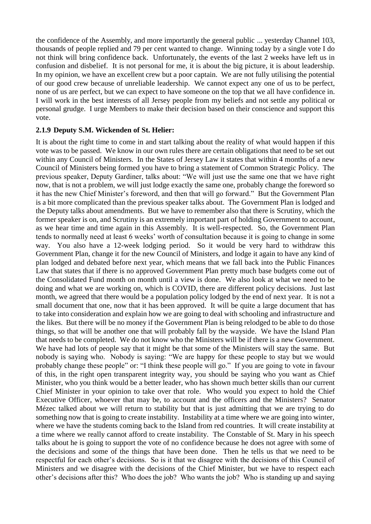the confidence of the Assembly, and more importantly the general public ... yesterday Channel 103, thousands of people replied and 79 per cent wanted to change. Winning today by a single vote I do not think will bring confidence back. Unfortunately, the events of the last 2 weeks have left us in confusion and disbelief. It is not personal for me, it is about the big picture, it is about leadership. In my opinion, we have an excellent crew but a poor captain. We are not fully utilising the potential of our good crew because of unreliable leadership. We cannot expect any one of us to be perfect, none of us are perfect, but we can expect to have someone on the top that we all have confidence in. I will work in the best interests of all Jersey people from my beliefs and not settle any political or personal grudge. I urge Members to make their decision based on their conscience and support this vote.

#### <span id="page-19-0"></span>**2.1.9 Deputy S.M. Wickenden of St. Helier:**

It is about the right time to come in and start talking about the reality of what would happen if this vote was to be passed. We know in our own rules there are certain obligations that need to be set out within any Council of Ministers. In the States of Jersey Law it states that within 4 months of a new Council of Ministers being formed you have to bring a statement of Common Strategic Policy. The previous speaker, Deputy Gardiner, talks about: "We will just use the same one that we have right now, that is not a problem, we will just lodge exactly the same one, probably change the foreword so it has the new Chief Minister's foreword, and then that will go forward." But the Government Plan is a bit more complicated than the previous speaker talks about. The Government Plan is lodged and the Deputy talks about amendments. But we have to remember also that there is Scrutiny, which the former speaker is on, and Scrutiny is an extremely important part of holding Government to account, as we hear time and time again in this Assembly. It is well-respected. So, the Government Plan tends to normally need at least 6 weeks' worth of consultation because it is going to change in some way. You also have a 12-week lodging period. So it would be very hard to withdraw this Government Plan, change it for the new Council of Ministers, and lodge it again to have any kind of plan lodged and debated before next year, which means that we fall back into the Public Finances Law that states that if there is no approved Government Plan pretty much base budgets come out of the Consolidated Fund month on month until a view is done. We also look at what we need to be doing and what we are working on, which is COVID, there are different policy decisions. Just last month, we agreed that there would be a population policy lodged by the end of next year. It is not a small document that one, now that it has been approved. It will be quite a large document that has to take into consideration and explain how we are going to deal with schooling and infrastructure and the likes. But there will be no money if the Government Plan is being relodged to be able to do those things, so that will be another one that will probably fall by the wayside. We have the Island Plan that needs to be completed. We do not know who the Ministers will be if there is a new Government. We have had lots of people say that it might be that some of the Ministers will stay the same. But nobody is saying who. Nobody is saying: "We are happy for these people to stay but we would probably change these people" or: "I think these people will go." If you are going to vote in favour of this, in the right open transparent integrity way, you should be saying who you want as Chief Minister, who you think would be a better leader, who has shown much better skills than our current Chief Minister in your opinion to take over that role. Who would you expect to hold the Chief Executive Officer, whoever that may be, to account and the officers and the Ministers? Senator Mézec talked about we will return to stability but that is just admitting that we are trying to do something now that is going to create instability. Instability at a time where we are going into winter, where we have the students coming back to the Island from red countries. It will create instability at a time where we really cannot afford to create instability. The Constable of St. Mary in his speech talks about he is going to support the vote of no confidence because he does not agree with some of the decisions and some of the things that have been done. Then he tells us that we need to be respectful for each other's decisions. So is it that we disagree with the decisions of this Council of Ministers and we disagree with the decisions of the Chief Minister, but we have to respect each other's decisions after this? Who does the job? Who wants the job? Who is standing up and saying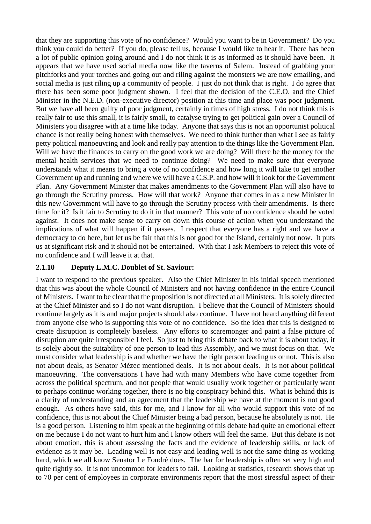that they are supporting this vote of no confidence? Would you want to be in Government? Do you think you could do better? If you do, please tell us, because I would like to hear it. There has been a lot of public opinion going around and I do not think it is as informed as it should have been. It appears that we have used social media now like the taverns of Salem. Instead of grabbing your pitchforks and your torches and going out and riling against the monsters we are now emailing, and social media is just riling up a community of people. I just do not think that is right. I do agree that there has been some poor judgment shown. I feel that the decision of the C.E.O. and the Chief Minister in the N.E.D. (non-executive director) position at this time and place was poor judgment. But we have all been guilty of poor judgment, certainly in times of high stress. I do not think this is really fair to use this small, it is fairly small, to catalyse trying to get political gain over a Council of Ministers you disagree with at a time like today. Anyone that says this is not an opportunist political chance is not really being honest with themselves. We need to think further than what I see as fairly petty political manoeuvring and look and really pay attention to the things like the Government Plan. Will we have the finances to carry on the good work we are doing? Will there be the money for the mental health services that we need to continue doing? We need to make sure that everyone understands what it means to bring a vote of no confidence and how long it will take to get another Government up and running and where we will have a C.S.P. and how will it look for the Government Plan. Any Government Minister that makes amendments to the Government Plan will also have to go through the Scrutiny process. How will that work? Anyone that comes in as a new Minister in this new Government will have to go through the Scrutiny process with their amendments. Is there time for it? Is it fair to Scrutiny to do it in that manner? This vote of no confidence should be voted against. It does not make sense to carry on down this course of action when you understand the implications of what will happen if it passes. I respect that everyone has a right and we have a democracy to do here, but let us be fair that this is not good for the Island, certainly not now. It puts us at significant risk and it should not be entertained. With that I ask Members to reject this vote of no confidence and I will leave it at that.

#### <span id="page-20-0"></span>**2.1.10 Deputy L.M.C. Doublet of St. Saviour:**

I want to respond to the previous speaker. Also the Chief Minister in his initial speech mentioned that this was about the whole Council of Ministers and not having confidence in the entire Council of Ministers. I want to be clear that the proposition is not directed at all Ministers. It is solely directed at the Chief Minister and so I do not want disruption. I believe that the Council of Ministers should continue largely as it is and major projects should also continue. I have not heard anything different from anyone else who is supporting this vote of no confidence. So the idea that this is designed to create disruption is completely baseless. Any efforts to scaremonger and paint a false picture of disruption are quite irresponsible I feel. So just to bring this debate back to what it is about today, it is solely about the suitability of one person to lead this Assembly, and we must focus on that. We must consider what leadership is and whether we have the right person leading us or not. This is also not about deals, as Senator Mézec mentioned deals. It is not about deals. It is not about political manoeuvring. The conversations I have had with many Members who have come together from across the political spectrum, and not people that would usually work together or particularly want to perhaps continue working together, there is no big conspiracy behind this. What is behind this is a clarity of understanding and an agreement that the leadership we have at the moment is not good enough. As others have said, this for me, and I know for all who would support this vote of no confidence, this is not about the Chief Minister being a bad person, because he absolutely is not. He is a good person. Listening to him speak at the beginning of this debate had quite an emotional effect on me because I do not want to hurt him and I know others will feel the same. But this debate is not about emotion, this is about assessing the facts and the evidence of leadership skills, or lack of evidence as it may be. Leading well is not easy and leading well is not the same thing as working hard, which we all know Senator Le Fondré does. The bar for leadership is often set very high and quite rightly so. It is not uncommon for leaders to fail. Looking at statistics, research shows that up to 70 per cent of employees in corporate environments report that the most stressful aspect of their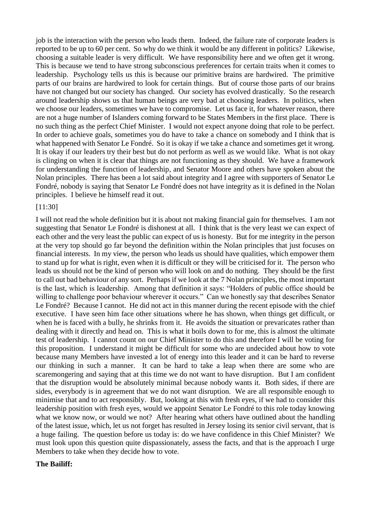job is the interaction with the person who leads them. Indeed, the failure rate of corporate leaders is reported to be up to 60 per cent. So why do we think it would be any different in politics? Likewise, choosing a suitable leader is very difficult. We have responsibility here and we often get it wrong. This is because we tend to have strong subconscious preferences for certain traits when it comes to leadership. Psychology tells us this is because our primitive brains are hardwired. The primitive parts of our brains are hardwired to look for certain things. But of course those parts of our brains have not changed but our society has changed. Our society has evolved drastically. So the research around leadership shows us that human beings are very bad at choosing leaders. In politics, when we choose our leaders, sometimes we have to compromise. Let us face it, for whatever reason, there are not a huge number of Islanders coming forward to be States Members in the first place. There is no such thing as the perfect Chief Minister. I would not expect anyone doing that role to be perfect. In order to achieve goals, sometimes you do have to take a chance on somebody and I think that is what happened with Senator Le Fondré. So it is okay if we take a chance and sometimes get it wrong. It is okay if our leaders try their best but do not perform as well as we would like. What is not okay is clinging on when it is clear that things are not functioning as they should. We have a framework for understanding the function of leadership, and Senator Moore and others have spoken about the Nolan principles. There has been a lot said about integrity and I agree with supporters of Senator Le Fondré, nobody is saying that Senator Le Fondré does not have integrity as it is defined in the Nolan principles. I believe he himself read it out.

#### [11:30]

I will not read the whole definition but it is about not making financial gain for themselves. I am not suggesting that Senator Le Fondré is dishonest at all. I think that is the very least we can expect of each other and the very least the public can expect of us is honesty. But for me integrity in the person at the very top should go far beyond the definition within the Nolan principles that just focuses on financial interests. In my view, the person who leads us should have qualities, which empower them to stand up for what is right, even when it is difficult or they will be criticised for it. The person who leads us should not be the kind of person who will look on and do nothing. They should be the first to call out bad behaviour of any sort. Perhaps if we look at the 7 Nolan principles, the most important is the last, which is leadership. Among that definition it says: "Holders of public office should be willing to challenge poor behaviour wherever it occurs." Can we honestly say that describes Senator Le Fondré? Because I cannot. He did not act in this manner during the recent episode with the chief executive. I have seen him face other situations where he has shown, when things get difficult, or when he is faced with a bully, he shrinks from it. He avoids the situation or prevaricates rather than dealing with it directly and head on. This is what it boils down to for me, this is almost the ultimate test of leadership. I cannot count on our Chief Minister to do this and therefore I will be voting for this proposition. I understand it might be difficult for some who are undecided about how to vote because many Members have invested a lot of energy into this leader and it can be hard to reverse our thinking in such a manner. It can be hard to take a leap when there are some who are scaremongering and saying that at this time we do not want to have disruption. But I am confident that the disruption would be absolutely minimal because nobody wants it. Both sides, if there are sides, everybody is in agreement that we do not want disruption. We are all responsible enough to minimise that and to act responsibly. But, looking at this with fresh eyes, if we had to consider this leadership position with fresh eyes, would we appoint Senator Le Fondré to this role today knowing what we know now, or would we not? After hearing what others have outlined about the handling of the latest issue, which, let us not forget has resulted in Jersey losing its senior civil servant, that is a huge failing. The question before us today is: do we have confidence in this Chief Minister? We must look upon this question quite dispassionately, assess the facts, and that is the approach I urge Members to take when they decide how to vote.

#### **The Bailiff:**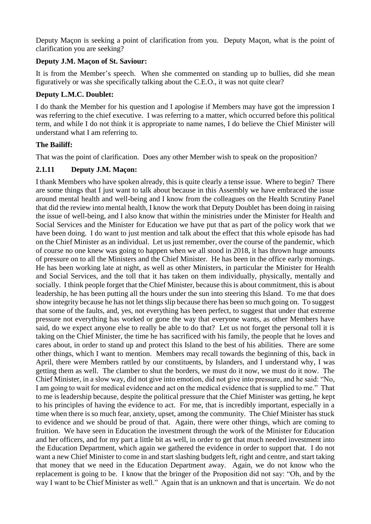Deputy Maçon is seeking a point of clarification from you. Deputy Maçon, what is the point of clarification you are seeking?

## **Deputy J.M. Maçon of St. Saviour:**

It is from the Member's speech. When she commented on standing up to bullies, did she mean figuratively or was she specifically talking about the C.E.O., it was not quite clear?

## **Deputy L.M.C. Doublet:**

I do thank the Member for his question and I apologise if Members may have got the impression I was referring to the chief executive. I was referring to a matter, which occurred before this political term, and while I do not think it is appropriate to name names, I do believe the Chief Minister will understand what I am referring to.

## **The Bailiff:**

That was the point of clarification. Does any other Member wish to speak on the proposition?

## <span id="page-22-0"></span>**2.1.11 Deputy J.M. Maçon:**

I thank Members who have spoken already, this is quite clearly a tense issue. Where to begin? There are some things that I just want to talk about because in this Assembly we have embraced the issue around mental health and well-being and I know from the colleagues on the Health Scrutiny Panel that did the review into mental health, I know the work that Deputy Doublet has been doing in raising the issue of well-being, and I also know that within the ministries under the Minister for Health and Social Services and the Minister for Education we have put that as part of the policy work that we have been doing. I do want to just mention and talk about the effect that this whole episode has had on the Chief Minister as an individual. Let us just remember, over the course of the pandemic, which of course no one knew was going to happen when we all stood in 2018, it has thrown huge amounts of pressure on to all the Ministers and the Chief Minister. He has been in the office early mornings. He has been working late at night, as well as other Ministers, in particular the Minister for Health and Social Services, and the toll that it has taken on them individually, physically, mentally and socially. I think people forget that the Chief Minister, because this is about commitment, this is about leadership, he has been putting all the hours under the sun into steering this Island. To me that does show integrity because he has not let things slip because there has been so much going on. To suggest that some of the faults, and, yes, not everything has been perfect, to suggest that under that extreme pressure not everything has worked or gone the way that everyone wants, as other Members have said, do we expect anyone else to really be able to do that? Let us not forget the personal toll it is taking on the Chief Minister, the time he has sacrificed with his family, the people that he loves and cares about, in order to stand up and protect this Island to the best of his abilities. There are some other things, which I want to mention. Members may recall towards the beginning of this, back in April, there were Members rattled by our constituents, by Islanders, and I understand why, I was getting them as well. The clamber to shut the borders, we must do it now, we must do it now. The Chief Minister, in a slow way, did not give into emotion, did not give into pressure, and he said: "No, I am going to wait for medical evidence and act on the medical evidence that is supplied to me." That to me is leadership because, despite the political pressure that the Chief Minister was getting, he kept to his principles of having the evidence to act. For me, that is incredibly important, especially in a time when there is so much fear, anxiety, upset, among the community. The Chief Minister has stuck to evidence and we should be proud of that. Again, there were other things, which are coming to fruition. We have seen in Education the investment through the work of the Minister for Education and her officers, and for my part a little bit as well, in order to get that much needed investment into the Education Department, which again we gathered the evidence in order to support that. I do not want a new Chief Minister to come in and start slashing budgets left, right and centre, and start taking that money that we need in the Education Department away. Again, we do not know who the replacement is going to be. I know that the bringer of the Proposition did not say: "Oh, and by the way I want to be Chief Minister as well." Again that is an unknown and that is uncertain. We do not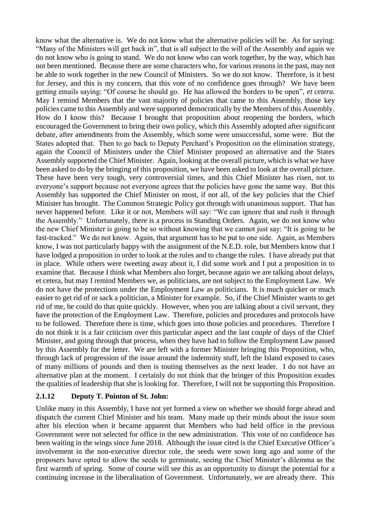know what the alternative is. We do not know what the alternative policies will be. As for saying: "Many of the Ministers will get back in", that is all subject to the will of the Assembly and again we do not know who is going to stand. We do not know who can work together, by the way, which has not been mentioned. Because there are some characters who, for various reasons in the past, may not be able to work together in the new Council of Ministers. So we do not know. Therefore, is it best for Jersey, and this is my concern, that this vote of no confidence goes through? We have been getting emails saying: "Of course he should go. He has allowed the borders to be open", *et cetera.* May I remind Members that the vast majority of policies that came to this Assembly, those key policies came to this Assembly and were supported democratically by the Members of this Assembly. How do I know this? Because I brought that proposition about reopening the borders, which encouraged the Government to bring their own policy, which this Assembly adopted after significant debate, after amendments from the Assembly, which some were unsuccessful, some were. But the States adopted that. Then to go back to Deputy Perchard's Proposition on the elimination strategy, again the Council of Ministers under the Chief Minister proposed an alternative and the States Assembly supported the Chief Minister. Again, looking at the overall picture, which is what we have been asked to do by the bringing of this proposition, we have been asked to look at the overall picture. These have been very tough, very controversial times, and this Chief Minister has risen, not to everyone's support because not everyone agrees that the policies have gone the same way. But this Assembly has supported the Chief Minister on most, if not all, of the key policies that the Chief Minister has brought. The Common Strategic Policy got through with unanimous support. That has never happened before. Like it or not, Members will say: "We can ignore that and rush it through the Assembly." Unfortunately, there is a process in Standing Orders. Again, we do not know who the new Chief Minister is going to be so without knowing that we cannot just say: "It is going to be fast-tracked." We do not know. Again, that argument has to be put to one side. Again, as Members know, I was not particularly happy with the assignment of the N.E.D. role, but Members know that I have lodged a proposition in order to look at the rules and to change the rules. I have already put that in place. While others were tweeting away about it, I did some work and I put a proposition in to examine that. Because I think what Members also forget, because again we are talking about delays, et cetera, but may I remind Members we, as politicians, are not subject to the Employment Law. We do not have the protections under the Employment Law as politicians. It is much quicker or much easier to get rid of or sack a politician, a Minister for example. So, if the Chief Minister wants to get rid of me, he could do that quite quickly. However, when you are talking about a civil servant, they have the protection of the Employment Law. Therefore, policies and procedures and protocols have to be followed. Therefore there is time, which goes into those policies and procedures. Therefore I do not think it is a fair criticism over this particular aspect and the last couple of days of the Chief Minister, and going through that process, when they have had to follow the Employment Law passed by this Assembly for the letter. We are left with a former Minister bringing this Proposition, who, through lack of progression of the issue around the indemnity stuff, left the Island exposed to cases of many millions of pounds and then is touting themselves as the next leader. I do not have an alternative plan at the moment. I certainly do not think that the bringer of this Proposition exudes the qualities of leadership that she is looking for. Therefore, I will not be supporting this Proposition.

## <span id="page-23-0"></span>**2.1.12 Deputy T. Pointon of St. John:**

Unlike many in this Assembly, I have not yet formed a view on whether we should forge ahead and dispatch the current Chief Minister and his team. Many made up their minds about the issue soon after his election when it became apparent that Members who had held office in the previous Government were not selected for office in the new administration. This vote of no confidence has been waiting in the wings since June 2018. Although the issue cited is the Chief Executive Officer's involvement in the non-executive director role, the seeds were sown long ago and some of the proposers have opted to allow the seeds to germinate, seeing the Chief Minister's dilemma as the first warmth of spring. Some of course will see this as an opportunity to disrupt the potential for a continuing increase in the liberalisation of Government. Unfortunately, we are already there. This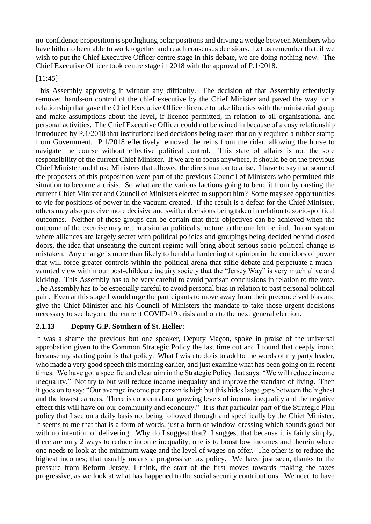no-confidence proposition is spotlighting polar positions and driving a wedge between Members who have hitherto been able to work together and reach consensus decisions. Let us remember that, if we wish to put the Chief Executive Officer centre stage in this debate, we are doing nothing new. The Chief Executive Officer took centre stage in 2018 with the approval of P.1/2018.

## [11:45]

This Assembly approving it without any difficulty. The decision of that Assembly effectively removed hands-on control of the chief executive by the Chief Minister and paved the way for a relationship that gave the Chief Executive Officer licence to take liberties with the ministerial group and make assumptions about the level, if licence permitted, in relation to all organisational and personal activities. The Chief Executive Officer could not be reined in because of a cosy relationship introduced by P.1/2018 that institutionalised decisions being taken that only required a rubber stamp from Government. P.1/2018 effectively removed the reins from the rider, allowing the horse to navigate the course without effective political control. This state of affairs is not the sole responsibility of the current Chief Minister. If we are to focus anywhere, it should be on the previous Chief Minister and those Ministers that allowed the dire situation to arise. I have to say that some of the proposers of this proposition were part of the previous Council of Ministers who permitted this situation to become a crisis. So what are the various factions going to benefit from by ousting the current Chief Minister and Council of Ministers elected to support him? Some may see opportunities to vie for positions of power in the vacuum created. If the result is a defeat for the Chief Minister, others may also perceive more decisive and swifter decisions being taken in relation to socio-political outcomes. Neither of these groups can be certain that their objectives can be achieved when the outcome of the exercise may return a similar political structure to the one left behind. In our system where alliances are largely secret with political policies and groupings being decided behind closed doors, the idea that unseating the current regime will bring about serious socio-political change is mistaken. Any change is more than likely to herald a hardening of opinion in the corridors of power that will force greater controls within the political arena that stifle debate and perpetuate a muchvaunted view within our post-childcare inquiry society that the "Jersey Way" is very much alive and kicking. This Assembly has to be very careful to avoid partisan conclusions in relation to the vote. The Assembly has to be especially careful to avoid personal bias in relation to past personal political pain. Even at this stage I would urge the participants to move away from their preconceived bias and give the Chief Minister and his Council of Ministers the mandate to take those urgent decisions necessary to see beyond the current COVID-19 crisis and on to the next general election.

## <span id="page-24-0"></span>**2.1.13 Deputy G.P. Southern of St. Helier:**

It was a shame the previous but one speaker, Deputy Maçon, spoke in praise of the universal approbation given to the Common Strategic Policy the last time out and I found that deeply ironic because my starting point is that policy. What I wish to do is to add to the words of my party leader, who made a very good speech this morning earlier, and just examine what has been going on in recent times. We have got a specific and clear aim in the Strategic Policy that says: "We will reduce income inequality." Not try to but will reduce income inequality and improve the standard of living. Then it goes on to say: "Our average income per person is high but this hides large gaps between the highest and the lowest earners. There is concern about growing levels of income inequality and the negative effect this will have on our community and economy." It is that particular part of the Strategic Plan policy that I see on a daily basis not being followed through and specifically by the Chief Minister. It seems to me that that is a form of words, just a form of window-dressing which sounds good but with no intention of delivering. Why do I suggest that? I suggest that because it is fairly simply, there are only 2 ways to reduce income inequality, one is to boost low incomes and therein where one needs to look at the minimum wage and the level of wages on offer. The other is to reduce the highest incomes; that usually means a progressive tax policy. We have just seen, thanks to the pressure from Reform Jersey, I think, the start of the first moves towards making the taxes progressive, as we look at what has happened to the social security contributions. We need to have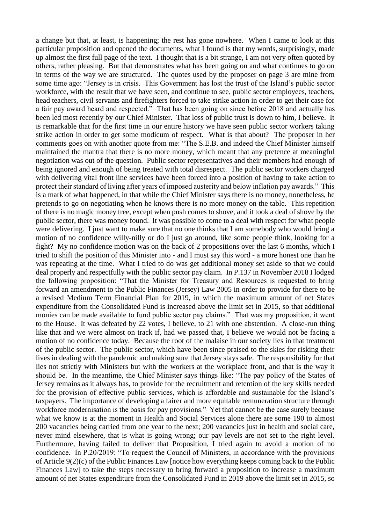a change but that, at least, is happening; the rest has gone nowhere. When I came to look at this particular proposition and opened the documents, what I found is that my words, surprisingly, made up almost the first full page of the text. I thought that is a bit strange, I am not very often quoted by others, rather pleasing. But that demonstrates what has been going on and what continues to go on in terms of the way we are structured. The quotes used by the proposer on page 3 are mine from some time ago: "Jersey is in crisis. This Government has lost the trust of the Island's public sector workforce, with the result that we have seen, and continue to see, public sector employees, teachers, head teachers, civil servants and firefighters forced to take strike action in order to get their case for a fair pay award heard and respected." That has been going on since before 2018 and actually has been led most recently by our Chief Minister. That loss of public trust is down to him, I believe. It is remarkable that for the first time in our entire history we have seen public sector workers taking strike action in order to get some modicum of respect. What is that about? The proposer in her comments goes on with another quote from me: "The S.E.B. and indeed the Chief Minister himself maintained the mantra that there is no more money, which meant that any pretence at meaningful negotiation was out of the question. Public sector representatives and their members had enough of being ignored and enough of being treated with total disrespect. The public sector workers charged with delivering vital front line services have been forced into a position of having to take action to protect their standard of living after years of imposed austerity and below inflation pay awards." This is a mark of what happened, in that while the Chief Minister says there is no money, nonetheless, he pretends to go on negotiating when he knows there is no more money on the table. This repetition of there is no magic money tree, except when push comes to shove, and it took a deal of shove by the public sector, there was money found. It was possible to come to a deal with respect for what people were delivering. I just want to make sure that no one thinks that I am somebody who would bring a motion of no confidence willy-nilly or do I just go around, like some people think, looking for a fight? My no confidence motion was on the back of 2 propositions over the last 6 months, which I tried to shift the position of this Minister into - and I must say this word - a more honest one than he was repeating at the time. What I tried to do was get additional money set aside so that we could deal properly and respectfully with the public sector pay claim. In P.137 in November 2018 I lodged the following proposition: "That the Minister for Treasury and Resources is requested to bring forward an amendment to the Public Finances (Jersey) Law 2005 in order to provide for there to be a revised Medium Term Financial Plan for 2019, in which the maximum amount of net States expenditure from the Consolidated Fund is increased above the limit set in 2015, so that additional monies can be made available to fund public sector pay claims." That was my proposition, it went to the House. It was defeated by 22 votes, I believe, to 21 with one abstention. A close-run thing like that and we were almost on track if, had we passed that, I believe we would not be facing a motion of no confidence today. Because the root of the malaise in our society lies in that treatment of the public sector. The public sector, which have been since praised to the skies for risking their lives in dealing with the pandemic and making sure that Jersey stays safe. The responsibility for that lies not strictly with Ministers but with the workers at the workplace front, and that is the way it should be. In the meantime, the Chief Minister says things like: "The pay policy of the States of Jersey remains as it always has, to provide for the recruitment and retention of the key skills needed for the provision of effective public services, which is affordable and sustainable for the Island's taxpayers. The importance of developing a fairer and more equitable remuneration structure through workforce modernisation is the basis for pay provisions." Yet that cannot be the case surely because what we know is at the moment in Health and Social Services alone there are some 190 to almost 200 vacancies being carried from one year to the next; 200 vacancies just in health and social care, never mind elsewhere, that is what is going wrong; our pay levels are not set to the right level. Furthermore, having failed to deliver that Proposition, I tried again to avoid a motion of no confidence. In P.20/2019: "To request the Council of Ministers, in accordance with the provisions of Article 9(2)(c) of the Public Finances Law [notice how everything keeps coming back to the Public Finances Law] to take the steps necessary to bring forward a proposition to increase a maximum amount of net States expenditure from the Consolidated Fund in 2019 above the limit set in 2015, so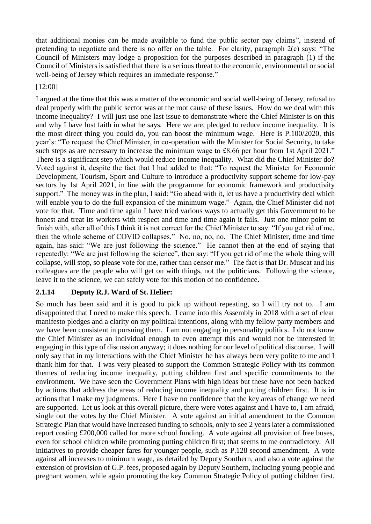that additional monies can be made available to fund the public sector pay claims", instead of pretending to negotiate and there is no offer on the table. For clarity, paragraph 2(c) says: "The Council of Ministers may lodge a proposition for the purposes described in paragraph (1) if the Council of Ministers is satisfied that there is a serious threat to the economic, environmental or social well-being of Jersey which requires an immediate response."

[12:00]

I argued at the time that this was a matter of the economic and social well-being of Jersey, refusal to deal properly with the public sector was at the root cause of these issues. How do we deal with this income inequality? I will just use one last issue to demonstrate where the Chief Minister is on this and why I have lost faith in what he says. Here we are, pledged to reduce income inequality. It is the most direct thing you could do, you can boost the minimum wage. Here is P.100/2020, this year's: "To request the Chief Minister, in co-operation with the Minister for Social Security, to take such steps as are necessary to increase the minimum wage to £8.66 per hour from 1st April 2021." There is a significant step which would reduce income inequality. What did the Chief Minister do? Voted against it, despite the fact that I had added to that: "To request the Minister for Economic Development, Tourism, Sport and Culture to introduce a productivity support scheme for low-pay sectors by 1st April 2021, in line with the programme for economic framework and productivity support." The money was in the plan, I said: "Go ahead with it, let us have a productivity deal which will enable you to do the full expansion of the minimum wage." Again, the Chief Minister did not vote for that. Time and time again I have tried various ways to actually get this Government to be honest and treat its workers with respect and time and time again it fails. Just one minor point to finish with, after all of this I think it is not correct for the Chief Minister to say: "If you get rid of me, then the whole scheme of COVID collapses." No, no, no, no. The Chief Minister, time and time again, has said: "We are just following the science." He cannot then at the end of saying that repeatedly: "We are just following the science", then say: "If you get rid of me the whole thing will collapse, will stop, so please vote for me, rather than censor me." The fact is that Dr. Muscat and his colleagues are the people who will get on with things, not the politicians. Following the science, leave it to the science, we can safely vote for this motion of no confidence.

## <span id="page-26-0"></span>**2.1.14 Deputy R.J. Ward of St. Helier:**

So much has been said and it is good to pick up without repeating, so I will try not to. I am disappointed that I need to make this speech. I came into this Assembly in 2018 with a set of clear manifesto pledges and a clarity on my political intentions, along with my fellow party members and we have been consistent in pursuing them. I am not engaging in personality politics. I do not know the Chief Minister as an individual enough to even attempt this and would not be interested in engaging in this type of discussion anyway; it does nothing for our level of political discourse. I will only say that in my interactions with the Chief Minister he has always been very polite to me and I thank him for that. I was very pleased to support the Common Strategic Policy with its common themes of reducing income inequality, putting children first and specific commitments to the environment. We have seen the Government Plans with high ideas but these have not been backed by actions that address the areas of reducing income inequality and putting children first. It is in actions that I make my judgments. Here I have no confidence that the key areas of change we need are supported. Let us look at this overall picture, there were votes against and I have to, I am afraid, single out the votes by the Chief Minister. A vote against an initial amendment to the Common Strategic Plan that would have increased funding to schools, only to see 2 years later a commissioned report costing £200,000 called for more school funding. A vote against all provision of free buses, even for school children while promoting putting children first; that seems to me contradictory. All initiatives to provide cheaper fares for younger people, such as P.128 second amendment. A vote against all increases to minimum wage, as detailed by Deputy Southern, and also a vote against the extension of provision of G.P. fees, proposed again by Deputy Southern, including young people and pregnant women, while again promoting the key Common Strategic Policy of putting children first.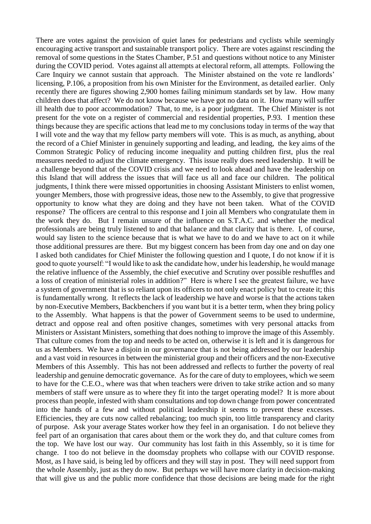There are votes against the provision of quiet lanes for pedestrians and cyclists while seemingly encouraging active transport and sustainable transport policy. There are votes against rescinding the removal of some questions in the States Chamber, P.51 and questions without notice to any Minister during the COVID period. Votes against all attempts at electoral reform, all attempts. Following the Care Inquiry we cannot sustain that approach. The Minister abstained on the vote re landlords' licensing, P.106, a proposition from his own Minister for the Environment, as detailed earlier. Only recently there are figures showing 2,900 homes failing minimum standards set by law. How many children does that affect? We do not know because we have got no data on it. How many will suffer ill health due to poor accommodation? That, to me, is a poor judgment. The Chief Minister is not present for the vote on a register of commercial and residential properties, P.93. I mention these things because they are specific actions that lead me to my conclusions today in terms of the way that I will vote and the way that my fellow party members will vote. This is as much, as anything, about the record of a Chief Minister in genuinely supporting and leading, and leading, the key aims of the Common Strategic Policy of reducing income inequality and putting children first, plus the real measures needed to adjust the climate emergency. This issue really does need leadership. It will be a challenge beyond that of the COVID crisis and we need to look ahead and have the leadership on this Island that will address the issues that will face us all and face our children. The political judgments, I think there were missed opportunities in choosing Assistant Ministers to enlist women, younger Members, those with progressive ideas, those new to the Assembly, to give that progressive opportunity to know what they are doing and they have not been taken. What of the COVID response? The officers are central to this response and I join all Members who congratulate them in the work they do. But I remain unsure of the influence on S.T.A.C. and whether the medical professionals are being truly listened to and that balance and that clarity that is there. I, of course, would say listen to the science because that is what we have to do and we have to act on it while those additional pressures are there. But my biggest concern has been from day one and on day one I asked both candidates for Chief Minister the following question and I quote, I do not know if it is good to quote yourself: "I would like to ask the candidate how, under his leadership, he would manage the relative influence of the Assembly, the chief executive and Scrutiny over possible reshuffles and a loss of creation of ministerial roles in addition?" Here is where I see the greatest failure, we have a system of government that is so reliant upon its officers to not only enact policy but to create it; this is fundamentally wrong. It reflects the lack of leadership we have and worse is that the actions taken by non-Executive Members, Backbenchers if you want but it is a better term, when they bring policy to the Assembly. What happens is that the power of Government seems to be used to undermine, detract and oppose real and often positive changes, sometimes with very personal attacks from Ministers or Assistant Ministers, something that does nothing to improve the image of this Assembly. That culture comes from the top and needs to be acted on, otherwise it is left and it is dangerous for us as Members. We have a disjoin in our governance that is not being addressed by our leadership and a vast void in resources in between the ministerial group and their officers and the non-Executive Members of this Assembly. This has not been addressed and reflects to further the poverty of real leadership and genuine democratic governance. As for the care of duty to employees, which we seem to have for the C.E.O., where was that when teachers were driven to take strike action and so many members of staff were unsure as to where they fit into the target operating model? It is more about process than people, infested with sham consultations and top down change from power concentrated into the hands of a few and without political leadership it seems to prevent these excesses. Efficiencies, they are cuts now called rebalancing; too much spin, too little transparency and clarity of purpose. Ask your average States worker how they feel in an organisation. I do not believe they feel part of an organisation that cares about them or the work they do, and that culture comes from the top. We have lost our way. Our community has lost faith in this Assembly, so it is time for change. I too do not believe in the doomsday prophets who collapse with our COVID response. Most, as I have said, is being led by officers and they will stay in post. They will need support from the whole Assembly, just as they do now. But perhaps we will have more clarity in decision-making that will give us and the public more confidence that those decisions are being made for the right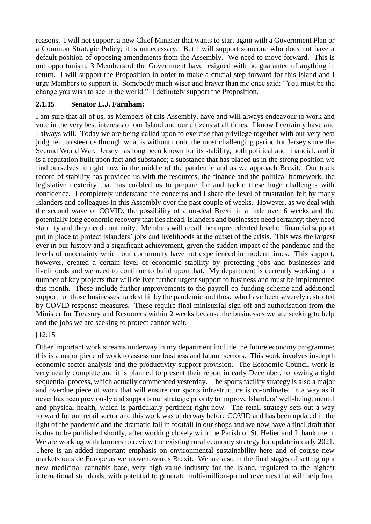reasons. I will not support a new Chief Minister that wants to start again with a Government Plan or a Common Strategic Policy; it is unnecessary. But I will support someone who does not have a default position of opposing amendments from the Assembly. We need to move forward. This is not opportunism, 3 Members of the Government have resigned with no guarantee of anything in return. I will support the Proposition in order to make a crucial step forward for this Island and I urge Members to support it. Somebody much wiser and braver than me once said: "You must be the change you wish to see in the world." I definitely support the Proposition.

## <span id="page-28-0"></span>**2.1.15 Senator L.J. Farnham:**

I am sure that all of us, as Members of this Assembly, have and will always endeavour to work and vote in the very best interests of our Island and our citizens at all times. I know I certainly have and I always will. Today we are being called upon to exercise that privilege together with our very best judgment to steer us through what is without doubt the most challenging period for Jersey since the Second World War. Jersey has long been known for its stability, both political and financial, and it is a reputation built upon fact and substance; a substance that has placed us in the strong position we find ourselves in right now in the middle of the pandemic and as we approach Brexit. Our track record of stability has provided us with the resources, the finance and the political framework, the legislative dexterity that has enabled us to prepare for and tackle these huge challenges with confidence. I completely understand the concerns and I share the level of frustration felt by many Islanders and colleagues in this Assembly over the past couple of weeks. However, as we deal with the second wave of COVID, the possibility of a no-deal Brexit in a little over 6 weeks and the potentially long economic recovery that lies ahead, Islanders and businesses need certainty; they need stability and they need continuity. Members will recall the unprecedented level of financial support put in place to protect Islanders' jobs and livelihoods at the outset of the crisis. This was the largest ever in our history and a significant achievement, given the sudden impact of the pandemic and the levels of uncertainty which our community have not experienced in modern times. This support, however, created a certain level of economic stability by protecting jobs and businesses and livelihoods and we need to continue to build upon that. My department is currently working on a number of key projects that will deliver further urgent support to business and must be implemented this month. These include further improvements to the payroll co-funding scheme and additional support for those businesses hardest hit by the pandemic and those who have been severely restricted by COVID response measures. These require final ministerial sign-off and authorisation from the Minister for Treasury and Resources within 2 weeks because the businesses we are seeking to help and the jobs we are seeking to protect cannot wait.

## [12:15]

Other important work streams underway in my department include the future economy programme; this is a major piece of work to assess our business and labour sectors. This work involves in-depth economic sector analysis and the productivity support provision. The Economic Council work is very nearly complete and it is planned to present their report in early December, following a tight sequential process, which actually commenced yesterday. The sports facility strategy is also a major and overdue piece of work that will ensure our sports infrastructure is co-ordinated in a way as it never has been previously and supports our strategic priority to improve Islanders' well-being, mental and physical health, which is particularly pertinent right now. The retail strategy sets out a way forward for our retail sector and this work was underway before COVID and has been updated in the light of the pandemic and the dramatic fall in footfall in our shops and we now have a final draft that is due to be published shortly, after working closely with the Parish of St. Helier and I thank them. We are working with farmers to review the existing rural economy strategy for update in early 2021. There is an added important emphasis on environmental sustainability here and of course new markets outside Europe as we move towards Brexit. We are also in the final stages of setting up a new medicinal cannabis base, very high-value industry for the Island, regulated to the highest international standards, with potential to generate multi-million-pound revenues that will help fund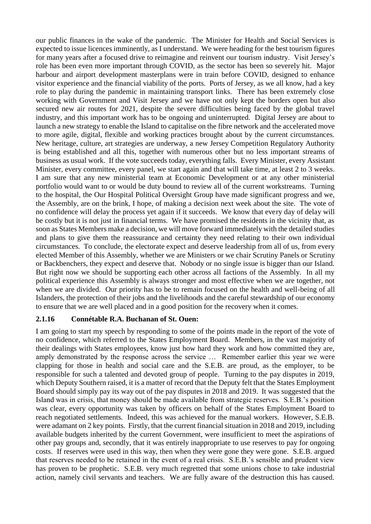our public finances in the wake of the pandemic. The Minister for Health and Social Services is expected to issue licences imminently, as I understand. We were heading for the best tourism figures for many years after a focused drive to reimagine and reinvent our tourism industry. Visit Jersey's role has been even more important through COVID, as the sector has been so severely hit. Major harbour and airport development masterplans were in train before COVID, designed to enhance visitor experience and the financial viability of the ports. Ports of Jersey, as we all know, had a key role to play during the pandemic in maintaining transport links. There has been extremely close working with Government and Visit Jersey and we have not only kept the borders open but also secured new air routes for 2021, despite the severe difficulties being faced by the global travel industry, and this important work has to be ongoing and uninterrupted. Digital Jersey are about to launch a new strategy to enable the Island to capitalise on the fibre network and the accelerated move to more agile, digital, flexible and working practices brought about by the current circumstances. New heritage, culture, art strategies are underway, a new Jersey Competition Regulatory Authority is being established and all this, together with numerous other but no less important streams of business as usual work. If the vote succeeds today, everything falls. Every Minister, every Assistant Minister, every committee, every panel, we start again and that will take time, at least 2 to 3 weeks. I am sure that any new ministerial team at Economic Development or at any other ministerial portfolio would want to or would be duty bound to review all of the current workstreams. Turning to the hospital, the Our Hospital Political Oversight Group have made significant progress and we, the Assembly, are on the brink, I hope, of making a decision next week about the site. The vote of no confidence will delay the process yet again if it succeeds. We know that every day of delay will be costly but it is not just in financial terms. We have promised the residents in the vicinity that, as soon as States Members make a decision, we will move forward immediately with the detailed studies and plans to give them the reassurance and certainty they need relating to their own individual circumstances. To conclude, the electorate expect and deserve leadership from all of us, from every elected Member of this Assembly, whether we are Ministers or we chair Scrutiny Panels or Scrutiny or Backbenchers, they expect and deserve that. Nobody or no single issue is bigger than our Island. But right now we should be supporting each other across all factions of the Assembly. In all my political experience this Assembly is always stronger and most effective when we are together, not when we are divided. Our priority has to be to remain focused on the health and well-being of all Islanders, the protection of their jobs and the livelihoods and the careful stewardship of our economy to ensure that we are well placed and in a good position for the recovery when it comes.

## <span id="page-29-0"></span>**2.1.16 Connétable R.A. Buchanan of St. Ouen:**

I am going to start my speech by responding to some of the points made in the report of the vote of no confidence, which referred to the States Employment Board. Members, in the vast majority of their dealings with States employees, know just how hard they work and how committed they are, amply demonstrated by the response across the service … Remember earlier this year we were clapping for those in health and social care and the S.E.B. are proud, as the employer, to be responsible for such a talented and devoted group of people. Turning to the pay disputes in 2019, which Deputy Southern raised, it is a matter of record that the Deputy felt that the States Employment Board should simply pay its way out of the pay disputes in 2018 and 2019. It was suggested that the Island was in crisis, that money should be made available from strategic reserves. S.E.B.'s position was clear, every opportunity was taken by officers on behalf of the States Employment Board to reach negotiated settlements. Indeed, this was achieved for the manual workers. However, S.E.B. were adamant on 2 key points. Firstly, that the current financial situation in 2018 and 2019, including available budgets inherited by the current Government, were insufficient to meet the aspirations of other pay groups and, secondly, that it was entirely inappropriate to use reserves to pay for ongoing costs. If reserves were used in this way, then when they were gone they were gone. S.E.B. argued that reserves needed to be retained in the event of a real crisis. S.E.B.'s sensible and prudent view has proven to be prophetic. S.E.B. very much regretted that some unions chose to take industrial action, namely civil servants and teachers. We are fully aware of the destruction this has caused.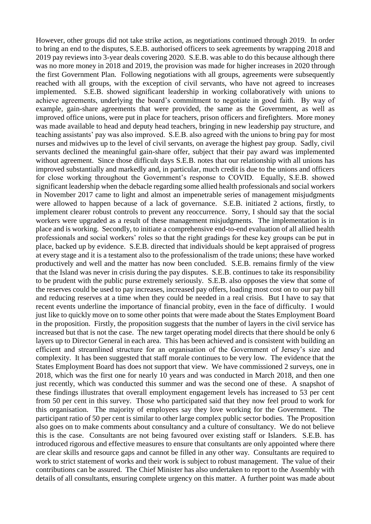However, other groups did not take strike action, as negotiations continued through 2019. In order to bring an end to the disputes, S.E.B. authorised officers to seek agreements by wrapping 2018 and 2019 pay reviews into 3-year deals covering 2020. S.E.B. was able to do this because although there was no more money in 2018 and 2019, the provision was made for higher increases in 2020 through the first Government Plan. Following negotiations with all groups, agreements were subsequently reached with all groups, with the exception of civil servants, who have not agreed to increases implemented. S.E.B. showed significant leadership in working collaboratively with unions to achieve agreements, underlying the board's commitment to negotiate in good faith. By way of example, gain-share agreements that were provided, the same as the Government, as well as improved office unions, were put in place for teachers, prison officers and firefighters. More money was made available to head and deputy head teachers, bringing in new leadership pay structure, and teaching assistants' pay was also improved. S.E.B. also agreed with the unions to bring pay for most nurses and midwives up to the level of civil servants, on average the highest pay group. Sadly, civil servants declined the meaningful gain-share offer, subject that their pay award was implemented without agreement. Since those difficult days S.E.B. notes that our relationship with all unions has improved substantially and markedly and, in particular, much credit is due to the unions and officers for close working throughout the Government's response to COVID. Equally, S.E.B. showed significant leadership when the debacle regarding some allied health professionals and social workers in November 2017 came to light and almost an impenetrable series of management misjudgments were allowed to happen because of a lack of governance. S.E.B. initiated 2 actions, firstly, to implement clearer robust controls to prevent any reoccurrence. Sorry, I should say that the social workers were upgraded as a result of these management misjudgments. The implementation is in place and is working. Secondly, to initiate a comprehensive end-to-end evaluation of all allied health professionals and social workers' roles so that the right gradings for these key groups can be put in place, backed up by evidence. S.E.B. directed that individuals should be kept appraised of progress at every stage and it is a testament also to the professionalism of the trade unions; these have worked productively and well and the matter has now been concluded. S.E.B. remains firmly of the view that the Island was never in crisis during the pay disputes. S.E.B. continues to take its responsibility to be prudent with the public purse extremely seriously. S.E.B. also opposes the view that some of the reserves could be used to pay increases, increased pay offers, loading most cost on to our pay bill and reducing reserves at a time when they could be needed in a real crisis. But I have to say that recent events underline the importance of financial probity, even in the face of difficulty. I would just like to quickly move on to some other points that were made about the States Employment Board in the proposition. Firstly, the proposition suggests that the number of layers in the civil service has increased but that is not the case. The new target operating model directs that there should be only 6 layers up to Director General in each area. This has been achieved and is consistent with building an efficient and streamlined structure for an organisation of the Government of Jersey's size and complexity. It has been suggested that staff morale continues to be very low. The evidence that the States Employment Board has does not support that view. We have commissioned 2 surveys, one in 2018, which was the first one for nearly 10 years and was conducted in March 2018, and then one just recently, which was conducted this summer and was the second one of these. A snapshot of these findings illustrates that overall employment engagement levels has increased to 53 per cent from 50 per cent in this survey. Those who participated said that they now feel proud to work for this organisation. The majority of employees say they love working for the Government. The participant ratio of 50 per cent is similar to other large complex public sector bodies. The Proposition also goes on to make comments about consultancy and a culture of consultancy. We do not believe this is the case. Consultants are not being favoured over existing staff or Islanders. S.E.B. has introduced rigorous and effective measures to ensure that consultants are only appointed where there are clear skills and resource gaps and cannot be filled in any other way. Consultants are required to work to strict statement of works and their work is subject to robust management. The value of their contributions can be assured. The Chief Minister has also undertaken to report to the Assembly with details of all consultants, ensuring complete urgency on this matter. A further point was made about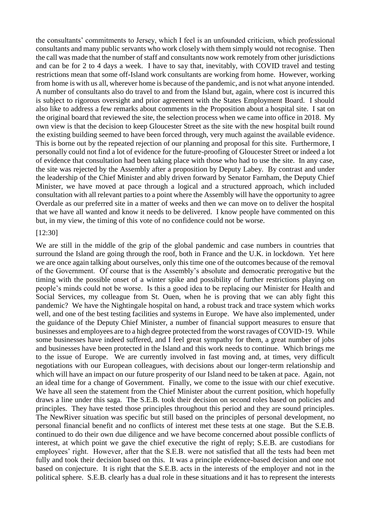the consultants' commitments to Jersey, which I feel is an unfounded criticism, which professional consultants and many public servants who work closely with them simply would not recognise. Then the call was made that the number of staff and consultants now work remotely from other jurisdictions and can be for 2 to 4 days a week. I have to say that, inevitably, with COVID travel and testing restrictions mean that some off-Island work consultants are working from home. However, working from home is with us all, wherever home is because of the pandemic, and is not what anyone intended. A number of consultants also do travel to and from the Island but, again, where cost is incurred this is subject to rigorous oversight and prior agreement with the States Employment Board. I should also like to address a few remarks about comments in the Proposition about a hospital site. I sat on the original board that reviewed the site, the selection process when we came into office in 2018. My own view is that the decision to keep Gloucester Street as the site with the new hospital built round the existing building seemed to have been forced through, very much against the available evidence. This is borne out by the repeated rejection of our planning and proposal for this site. Furthermore, I personally could not find a lot of evidence for the future-proofing of Gloucester Street or indeed a lot of evidence that consultation had been taking place with those who had to use the site. In any case, the site was rejected by the Assembly after a proposition by Deputy Labey. By contrast and under the leadership of the Chief Minister and ably driven forward by Senator Farnham, the Deputy Chief Minister, we have moved at pace through a logical and a structured approach, which included consultation with all relevant parties to a point where the Assembly will have the opportunity to agree Overdale as our preferred site in a matter of weeks and then we can move on to deliver the hospital that we have all wanted and know it needs to be delivered. I know people have commented on this but, in my view, the timing of this vote of no confidence could not be worse.

#### [12:30]

We are still in the middle of the grip of the global pandemic and case numbers in countries that surround the Island are going through the roof, both in France and the U.K. in lockdown. Yet here we are once again talking about ourselves, only this time one of the outcomes because of the removal of the Government. Of course that is the Assembly's absolute and democratic prerogative but the timing with the possible onset of a winter spike and possibility of further restrictions playing on people's minds could not be worse. Is this a good idea to be replacing our Minister for Health and Social Services, my colleague from St. Ouen, when he is proving that we can ably fight this pandemic? We have the Nightingale hospital on hand, a robust track and trace system which works well, and one of the best testing facilities and systems in Europe. We have also implemented, under the guidance of the Deputy Chief Minister, a number of financial support measures to ensure that businesses and employees are to a high degree protected from the worst ravages of COVID-19. While some businesses have indeed suffered, and I feel great sympathy for them, a great number of jobs and businesses have been protected in the Island and this work needs to continue. Which brings me to the issue of Europe. We are currently involved in fast moving and, at times, very difficult negotiations with our European colleagues, with decisions about our longer-term relationship and which will have an impact on our future prosperity of our Island need to be taken at pace. Again, not an ideal time for a change of Government. Finally, we come to the issue with our chief executive. We have all seen the statement from the Chief Minister about the current position, which hopefully draws a line under this saga. The S.E.B. took their decision on second roles based on policies and principles. They have tested those principles throughout this period and they are sound principles. The NewRiver situation was specific but still based on the principles of personal development, no personal financial benefit and no conflicts of interest met these tests at one stage. But the S.E.B. continued to do their own due diligence and we have become concerned about possible conflicts of interest, at which point we gave the chief executive the right of reply; S.E.B. are custodians for employees' right. However, after that the S.E.B. were not satisfied that all the tests had been met fully and took their decision based on this. It was a principle evidence-based decision and one not based on conjecture. It is right that the S.E.B. acts in the interests of the employer and not in the political sphere. S.E.B. clearly has a dual role in these situations and it has to represent the interests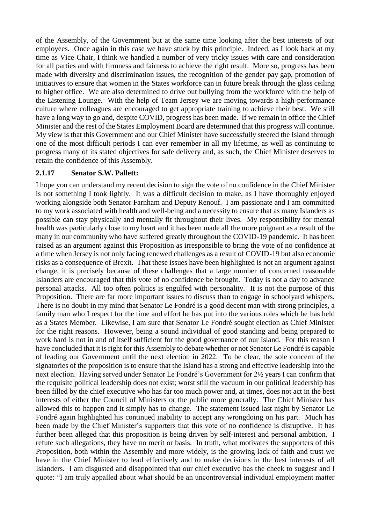of the Assembly, of the Government but at the same time looking after the best interests of our employees. Once again in this case we have stuck by this principle. Indeed, as I look back at my time as Vice-Chair, I think we handled a number of very tricky issues with care and consideration for all parties and with firmness and fairness to achieve the right result. More so, progress has been made with diversity and discrimination issues, the recognition of the gender pay gap, promotion of initiatives to ensure that women in the States workforce can in future break through the glass ceiling to higher office. We are also determined to drive out bullying from the workforce with the help of the Listening Lounge. With the help of Team Jersey we are moving towards a high-performance culture where colleagues are encouraged to get appropriate training to achieve their best. We still have a long way to go and, despite COVID, progress has been made. If we remain in office the Chief Minister and the rest of the States Employment Board are determined that this progress will continue. My view is that this Government and our Chief Minister have successfully steered the Island through one of the most difficult periods I can ever remember in all my lifetime, as well as continuing to progress many of its stated objectives for safe delivery and, as such, the Chief Minister deserves to retain the confidence of this Assembly.

#### <span id="page-32-0"></span>**2.1.17 Senator S.W. Pallett:**

I hope you can understand my recent decision to sign the vote of no confidence in the Chief Minister is not something I took lightly. It was a difficult decision to make, as I have thoroughly enjoyed working alongside both Senator Farnham and Deputy Renouf. I am passionate and I am committed to my work associated with health and well-being and a necessity to ensure that as many Islanders as possible can stay physically and mentally fit throughout their lives. My responsibility for mental health was particularly close to my heart and it has been made all the more poignant as a result of the many in our community who have suffered greatly throughout the COVID-19 pandemic. It has been raised as an argument against this Proposition as irresponsible to bring the vote of no confidence at a time when Jersey is not only facing renewed challenges as a result of COVID-19 but also economic risks as a consequence of Brexit. That these issues have been highlighted is not an argument against change, it is precisely because of these challenges that a large number of concerned reasonable Islanders are encouraged that this vote of no confidence be brought. Today is not a day to advance personal attacks. All too often politics is engulfed with personality. It is not the purpose of this Proposition. There are far more important issues to discuss than to engage in schoolyard whispers. There is no doubt in my mind that Senator Le Fondré is a good decent man with strong principles, a family man who I respect for the time and effort he has put into the various roles which he has held as a States Member. Likewise, I am sure that Senator Le Fondré sought election as Chief Minister for the right reasons. However, being a sound individual of good standing and being prepared to work hard is not in and of itself sufficient for the good governance of our Island. For this reason I have concluded that it is right for this Assembly to debate whether or not Senator Le Fondré is capable of leading our Government until the next election in 2022. To be clear, the sole concern of the signatories of the proposition is to ensure that the Island has a strong and effective leadership into the next election. Having served under Senator Le Fondré's Government for 2½ years I can confirm that the requisite political leadership does not exist; worst still the vacuum in our political leadership has been filled by the chief executive who has far too much power and, at times, does not act in the best interests of either the Council of Ministers or the public more generally. The Chief Minister has allowed this to happen and it simply has to change. The statement issued last night by Senator Le Fondré again highlighted his continued inability to accept any wrongdoing on his part. Much has been made by the Chief Minister's supporters that this vote of no confidence is disruptive. It has further been alleged that this proposition is being driven by self-interest and personal ambition. I refute such allegations, they have no merit or basis. In truth, what motivates the supporters of this Proposition, both within the Assembly and more widely, is the growing lack of faith and trust we have in the Chief Minister to lead effectively and to make decisions in the best interests of all Islanders. I am disgusted and disappointed that our chief executive has the cheek to suggest and I quote: "I am truly appalled about what should be an uncontroversial individual employment matter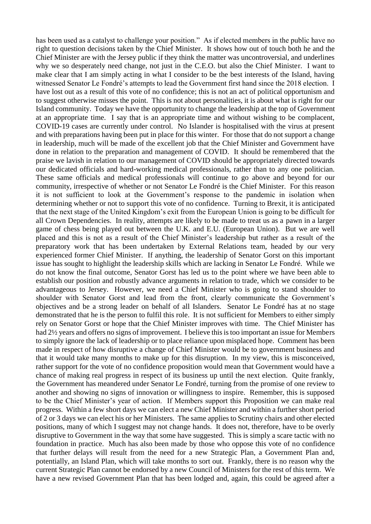has been used as a catalyst to challenge your position." As if elected members in the public have no right to question decisions taken by the Chief Minister. It shows how out of touch both he and the Chief Minister are with the Jersey public if they think the matter was uncontroversial, and underlines why we so desperately need change, not just in the C.E.O. but also the Chief Minister. I want to make clear that I am simply acting in what I consider to be the best interests of the Island, having witnessed Senator Le Fondré's attempts to lead the Government first hand since the 2018 election. I have lost out as a result of this vote of no confidence; this is not an act of political opportunism and to suggest otherwise misses the point. This is not about personalities, it is about what is right for our Island community. Today we have the opportunity to change the leadership at the top of Government at an appropriate time. I say that is an appropriate time and without wishing to be complacent, COVID-19 cases are currently under control. No Islander is hospitalised with the virus at present and with preparations having been put in place for this winter. For those that do not support a change in leadership, much will be made of the excellent job that the Chief Minister and Government have done in relation to the preparation and management of COVID. It should be remembered that the praise we lavish in relation to our management of COVID should be appropriately directed towards our dedicated officials and hard-working medical professionals, rather than to any one politician. These same officials and medical professionals will continue to go above and beyond for our community, irrespective of whether or not Senator Le Fondré is the Chief Minister. For this reason it is not sufficient to look at the Government's response to the pandemic in isolation when determining whether or not to support this vote of no confidence. Turning to Brexit, it is anticipated that the next stage of the United Kingdom's exit from the European Union is going to be difficult for all Crown Dependencies. In reality, attempts are likely to be made to treat us as a pawn in a larger game of chess being played out between the U.K. and E.U. (European Union). But we are well placed and this is not as a result of the Chief Minister's leadership but rather as a result of the preparatory work that has been undertaken by External Relations team, headed by our very experienced former Chief Minister. If anything, the leadership of Senator Gorst on this important issue has sought to highlight the leadership skills which are lacking in Senator Le Fondré. While we do not know the final outcome, Senator Gorst has led us to the point where we have been able to establish our position and robustly advance arguments in relation to trade, which we consider to be advantageous to Jersey. However, we need a Chief Minister who is going to stand shoulder to shoulder with Senator Gorst and lead from the front, clearly communicate the Government's objectives and be a strong leader on behalf of all Islanders. Senator Le Fondré has at no stage demonstrated that he is the person to fulfil this role. It is not sufficient for Members to either simply rely on Senator Gorst or hope that the Chief Minister improves with time. The Chief Minister has had 2½ years and offers no signs of improvement. I believe this is too important an issue for Members to simply ignore the lack of leadership or to place reliance upon misplaced hope. Comment has been made in respect of how disruptive a change of Chief Minister would be to government business and that it would take many months to make up for this disruption. In my view, this is misconceived, rather support for the vote of no confidence proposition would mean that Government would have a chance of making real progress in respect of its business up until the next election. Quite frankly, the Government has meandered under Senator Le Fondré, turning from the promise of one review to another and showing no signs of innovation or willingness to inspire. Remember, this is supposed to be the Chief Minister's year of action. If Members support this Proposition we can make real progress. Within a few short days we can elect a new Chief Minister and within a further short period of 2 or 3 days we can elect his or her Ministers. The same applies to Scrutiny chairs and other elected positions, many of which I suggest may not change hands. It does not, therefore, have to be overly disruptive to Government in the way that some have suggested. This is simply a scare tactic with no foundation in practice. Much has also been made by those who oppose this vote of no confidence that further delays will result from the need for a new Strategic Plan, a Government Plan and, potentially, an Island Plan, which will take months to sort out. Frankly, there is no reason why the current Strategic Plan cannot be endorsed by a new Council of Ministers for the rest of this term. We have a new revised Government Plan that has been lodged and, again, this could be agreed after a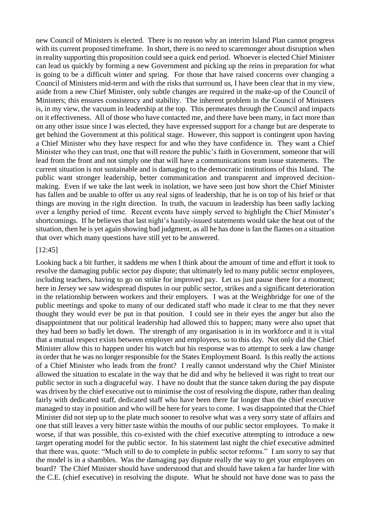new Council of Ministers is elected. There is no reason why an interim Island Plan cannot progress with its current proposed timeframe. In short, there is no need to scaremonger about disruption when in reality supporting this proposition could see a quick end period. Whoever is elected Chief Minister can lead us quickly by forming a new Government and picking up the reins in preparation for what is going to be a difficult winter and spring. For those that have raised concerns over changing a Council of Ministers mid-term and with the risks that surround us, I have been clear that in my view, aside from a new Chief Minister, only subtle changes are required in the make-up of the Council of Ministers; this ensures consistency and stability. The inherent problem in the Council of Ministers is, in my view, the vacuum in leadership at the top. This permeates through the Council and impacts on it effectiveness. All of those who have contacted me, and there have been many, in fact more than on any other issue since I was elected, they have expressed support for a change but are desperate to get behind the Government at this political stage. However, this support is contingent upon having a Chief Minister who they have respect for and who they have confidence in. They want a Chief Minister who they can trust, one that will restore the public's faith in Government, someone that will lead from the front and not simply one that will have a communications team issue statements. The current situation is not sustainable and is damaging to the democratic institutions of this Island. The public want stronger leadership, better communication and transparent and improved decisionmaking. Even if we take the last week in isolation, we have seen just how short the Chief Minister has fallen and be unable to offer us any real signs of leadership, that he is on top of his brief or that things are moving in the right direction. In truth, the vacuum in leadership has been sadly lacking over a lengthy period of time. Recent events have simply served to highlight the Chief Minister's shortcomings. If he believes that last night's hastily-issued statements would take the heat out of the situation, then he is yet again showing bad judgment, as all he has done is fan the flames on a situation that over which many questions have still yet to be answered.

#### [12:45]

Looking back a bit further, it saddens me when I think about the amount of time and effort it took to resolve the damaging public sector pay dispute; that ultimately led to many public sector employees, including teachers, having to go on strike for improved pay. Let us just pause there for a moment; here in Jersey we saw widespread disputes in our public sector, strikes and a significant deterioration in the relationship between workers and their employers. I was at the Weighbridge for one of the public meetings and spoke to many of our dedicated staff who made it clear to me that they never thought they would ever be put in that position. I could see in their eyes the anger but also the disappointment that our political leadership had allowed this to happen; many were also upset that they had been so badly let down. The strength of any organisation is in its workforce and it is vital that a mutual respect exists between employer and employees, so to this day. Not only did the Chief Minister allow this to happen under his watch but his response was to attempt to seek a law change in order that he was no longer responsible for the States Employment Board. Is this really the actions of a Chief Minister who leads from the front? I really cannot understand why the Chief Minister allowed the situation to escalate in the way that he did and why he believed it was right to treat our public sector in such a disgraceful way. I have no doubt that the stance taken during the pay dispute was driven by the chief executive out to minimise the cost of resolving the dispute, rather than dealing fairly with dedicated staff, dedicated staff who have been there far longer than the chief executive managed to stay in position and who will be here for years to come. I was disappointed that the Chief Minister did not step up to the plate much sooner to resolve what was a very sorry state of affairs and one that still leaves a very bitter taste within the mouths of our public sector employees. To make it worse, if that was possible, this co-existed with the chief executive attempting to introduce a new target operating model for the public sector. In his statement last night the chief executive admitted that there was, quote: "Much still to do to complete in public sector reforms." I am sorry to say that the model is in a shambles. Was the damaging pay dispute really the way to get your employees on board? The Chief Minister should have understood that and should have taken a far harder line with the C.E. (chief executive) in resolving the dispute. What he should not have done was to pass the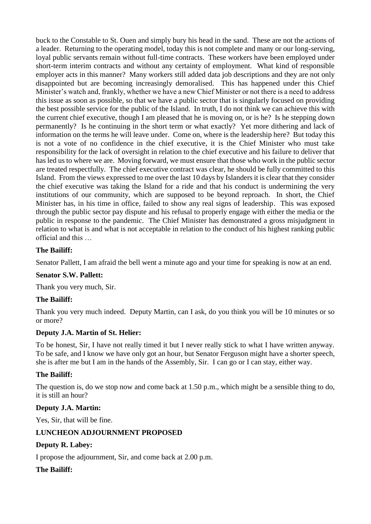buck to the Constable to St. Ouen and simply bury his head in the sand. These are not the actions of a leader. Returning to the operating model, today this is not complete and many or our long-serving, loyal public servants remain without full-time contracts. These workers have been employed under short-term interim contracts and without any certainty of employment. What kind of responsible employer acts in this manner? Many workers still added data job descriptions and they are not only disappointed but are becoming increasingly demoralised. This has happened under this Chief Minister's watch and, frankly, whether we have a new Chief Minister or not there is a need to address this issue as soon as possible, so that we have a public sector that is singularly focused on providing the best possible service for the public of the Island. In truth, I do not think we can achieve this with the current chief executive, though I am pleased that he is moving on, or is he? Is he stepping down permanently? Is he continuing in the short term or what exactly? Yet more dithering and lack of information on the terms he will leave under. Come on, where is the leadership here? But today this is not a vote of no confidence in the chief executive, it is the Chief Minister who must take responsibility for the lack of oversight in relation to the chief executive and his failure to deliver that has led us to where we are. Moving forward, we must ensure that those who work in the public sector are treated respectfully. The chief executive contract was clear, he should be fully committed to this Island. From the views expressed to me over the last 10 days by Islanders it is clear that they consider the chief executive was taking the Island for a ride and that his conduct is undermining the very institutions of our community, which are supposed to be beyond reproach. In short, the Chief Minister has, in his time in office, failed to show any real signs of leadership. This was exposed through the public sector pay dispute and his refusal to properly engage with either the media or the public in response to the pandemic. The Chief Minister has demonstrated a gross misjudgment in relation to what is and what is not acceptable in relation to the conduct of his highest ranking public official and this …

## **The Bailiff:**

Senator Pallett, I am afraid the bell went a minute ago and your time for speaking is now at an end.

## **Senator S.W. Pallett:**

Thank you very much, Sir.

## **The Bailiff:**

Thank you very much indeed. Deputy Martin, can I ask, do you think you will be 10 minutes or so or more?

## **Deputy J.A. Martin of St. Helier:**

To be honest, Sir, I have not really timed it but I never really stick to what I have written anyway. To be safe, and I know we have only got an hour, but Senator Ferguson might have a shorter speech, she is after me but I am in the hands of the Assembly, Sir. I can go or I can stay, either way.

## **The Bailiff:**

The question is, do we stop now and come back at 1.50 p.m., which might be a sensible thing to do, it is still an hour?

#### **Deputy J.A. Martin:**

Yes, Sir, that will be fine.

## <span id="page-35-0"></span>**LUNCHEON ADJOURNMENT PROPOSED**

## **Deputy R. Labey:**

I propose the adjournment, Sir, and come back at 2.00 p.m.

## **The Bailiff:**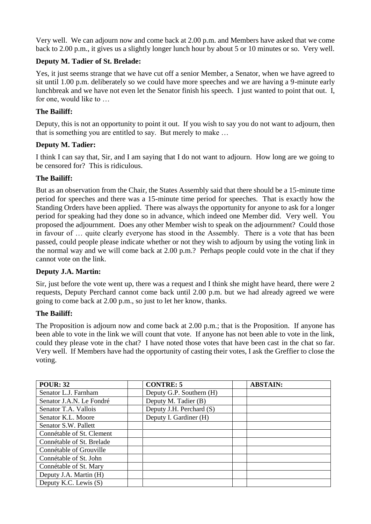Very well. We can adjourn now and come back at 2.00 p.m. and Members have asked that we come back to 2.00 p.m., it gives us a slightly longer lunch hour by about 5 or 10 minutes or so. Very well.

## **Deputy M. Tadier of St. Brelade:**

Yes, it just seems strange that we have cut off a senior Member, a Senator, when we have agreed to sit until 1.00 p.m. deliberately so we could have more speeches and we are having a 9-minute early lunchbreak and we have not even let the Senator finish his speech. I just wanted to point that out. I, for one, would like to …

## **The Bailiff:**

Deputy, this is not an opportunity to point it out. If you wish to say you do not want to adjourn, then that is something you are entitled to say. But merely to make …

## **Deputy M. Tadier:**

I think I can say that, Sir, and I am saying that I do not want to adjourn. How long are we going to be censored for? This is ridiculous.

## **The Bailiff:**

But as an observation from the Chair, the States Assembly said that there should be a 15-minute time period for speeches and there was a 15-minute time period for speeches. That is exactly how the Standing Orders have been applied. There was always the opportunity for anyone to ask for a longer period for speaking had they done so in advance, which indeed one Member did. Very well. You proposed the adjournment. Does any other Member wish to speak on the adjournment? Could those in favour of … quite clearly everyone has stood in the Assembly. There is a vote that has been passed, could people please indicate whether or not they wish to adjourn by using the voting link in the normal way and we will come back at 2.00 p.m.? Perhaps people could vote in the chat if they cannot vote on the link.

### **Deputy J.A. Martin:**

Sir, just before the vote went up, there was a request and I think she might have heard, there were 2 requests, Deputy Perchard cannot come back until 2.00 p.m. but we had already agreed we were going to come back at 2.00 p.m., so just to let her know, thanks.

### **The Bailiff:**

The Proposition is adjourn now and come back at 2.00 p.m.; that is the Proposition. If anyone has been able to vote in the link we will count that vote. If anyone has not been able to vote in the link, could they please vote in the chat? I have noted those votes that have been cast in the chat so far. Very well. If Members have had the opportunity of casting their votes, I ask the Greffier to close the voting.

| <b>POUR: 32</b>           | <b>CONTRE: 5</b>         | <b>ABSTAIN:</b> |
|---------------------------|--------------------------|-----------------|
| Senator L.J. Farnham      | Deputy G.P. Southern (H) |                 |
| Senator J.A.N. Le Fondré  | Deputy M. Tadier (B)     |                 |
| Senator T.A. Vallois      | Deputy J.H. Perchard (S) |                 |
| Senator K.L. Moore        | Deputy I. Gardiner (H)   |                 |
| Senator S.W. Pallett      |                          |                 |
| Connétable of St. Clement |                          |                 |
| Connétable of St. Brelade |                          |                 |
| Connétable of Grouville   |                          |                 |
| Connétable of St. John    |                          |                 |
| Connétable of St. Mary    |                          |                 |
| Deputy J.A. Martin (H)    |                          |                 |
| Deputy K.C. Lewis (S)     |                          |                 |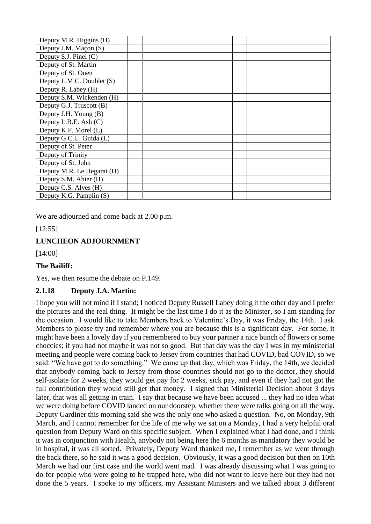| Deputy M.R. Higgins (H)    |  |  |
|----------------------------|--|--|
| Deputy J.M. Maçon (S)      |  |  |
| Deputy S.J. Pinel (C)      |  |  |
| Deputy of St. Martin       |  |  |
| Deputy of St. Ouen         |  |  |
| Deputy L.M.C. Doublet (S)  |  |  |
| Deputy R. Labey (H)        |  |  |
| Deputy S.M. Wickenden (H)  |  |  |
| Deputy G.J. Truscott (B)   |  |  |
| Deputy J.H. Young (B)      |  |  |
| Deputy L.B.E. Ash (C)      |  |  |
| Deputy K.F. Morel (L)      |  |  |
| Deputy G.C.U. Guida (L)    |  |  |
| Deputy of St. Peter        |  |  |
| Deputy of Trinity          |  |  |
| Deputy of St. John         |  |  |
| Deputy M.R. Le Hegarat (H) |  |  |
| Deputy S.M. Ahier (H)      |  |  |
| Deputy C.S. Alves (H)      |  |  |
| Deputy K.G. Pamplin (S)    |  |  |

We are adjourned and come back at 2.00 p.m.

[12:55]

### **LUNCHEON ADJOURNMENT**

[14:00]

### **The Bailiff:**

Yes, we then resume the debate on P.149.

### **2.1.18 Deputy J.A. Martin:**

I hope you will not mind if I stand; I noticed Deputy Russell Labey doing it the other day and I prefer the pictures and the real thing. It might be the last time I do it as the Minister, so I am standing for the occasion. I would like to take Members back to Valentine's Day, it was Friday, the 14th. I ask Members to please try and remember where you are because this is a significant day. For some, it might have been a lovely day if you remembered to buy your partner a nice bunch of flowers or some choccies; if you had not maybe it was not so good. But that day was the day I was in my ministerial meeting and people were coming back to Jersey from countries that had COVID, bad COVID, so we said: "We have got to do something." We came up that day, which was Friday, the 14th, we decided that anybody coming back to Jersey from those countries should not go to the doctor, they should self-isolate for 2 weeks, they would get pay for 2 weeks, sick pay, and even if they had not got the full contribution they would still get that money. I signed that Ministerial Decision about 3 days later, that was all getting in train. I say that because we have been accused ... they had no idea what we were doing before COVID landed on our doorstep, whether there were talks going on all the way. Deputy Gardiner this morning said she was the only one who asked a question. No, on Monday, 9th March, and I cannot remember for the life of me why we sat on a Monday, I had a very helpful oral question from Deputy Ward on this specific subject. When I explained what I had done, and I think it was in conjunction with Health, anybody not being here the 6 months as mandatory they would be in hospital, it was all sorted. Privately, Deputy Ward thanked me, I remember as we went through the back there, so he said it was a good decision. Obviously, it was a good decision but then on 10th March we had our first case and the world went mad. I was already discussing what I was going to do for people who were going to be trapped here, who did not want to leave here but they had not done the 5 years. I spoke to my officers, my Assistant Ministers and we talked about 3 different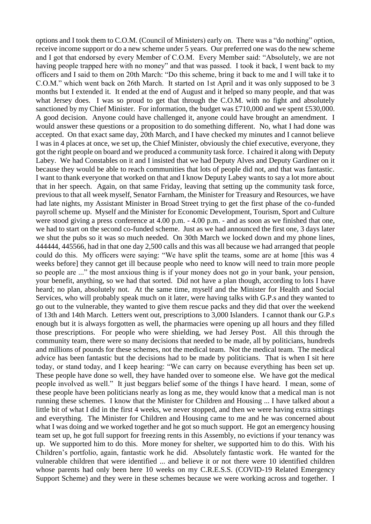options and I took them to C.O.M. (Council of Ministers) early on. There was a "do nothing" option, receive income support or do a new scheme under 5 years. Our preferred one was do the new scheme and I got that endorsed by every Member of C.O.M. Every Member said: "Absolutely, we are not having people trapped here with no money" and that was passed. I took it back, I went back to my officers and I said to them on 20th March: "Do this scheme, bring it back to me and I will take it to C.O.M." which went back on 26th March. It started on 1st April and it was only supposed to be 3 months but I extended it. It ended at the end of August and it helped so many people, and that was what Jersey does. I was so proud to get that through the C.O.M. with no fight and absolutely sanctioned by my Chief Minister. For information, the budget was £710,000 and we spent £530,000. A good decision. Anyone could have challenged it, anyone could have brought an amendment. I would answer these questions or a proposition to do something different. No, what I had done was accepted. On that exact same day, 20th March, and I have checked my minutes and I cannot believe I was in 4 places at once, we set up, the Chief Minister, obviously the chief executive, everyone, they got the right people on board and we produced a community task force. I chaired it along with Deputy Labey. We had Constables on it and I insisted that we had Deputy Alves and Deputy Gardiner on it because they would be able to reach communities that lots of people did not, and that was fantastic. I want to thank everyone that worked on that and I know Deputy Labey wants to say a lot more about that in her speech. Again, on that same Friday, leaving that setting up the community task force, previous to that all week myself, Senator Farnham, the Minister for Treasury and Resources, we have had late nights, my Assistant Minister in Broad Street trying to get the first phase of the co-funded payroll scheme up. Myself and the Minister for Economic Development, Tourism, Sport and Culture were stood giving a press conference at 4.00 p.m. - 4.00 p.m. - and as soon as we finished that one, we had to start on the second co-funded scheme. Just as we had announced the first one, 3 days later we shut the pubs so it was so much needed. On 30th March we locked down and my phone lines, 444444, 445566, had in that one day 2,500 calls and this was all because we had arranged that people could do this. My officers were saying: "We have split the teams, some are at home [this was 4 weeks before] they cannot get ill because people who need to know will need to train more people so people are ..." the most anxious thing is if your money does not go in your bank, your pension, your benefit, anything, so we had that sorted. Did not have a plan though, according to lots I have heard; no plan, absolutely not. At the same time, myself and the Minister for Health and Social Services, who will probably speak much on it later, were having talks with G.P.s and they wanted to go out to the vulnerable, they wanted to give them rescue packs and they did that over the weekend of 13th and 14th March. Letters went out, prescriptions to 3,000 Islanders. I cannot thank our G.P.s enough but it is always forgotten as well, the pharmacies were opening up all hours and they filled those prescriptions. For people who were shielding, we had Jersey Post. All this through the community team, there were so many decisions that needed to be made, all by politicians, hundreds and millions of pounds for these schemes, not the medical team. Not the medical team. The medical advice has been fantastic but the decisions had to be made by politicians. That is when I sit here today, or stand today, and I keep hearing: "We can carry on because everything has been set up. These people have done so well, they have handed over to someone else. We have got the medical people involved as well." It just beggars belief some of the things I have heard. I mean, some of these people have been politicians nearly as long as me, they would know that a medical man is not running these schemes. I know that the Minister for Children and Housing ... I have talked about a little bit of what I did in the first 4 weeks, we never stopped, and then we were having extra sittings and everything. The Minister for Children and Housing came to me and he was concerned about what I was doing and we worked together and he got so much support. He got an emergency housing team set up, he got full support for freezing rents in this Assembly, no evictions if your tenancy was up. We supported him to do this. More money for shelter, we supported him to do this. With his Children's portfolio, again, fantastic work he did. Absolutely fantastic work. He wanted for the vulnerable children that were identified ... and believe it or not there were 10 identified children whose parents had only been here 10 weeks on my C.R.E.S.S. (COVID-19 Related Emergency Support Scheme) and they were in these schemes because we were working across and together. I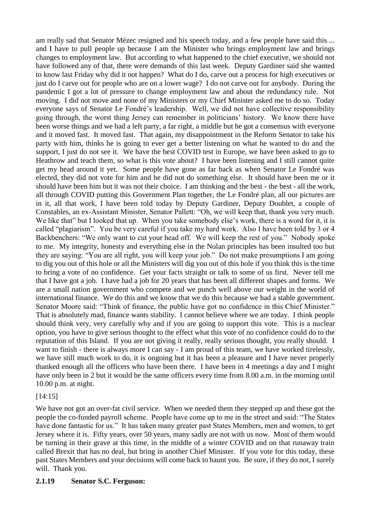am really sad that Senator Mézec resigned and his speech today, and a few people have said this ... and I have to pull people up because I am the Minister who brings employment law and brings changes to employment law. But according to what happened to the chief executive, we should not have followed any of that, there were demands of this last week. Deputy Gardiner said she wanted to know last Friday why did it not happen? What do I do, carve out a process for high executives or just do I carve out for people who are on a lower wage? I do not carve out for anybody. During the pandemic I got a lot of pressure to change employment law and about the redundancy rule. Not moving. I did not move and none of my Ministers or my Chief Minister asked me to do so. Today everyone says of Senator Le Fondré's leadership. Well, we did not have collective responsibility going through, the worst thing Jersey can remember in politicians' history. We know there have been worse things and we had a left party, a far right, a middle but he got a consensus with everyone and it moved fast. It moved fast. That again, my disappointment in the Reform Senator to take his party with him, thinks he is going to ever get a better listening on what he wanted to do and the support, I just do not see it. We have the best COVID test in Europe, we have been asked to go to Heathrow and teach them, so what is this vote about? I have been listening and I still cannot quite get my head around it yet. Some people have gone as far back as when Senator Le Fondré was elected, they did not vote for him and he did not do something else. It should have been me or it should have been him but it was not their choice. I am thinking and the best - the best - all the work, all through COVID putting this Government Plan together, the Le Fondré plan, all our pictures are in it, all that work, I have been told today by Deputy Gardiner, Deputy Doublet, a couple of Constables, an ex-Assistant Minister, Senator Pallett: "Oh, we will keep that, thank you very much. We like that" but I looked that up. When you take somebody else's work, there is a word for it, it is called "plagiarism". You be very careful if you take my hard work. Also I have been told by 3 or 4 Backbenchers: "We only want to cut your head off. We will keep the rest of you." Nobody spoke to me. My integrity, honesty and everything else in the Nolan principles has been insulted too but they are saying: "You are all right, you will keep your job." Do not make presumptions I am going to dig you out of this hole or all the Ministers will dig you out of this hole if you think this is the time to bring a vote of no confidence. Get your facts straight or talk to some of us first. Never tell me that I have got a job. I have had a job for 20 years that has been all different shapes and forms. We are a small nation government who compete and we punch well above our weight in the world of international finance. We do this and we know that we do this because we had a stable government. Senator Moore said: "Think of finance, the public have got no confidence in this Chief Minister." That is absolutely mad, finance wants stability. I cannot believe where we are today. I think people should think very, very carefully why and if you are going to support this vote. This is a nuclear option, you have to give serious thought to the effect what this vote of no confidence could do to the reputation of this Island. If you are not giving it really, really serious thought, you really should. I want to finish - there is always more I can say - I am proud of this team, we have worked tirelessly, we have still much work to do, it is ongoing but it has been a pleasure and I have never properly thanked enough all the officers who have been there. I have been in 4 meetings a day and I might have only been in 2 but it would be the same officers every time from 8.00 a.m. in the morning until 10.00 p.m. at night.

[14:15]

We have not got an over-fat civil service. When we needed them they stepped up and these got the people the co-funded payroll scheme. People have come up to me in the street and said: "The States have done fantastic for us." It has taken many greater past States Members, men and women, to get Jersey where it is. Fifty years, over 50 years, many sadly are not with us now. Most of them would be turning in their grave at this time, in the middle of a winter COVID and on that runaway train called Brexit that has no deal, but bring in another Chief Minister. If you vote for this today, these past States Members and your decisions will come back to haunt you. Be sure, if they do not, I surely will. Thank you.

### **2.1.19 Senator S.C. Ferguson:**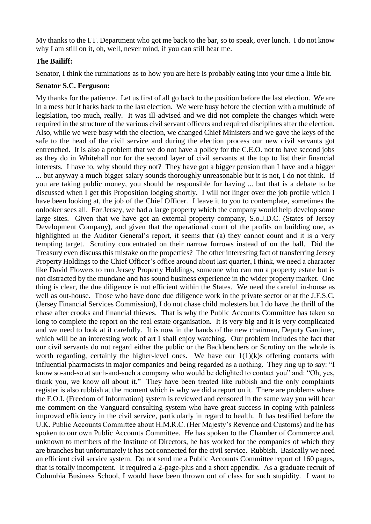My thanks to the I.T. Department who got me back to the bar, so to speak, over lunch. I do not know why I am still on it, oh, well, never mind, if you can still hear me.

### **The Bailiff:**

Senator, I think the ruminations as to how you are here is probably eating into your time a little bit.

### **Senator S.C. Ferguson:**

My thanks for the patience. Let us first of all go back to the position before the last election. We are in a mess but it harks back to the last election. We were busy before the election with a multitude of legislation, too much, really. It was ill-advised and we did not complete the changes which were required in the structure of the various civil servant officers and required disciplines after the election. Also, while we were busy with the election, we changed Chief Ministers and we gave the keys of the safe to the head of the civil service and during the election process our new civil servants got entrenched. It is also a problem that we do not have a policy for the C.E.O. not to have second jobs as they do in Whitehall nor for the second layer of civil servants at the top to list their financial interests. I have to, why should they not? They have got a bigger pension than I have and a bigger ... but anyway a much bigger salary sounds thoroughly unreasonable but it is not, I do not think. If you are taking public money, you should be responsible for having ... but that is a debate to be discussed when I get this Proposition lodging shortly. I will not linger over the job profile which I have been looking at, the job of the Chief Officer. I leave it to you to contemplate, sometimes the onlooker sees all. For Jersey, we had a large property which the company would help develop some large sites. Given that we have got an external property company, S.o.J.D.C. (States of Jersey Development Company), and given that the operational count of the profits on building one, as highlighted in the Auditor General's report, it seems that (a) they cannot count and it is a very tempting target. Scrutiny concentrated on their narrow furrows instead of on the ball. Did the Treasury even discuss this mistake on the properties? The other interesting fact of transferring Jersey Property Holdings to the Chief Officer's office around about last quarter, I think, we need a character like David Flowers to run Jersey Property Holdings, someone who can run a property estate but is not distracted by the mundane and has sound business experience in the wider property market. One thing is clear, the due diligence is not efficient within the States. We need the careful in-house as well as out-house. Those who have done due diligence work in the private sector or at the J.F.S.C. (Jersey Financial Services Commission), I do not chase child molesters but I do have the thrill of the chase after crooks and financial thieves. That is why the Public Accounts Committee has taken so long to complete the report on the real estate organisation. It is very big and it is very complicated and we need to look at it carefully. It is now in the hands of the new chairman, Deputy Gardiner, which will be an interesting work of art I shall enjoy watching. Our problem includes the fact that our civil servants do not regard either the public or the Backbenchers or Scrutiny on the whole is worth regarding, certainly the higher-level ones. We have our  $1(1)(k)$ s offering contacts with influential pharmacists in major companies and being regarded as a nothing. They ring up to say: "I know so-and-so at such-and-such a company who would be delighted to contact you" and: "Oh, yes, thank you, we know all about it." They have been treated like rubbish and the only complaints register is also rubbish at the moment which is why we did a report on it. There are problems where the F.O.I. (Freedom of Information) system is reviewed and censored in the same way you will hear me comment on the Vanguard consulting system who have great success in coping with painless improved efficiency in the civil service, particularly in regard to health. It has testified before the U.K. Public Accounts Committee about H.M.R.C. (Her Majesty's Revenue and Customs) and he has spoken to our own Public Accounts Committee. He has spoken to the Chamber of Commerce and, unknown to members of the Institute of Directors, he has worked for the companies of which they are branches but unfortunately it has not connected for the civil service. Rubbish. Basically we need an efficient civil service system. Do not send me a Public Accounts Committee report of 160 pages, that is totally incompetent. It required a 2-page-plus and a short appendix. As a graduate recruit of Columbia Business School, I would have been thrown out of class for such stupidity. I want to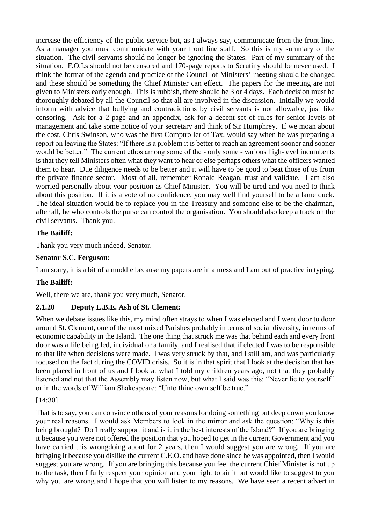increase the efficiency of the public service but, as I always say, communicate from the front line. As a manager you must communicate with your front line staff. So this is my summary of the situation. The civil servants should no longer be ignoring the States. Part of my summary of the situation. F.O.I.s should not be censored and 170-page reports to Scrutiny should be never used. I think the format of the agenda and practice of the Council of Ministers' meeting should be changed and these should be something the Chief Minister can effect. The papers for the meeting are not given to Ministers early enough. This is rubbish, there should be 3 or 4 days. Each decision must be thoroughly debated by all the Council so that all are involved in the discussion. Initially we would inform with advice that bullying and contradictions by civil servants is not allowable, just like censoring. Ask for a 2-page and an appendix, ask for a decent set of rules for senior levels of management and take some notice of your secretary and think of Sir Humphrey. If we moan about the cost, Chris Swinson, who was the first Comptroller of Tax, would say when he was preparing a report on leaving the States: "If there is a problem it is better to reach an agreement sooner and sooner would be better." The current ethos among some of the - only some - various high-level incumbents is that they tell Ministers often what they want to hear or else perhaps others what the officers wanted them to hear. Due diligence needs to be better and it will have to be good to beat those of us from the private finance sector. Most of all, remember Ronald Reagan, trust and validate. I am also worried personally about your position as Chief Minister. You will be tired and you need to think about this position. If it is a vote of no confidence, you may well find yourself to be a lame duck. The ideal situation would be to replace you in the Treasury and someone else to be the chairman, after all, he who controls the purse can control the organisation. You should also keep a track on the civil servants. Thank you.

## **The Bailiff:**

Thank you very much indeed, Senator.

## **Senator S.C. Ferguson:**

I am sorry, it is a bit of a muddle because my papers are in a mess and I am out of practice in typing.

### **The Bailiff:**

Well, there we are, thank you very much, Senator.

# **2.1.20 Deputy L.B.E. Ash of St. Clement:**

When we debate issues like this, my mind often strays to when I was elected and I went door to door around St. Clement, one of the most mixed Parishes probably in terms of social diversity, in terms of economic capability in the Island. The one thing that struck me was that behind each and every front door was a life being led, individual or a family, and I realised that if elected I was to be responsible to that life when decisions were made. I was very struck by that, and I still am, and was particularly focused on the fact during the COVID crisis. So it is in that spirit that I look at the decision that has been placed in front of us and I look at what I told my children years ago, not that they probably listened and not that the Assembly may listen now, but what I said was this: "Never lie to yourself" or in the words of William Shakespeare: "Unto thine own self be true."

### [14:30]

That is to say, you can convince others of your reasons for doing something but deep down you know your real reasons. I would ask Members to look in the mirror and ask the question: "Why is this being brought? Do I really support it and is it in the best interests of the Island?" If you are bringing it because you were not offered the position that you hoped to get in the current Government and you have carried this wrongdoing about for 2 years, then I would suggest you are wrong. If you are bringing it because you dislike the current C.E.O. and have done since he was appointed, then I would suggest you are wrong. If you are bringing this because you feel the current Chief Minister is not up to the task, then I fully respect your opinion and your right to air it but would like to suggest to you why you are wrong and I hope that you will listen to my reasons. We have seen a recent advert in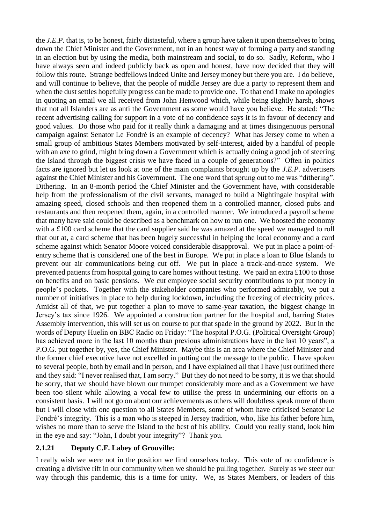the *J.E.P.* that is, to be honest, fairly distasteful, where a group have taken it upon themselves to bring down the Chief Minister and the Government, not in an honest way of forming a party and standing in an election but by using the media, both mainstream and social, to do so. Sadly, Reform, who I have always seen and indeed publicly back as open and honest, have now decided that they will follow this route. Strange bedfellows indeed Unite and Jersey money but there you are. I do believe, and will continue to believe, that the people of middle Jersey are due a party to represent them and when the dust settles hopefully progress can be made to provide one. To that end I make no apologies in quoting an email we all received from John Henwood which, while being slightly harsh, shows that not all Islanders are as anti the Government as some would have you believe. He stated: "The recent advertising calling for support in a vote of no confidence says it is in favour of decency and good values. Do those who paid for it really think a damaging and at times disingenuous personal campaign against Senator Le Fondré is an example of decency? What has Jersey come to when a small group of ambitious States Members motivated by self-interest, aided by a handful of people with an axe to grind, might bring down a Government which is actually doing a good job of steering the Island through the biggest crisis we have faced in a couple of generations?" Often in politics facts are ignored but let us look at one of the main complaints brought up by the *J.E.P.* advertisers against the Chief Minister and his Government. The one word that sprung out to me was "dithering". Dithering. In an 8-month period the Chief Minister and the Government have, with considerable help from the professionalism of the civil servants, managed to build a Nightingale hospital with amazing speed, closed schools and then reopened them in a controlled manner, closed pubs and restaurants and then reopened them, again, in a controlled manner. We introduced a payroll scheme that many have said could be described as a benchmark on how to run one. We boosted the economy with a £100 card scheme that the card supplier said he was amazed at the speed we managed to roll that out at, a card scheme that has been hugely successful in helping the local economy and a card scheme against which Senator Moore voiced considerable disapproval. We put in place a point-ofentry scheme that is considered one of the best in Europe. We put in place a loan to Blue Islands to prevent our air communications being cut off. We put in place a track-and-trace system. We prevented patients from hospital going to care homes without testing. We paid an extra £100 to those on benefits and on basic pensions. We cut employee social security contributions to put money in people's pockets. Together with the stakeholder companies who performed admirably, we put a number of initiatives in place to help during lockdown, including the freezing of electricity prices. Amidst all of that, we put together a plan to move to same-year taxation, the biggest change in Jersey's tax since 1926. We appointed a construction partner for the hospital and, barring States Assembly intervention, this will set us on course to put that spade in the ground by 2022. But in the words of Deputy Huelin on BBC Radio on Friday: "The hospital P.O.G. (Political Oversight Group) has achieved more in the last 10 months than previous administrations have in the last 10 years", a P.O.G. put together by, yes, the Chief Minister. Maybe this is an area where the Chief Minister and the former chief executive have not excelled in putting out the message to the public. I have spoken to several people, both by email and in person, and I have explained all that I have just outlined there and they said: "I never realised that, I am sorry." But they do not need to be sorry, it is we that should be sorry, that we should have blown our trumpet considerably more and as a Government we have been too silent while allowing a vocal few to utilise the press in undermining our efforts on a consistent basis. I will not go on about our achievements as others will doubtless speak more of them but I will close with one question to all States Members, some of whom have criticised Senator Le Fondré's integrity. This is a man who is steeped in Jersey tradition, who, like his father before him, wishes no more than to serve the Island to the best of his ability. Could you really stand, look him in the eye and say: "John, I doubt your integrity"? Thank you.

### **2.1.21 Deputy C.F. Labey of Grouville:**

I really wish we were not in the position we find ourselves today. This vote of no confidence is creating a divisive rift in our community when we should be pulling together. Surely as we steer our way through this pandemic, this is a time for unity. We, as States Members, or leaders of this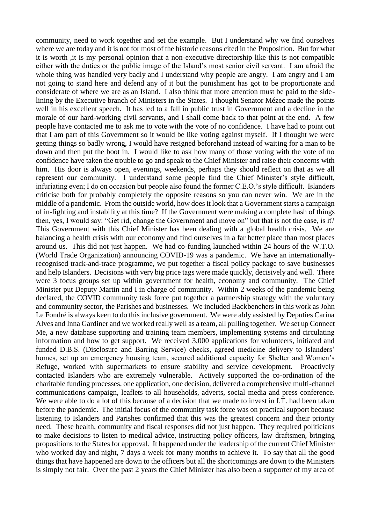community, need to work together and set the example. But I understand why we find ourselves where we are today and it is not for most of the historic reasons cited in the Proposition. But for what it is worth ,it is my personal opinion that a non-executive directorship like this is not compatible either with the duties or the public image of the Island's most senior civil servant. I am afraid the whole thing was handled very badly and I understand why people are angry. I am angry and I am not going to stand here and defend any of it but the punishment has got to be proportionate and considerate of where we are as an Island. I also think that more attention must be paid to the sidelining by the Executive branch of Ministers in the States. I thought Senator Mézec made the points well in his excellent speech. It has led to a fall in public trust in Government and a decline in the morale of our hard-working civil servants, and I shall come back to that point at the end. A few people have contacted me to ask me to vote with the vote of no confidence. I have had to point out that I am part of this Government so it would be like voting against myself. If I thought we were getting things so badly wrong, I would have resigned beforehand instead of waiting for a man to be down and then put the boot in. I would like to ask how many of those voting with the vote of no confidence have taken the trouble to go and speak to the Chief Minister and raise their concerns with him. His door is always open, evenings, weekends, perhaps they should reflect on that as we all represent our community. I understand some people find the Chief Minister's style difficult, infuriating even; I do on occasion but people also found the former C.E.O.'s style difficult. Islanders criticise both for probably completely the opposite reasons so you can never win. We are in the middle of a pandemic. From the outside world, how does it look that a Government starts a campaign of in-fighting and instability at this time? If the Government were making a complete hash of things then, yes, I would say: "Get rid, change the Government and move on" but that is not the case, is it? This Government with this Chief Minister has been dealing with a global health crisis. We are balancing a health crisis with our economy and find ourselves in a far better place than most places around us. This did not just happen. We had co-funding launched within 24 hours of the W.T.O. (World Trade Organization) announcing COVID-19 was a pandemic. We have an internationallyrecognised track-and-trace programme, we put together a fiscal policy package to save businesses and help Islanders. Decisions with very big price tags were made quickly, decisively and well. There were 3 focus groups set up within government for health, economy and community. The Chief Minister put Deputy Martin and I in charge of community. Within 2 weeks of the pandemic being declared, the COVID community task force put together a partnership strategy with the voluntary and community sector, the Parishes and businesses. We included Backbenchers in this work as John Le Fondré is always keen to do this inclusive government. We were ably assisted by Deputies Carina Alves and Inna Gardiner and we worked really well as a team, all pulling together. We set up Connect Me, a new database supporting and training team members, implementing systems and circulating information and how to get support. We received 3,000 applications for volunteers, initiated and funded D.B.S. (Disclosure and Barring Service) checks, agreed medicine delivery to Islanders' homes, set up an emergency housing team, secured additional capacity for Shelter and Women's Refuge, worked with supermarkets to ensure stability and service development. Proactively contacted Islanders who are extremely vulnerable. Actively supported the co-ordination of the charitable funding processes, one application, one decision, delivered a comprehensive multi-channel communications campaign, leaflets to all households, adverts, social media and press conference. We were able to do a lot of this because of a decision that we made to invest in I.T. had been taken before the pandemic. The initial focus of the community task force was on practical support because listening to Islanders and Parishes confirmed that this was the greatest concern and their priority need. These health, community and fiscal responses did not just happen. They required politicians to make decisions to listen to medical advice, instructing policy officers, law draftsmen, bringing propositions to the States for approval. It happened under the leadership of the current Chief Minister who worked day and night, 7 days a week for many months to achieve it. To say that all the good things that have happened are down to the officers but all the shortcomings are down to the Ministers is simply not fair. Over the past 2 years the Chief Minister has also been a supporter of my area of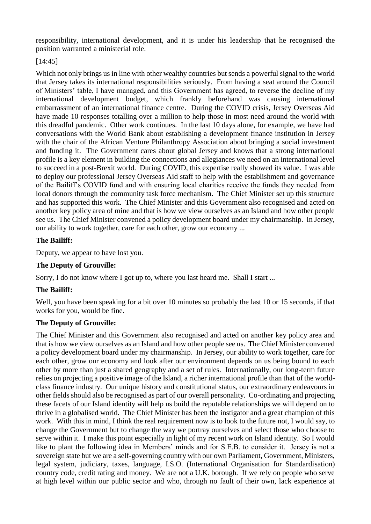responsibility, international development, and it is under his leadership that he recognised the position warranted a ministerial role.

# [14:45]

Which not only brings us in line with other wealthy countries but sends a powerful signal to the world that Jersey takes its international responsibilities seriously. From having a seat around the Council of Ministers' table, I have managed, and this Government has agreed, to reverse the decline of my international development budget, which frankly beforehand was causing international embarrassment of an international finance centre. During the COVID crisis, Jersey Overseas Aid have made 10 responses totalling over a million to help those in most need around the world with this dreadful pandemic. Other work continues. In the last 10 days alone, for example, we have had conversations with the World Bank about establishing a development finance institution in Jersey with the chair of the African Venture Philanthropy Association about bringing a social investment and funding it. The Government cares about global Jersey and knows that a strong international profile is a key element in building the connections and allegiances we need on an international level to succeed in a post-Brexit world. During COVID, this expertise really showed its value. I was able to deploy our professional Jersey Overseas Aid staff to help with the establishment and governance of the Bailiff's COVID fund and with ensuring local charities receive the funds they needed from local donors through the community task force mechanism. The Chief Minister set up this structure and has supported this work. The Chief Minister and this Government also recognised and acted on another key policy area of mine and that is how we view ourselves as an Island and how other people see us. The Chief Minister convened a policy development board under my chairmanship. In Jersey, our ability to work together, care for each other, grow our economy ...

# **The Bailiff:**

Deputy, we appear to have lost you.

# **The Deputy of Grouville:**

Sorry, I do not know where I got up to, where you last heard me. Shall I start ...

# **The Bailiff:**

Well, you have been speaking for a bit over 10 minutes so probably the last 10 or 15 seconds, if that works for you, would be fine.

# **The Deputy of Grouville:**

The Chief Minister and this Government also recognised and acted on another key policy area and that is how we view ourselves as an Island and how other people see us. The Chief Minister convened a policy development board under my chairmanship. In Jersey, our ability to work together, care for each other, grow our economy and look after our environment depends on us being bound to each other by more than just a shared geography and a set of rules. Internationally, our long-term future relies on projecting a positive image of the Island, a richer international profile than that of the worldclass finance industry. Our unique history and constitutional status, our extraordinary endeavours in other fields should also be recognised as part of our overall personality. Co-ordinating and projecting these facets of our Island identity will help us build the reputable relationships we will depend on to thrive in a globalised world. The Chief Minister has been the instigator and a great champion of this work. With this in mind, I think the real requirement now is to look to the future not, I would say, to change the Government but to change the way we portray ourselves and select those who choose to serve within it. I make this point especially in light of my recent work on Island identity. So I would like to plant the following idea in Members' minds and for S.E.B. to consider it. Jersey is not a sovereign state but we are a self-governing country with our own Parliament, Government, Ministers, legal system, judiciary, taxes, language, I.S.O. (International Organisation for Standardisation) country code, credit rating and money. We are not a U.K. borough. If we rely on people who serve at high level within our public sector and who, through no fault of their own, lack experience at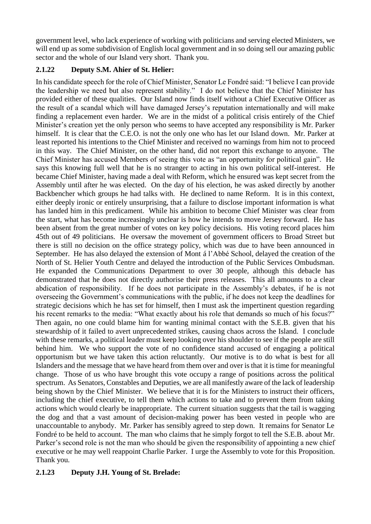government level, who lack experience of working with politicians and serving elected Ministers, we will end up as some subdivision of English local government and in so doing sell our amazing public sector and the whole of our Island very short. Thank you.

# **2.1.22 Deputy S.M. Ahier of St. Helier:**

In his candidate speech for the role of Chief Minister, Senator Le Fondré said: "I believe I can provide the leadership we need but also represent stability." I do not believe that the Chief Minister has provided either of these qualities. Our Island now finds itself without a Chief Executive Officer as the result of a scandal which will have damaged Jersey's reputation internationally and will make finding a replacement even harder. We are in the midst of a political crisis entirely of the Chief Minister's creation yet the only person who seems to have accepted any responsibility is Mr. Parker himself. It is clear that the C.E.O. is not the only one who has let our Island down. Mr. Parker at least reported his intentions to the Chief Minister and received no warnings from him not to proceed in this way. The Chief Minister, on the other hand, did not report this exchange to anyone. The Chief Minister has accused Members of seeing this vote as "an opportunity for political gain". He says this knowing full well that he is no stranger to acting in his own political self-interest. He became Chief Minister, having made a deal with Reform, which he ensured was kept secret from the Assembly until after he was elected. On the day of his election, he was asked directly by another Backbencher which groups he had talks with. He declined to name Reform. It is in this context, either deeply ironic or entirely unsurprising, that a failure to disclose important information is what has landed him in this predicament. While his ambition to become Chief Minister was clear from the start, what has become increasingly unclear is how he intends to move Jersey forward. He has been absent from the great number of votes on key policy decisions. His voting record places him 45th out of 49 politicians. He oversaw the movement of government officers to Broad Street but there is still no decision on the office strategy policy, which was due to have been announced in September. He has also delayed the extension of Mont á l'Abbé School, delayed the creation of the North of St. Helier Youth Centre and delayed the introduction of the Public Services Ombudsman. He expanded the Communications Department to over 30 people, although this debacle has demonstrated that he does not directly authorise their press releases. This all amounts to a clear abdication of responsibility. If he does not participate in the Assembly's debates, if he is not overseeing the Government's communications with the public, if he does not keep the deadlines for strategic decisions which he has set for himself, then I must ask the impertinent question regarding his recent remarks to the media: "What exactly about his role that demands so much of his focus?" Then again, no one could blame him for wanting minimal contact with the S.E.B. given that his stewardship of it failed to avert unprecedented strikes, causing chaos across the Island. I conclude with these remarks, a political leader must keep looking over his shoulder to see if the people are still behind him. We who support the vote of no confidence stand accused of engaging a political opportunism but we have taken this action reluctantly. Our motive is to do what is best for all Islanders and the message that we have heard from them over and over is that it is time for meaningful change. Those of us who have brought this vote occupy a range of positions across the political spectrum. As Senators, Constables and Deputies, we are all manifestly aware of the lack of leadership being shown by the Chief Minister. We believe that it is for the Ministers to instruct their officers, including the chief executive, to tell them which actions to take and to prevent them from taking actions which would clearly be inappropriate. The current situation suggests that the tail is wagging the dog and that a vast amount of decision-making power has been vested in people who are unaccountable to anybody. Mr. Parker has sensibly agreed to step down. It remains for Senator Le Fondré to be held to account. The man who claims that he simply forgot to tell the S.E.B. about Mr. Parker's second role is not the man who should be given the responsibility of appointing a new chief executive or he may well reappoint Charlie Parker. I urge the Assembly to vote for this Proposition. Thank you.

# **2.1.23 Deputy J.H. Young of St. Brelade:**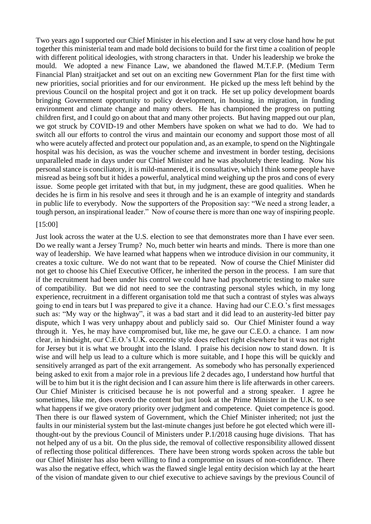Two years ago I supported our Chief Minister in his election and I saw at very close hand how he put together this ministerial team and made bold decisions to build for the first time a coalition of people with different political ideologies, with strong characters in that. Under his leadership we broke the mould. We adopted a new Finance Law, we abandoned the flawed M.T.F.P. (Medium Term Financial Plan) straitjacket and set out on an exciting new Government Plan for the first time with new priorities, social priorities and for our environment. He picked up the mess left behind by the previous Council on the hospital project and got it on track. He set up policy development boards bringing Government opportunity to policy development, in housing, in migration, in funding environment and climate change and many others. He has championed the progress on putting children first, and I could go on about that and many other projects. But having mapped out our plan, we got struck by COVID-19 and other Members have spoken on what we had to do. We had to switch all our efforts to control the virus and maintain our economy and support those most of all who were acutely affected and protect our population and, as an example, to spend on the Nightingale hospital was his decision, as was the voucher scheme and investment in border testing, decisions unparalleled made in days under our Chief Minister and he was absolutely there leading. Now his personal stance is conciliatory, it is mild-mannered, it is consultative, which I think some people have misread as being soft but it hides a powerful, analytical mind weighing up the pros and cons of every issue. Some people get irritated with that but, in my judgment, these are good qualities. When he decides he is firm in his resolve and sees it through and he is an example of integrity and standards in public life to everybody. Now the supporters of the Proposition say: "We need a strong leader, a tough person, an inspirational leader." Now of course there is more than one way of inspiring people.

#### [15:00]

Just look across the water at the U.S. election to see that demonstrates more than I have ever seen. Do we really want a Jersey Trump? No, much better win hearts and minds. There is more than one way of leadership. We have learned what happens when we introduce division in our community, it creates a toxic culture. We do not want that to be repeated. Now of course the Chief Minister did not get to choose his Chief Executive Officer, he inherited the person in the process. I am sure that if the recruitment had been under his control we could have had psychometric testing to make sure of compatibility. But we did not need to see the contrasting personal styles which, in my long experience, recruitment in a different organisation told me that such a contrast of styles was always going to end in tears but I was prepared to give it a chance. Having had our C.E.O.'s first messages such as: "My way or the highway", it was a bad start and it did lead to an austerity-led bitter pay dispute, which I was very unhappy about and publicly said so. Our Chief Minister found a way through it. Yes, he may have compromised but, like me, he gave our C.E.O. a chance. I am now clear, in hindsight, our C.E.O.'s U.K. eccentric style does reflect right elsewhere but it was not right for Jersey but it is what we brought into the Island. I praise his decision now to stand down. It is wise and will help us lead to a culture which is more suitable, and I hope this will be quickly and sensitively arranged as part of the exit arrangement. As somebody who has personally experienced being asked to exit from a major role in a previous life 2 decades ago, I understand how hurtful that will be to him but it is the right decision and I can assure him there is life afterwards in other careers. Our Chief Minister is criticised because he is not powerful and a strong speaker. I agree he sometimes, like me, does overdo the content but just look at the Prime Minister in the U.K. to see what happens if we give oratory priority over judgment and competence. Quiet competence is good. Then there is our flawed system of Government, which the Chief Minister inherited; not just the faults in our ministerial system but the last-minute changes just before he got elected which were illthought-out by the previous Council of Ministers under P.1/2018 causing huge divisions. That has not helped any of us a bit. On the plus side, the removal of collective responsibility allowed dissent of reflecting those political differences. There have been strong words spoken across the table but our Chief Minister has also been willing to find a compromise on issues of non-confidence. There was also the negative effect, which was the flawed single legal entity decision which lay at the heart of the vision of mandate given to our chief executive to achieve savings by the previous Council of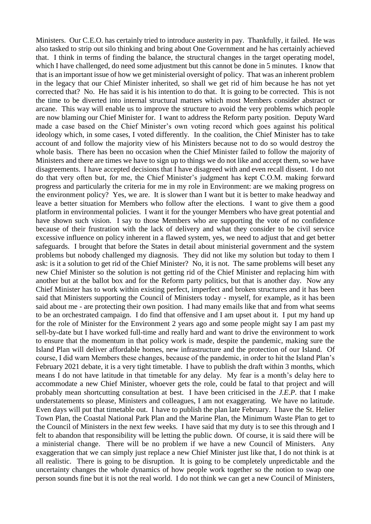Ministers. Our C.E.O. has certainly tried to introduce austerity in pay. Thankfully, it failed. He was also tasked to strip out silo thinking and bring about One Government and he has certainly achieved that. I think in terms of finding the balance, the structural changes in the target operating model, which I have challenged, do need some adjustment but this cannot be done in 5 minutes. I know that that is an important issue of how we get ministerial oversight of policy. That was an inherent problem in the legacy that our Chief Minister inherited, so shall we get rid of him because he has not yet corrected that? No. He has said it is his intention to do that. It is going to be corrected. This is not the time to be diverted into internal structural matters which most Members consider abstract or arcane. This way will enable us to improve the structure to avoid the very problems which people are now blaming our Chief Minister for. I want to address the Reform party position. Deputy Ward made a case based on the Chief Minister's own voting record which goes against his political ideology which, in some cases, I voted differently. In the coalition, the Chief Minister has to take account of and follow the majority view of his Ministers because not to do so would destroy the whole basis. There has been no occasion when the Chief Minister failed to follow the majority of Ministers and there are times we have to sign up to things we do not like and accept them, so we have disagreements. I have accepted decisions that I have disagreed with and even recall dissent. I do not do that very often but, for me, the Chief Minister's judgment has kept C.O.M. making forward progress and particularly the criteria for me in my role in Environment: are we making progress on the environment policy? Yes, we are. It is slower than I want but it is better to make headway and leave a better situation for Members who follow after the elections. I want to give them a good platform in environmental policies. I want it for the younger Members who have great potential and have shown such vision. I say to those Members who are supporting the vote of no confidence because of their frustration with the lack of delivery and what they consider to be civil service excessive influence on policy inherent in a flawed system, yes, we need to adjust that and get better safeguards. I brought that before the States in detail about ministerial government and the system problems but nobody challenged my diagnosis. They did not like my solution but today to them I ask: is it a solution to get rid of the Chief Minister? No, it is not. The same problems will beset any new Chief Minister so the solution is not getting rid of the Chief Minister and replacing him with another but at the ballot box and for the Reform party politics, but that is another day. Now any Chief Minister has to work within existing perfect, imperfect and broken structures and it has been said that Ministers supporting the Council of Ministers today - myself, for example, as it has been said about me - are protecting their own position. I had many emails like that and from what seems to be an orchestrated campaign. I do find that offensive and I am upset about it. I put my hand up for the role of Minister for the Environment 2 years ago and some people might say I am past my sell-by-date but I have worked full-time and really hard and want to drive the environment to work to ensure that the momentum in that policy work is made, despite the pandemic, making sure the Island Plan will deliver affordable homes, new infrastructure and the protection of our Island. Of course, I did warn Members these changes, because of the pandemic, in order to hit the Island Plan's February 2021 debate, it is a very tight timetable. I have to publish the draft within 3 months, which means I do not have latitude in that timetable for any delay. My fear is a month's delay here to accommodate a new Chief Minister, whoever gets the role, could be fatal to that project and will probably mean shortcutting consultation at best. I have been criticised in the *J.E.P.* that I make understatements so please, Ministers and colleagues, I am not exaggerating. We have no latitude. Even days will put that timetable out. I have to publish the plan late February. I have the St. Helier Town Plan, the Coastal National Park Plan and the Marine Plan, the Minimum Waste Plan to get to the Council of Ministers in the next few weeks. I have said that my duty is to see this through and I felt to abandon that responsibility will be letting the public down. Of course, it is said there will be a ministerial change. There will be no problem if we have a new Council of Ministers. Any exaggeration that we can simply just replace a new Chief Minister just like that, I do not think is at all realistic. There is going to be disruption. It is going to be completely unpredictable and the uncertainty changes the whole dynamics of how people work together so the notion to swap one person sounds fine but it is not the real world. I do not think we can get a new Council of Ministers,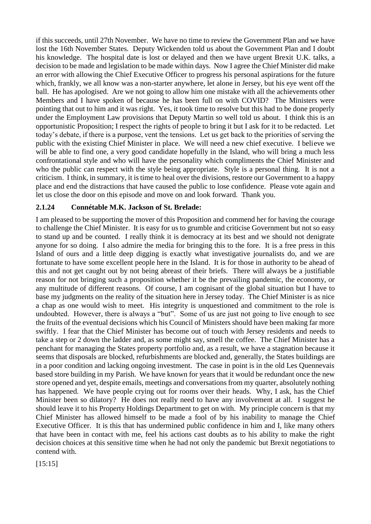if this succeeds, until 27th November. We have no time to review the Government Plan and we have lost the 16th November States. Deputy Wickenden told us about the Government Plan and I doubt his knowledge. The hospital date is lost or delayed and then we have urgent Brexit U.K. talks, a decision to be made and legislation to be made within days. Now I agree the Chief Minister did make an error with allowing the Chief Executive Officer to progress his personal aspirations for the future which, frankly, we all know was a non-starter anywhere, let alone in Jersey, but his eye went off the ball. He has apologised. Are we not going to allow him one mistake with all the achievements other Members and I have spoken of because he has been full on with COVID? The Ministers were pointing that out to him and it was right. Yes, it took time to resolve but this had to be done properly under the Employment Law provisions that Deputy Martin so well told us about. I think this is an opportunistic Proposition; I respect the rights of people to bring it but I ask for it to be redacted. Let today's debate, if there is a purpose, vent the tensions. Let us get back to the priorities of serving the public with the existing Chief Minister in place. We will need a new chief executive. I believe we will be able to find one, a very good candidate hopefully in the Island, who will bring a much less confrontational style and who will have the personality which compliments the Chief Minister and who the public can respect with the style being appropriate. Style is a personal thing. It is not a criticism. I think, in summary, it is time to heal over the divisions, restore our Government to a happy place and end the distractions that have caused the public to lose confidence. Please vote again and let us close the door on this episode and move on and look forward. Thank you.

### **2.1.24 Connétable M.K. Jackson of St. Brelade:**

I am pleased to be supporting the mover of this Proposition and commend her for having the courage to challenge the Chief Minister. It is easy for us to grumble and criticise Government but not so easy to stand up and be counted. I really think it is democracy at its best and we should not denigrate anyone for so doing. I also admire the media for bringing this to the fore. It is a free press in this Island of ours and a little deep digging is exactly what investigative journalists do, and we are fortunate to have some excellent people here in the Island. It is for those in authority to be ahead of this and not get caught out by not being abreast of their briefs. There will always be a justifiable reason for not bringing such a proposition whether it be the prevailing pandemic, the economy, or any multitude of different reasons. Of course, I am cognisant of the global situation but I have to base my judgments on the reality of the situation here in Jersey today. The Chief Minister is as nice a chap as one would wish to meet. His integrity is unquestioned and commitment to the role is undoubted. However, there is always a "but". Some of us are just not going to live enough to see the fruits of the eventual decisions which his Council of Ministers should have been making far more swiftly. I fear that the Chief Minister has become out of touch with Jersey residents and needs to take a step or 2 down the ladder and, as some might say, smell the coffee. The Chief Minister has a penchant for managing the States property portfolio and, as a result, we have a stagnation because it seems that disposals are blocked, refurbishments are blocked and, generally, the States buildings are in a poor condition and lacking ongoing investment. The case in point is in the old Les Quennevais based store building in my Parish. We have known for years that it would be redundant once the new store opened and yet, despite emails, meetings and conversations from my quarter, absolutely nothing has happened. We have people crying out for rooms over their heads. Why, I ask, has the Chief Minister been so dilatory? He does not really need to have any involvement at all. I suggest he should leave it to his Property Holdings Department to get on with. My principle concern is that my Chief Minister has allowed himself to be made a fool of by his inability to manage the Chief Executive Officer. It is this that has undermined public confidence in him and I, like many others that have been in contact with me, feel his actions cast doubts as to his ability to make the right decision choices at this sensitive time when he had not only the pandemic but Brexit negotiations to contend with.

[15:15]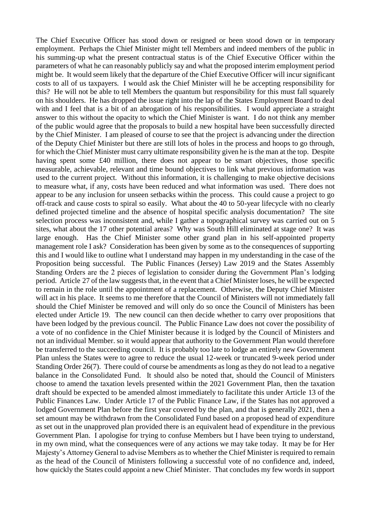The Chief Executive Officer has stood down or resigned or been stood down or in temporary employment. Perhaps the Chief Minister might tell Members and indeed members of the public in his summing-up what the present contractual status is of the Chief Executive Officer within the parameters of what he can reasonably publicly say and what the proposed interim employment period might be. It would seem likely that the departure of the Chief Executive Officer will incur significant costs to all of us taxpayers. I would ask the Chief Minister will he be accepting responsibility for this? He will not be able to tell Members the quantum but responsibility for this must fall squarely on his shoulders. He has dropped the issue right into the lap of the States Employment Board to deal with and I feel that is a bit of an abrogation of his responsibilities. I would appreciate a straight answer to this without the opacity to which the Chief Minister is want. I do not think any member of the public would agree that the proposals to build a new hospital have been successfully directed by the Chief Minister. I am pleased of course to see that the project is advancing under the direction of the Deputy Chief Minister but there are still lots of holes in the process and hoops to go through, for which the Chief Minister must carry ultimate responsibility given he is the man at the top. Despite having spent some £40 million, there does not appear to be smart objectives, those specific measurable, achievable, relevant and time bound objectives to link what previous information was used to the current project. Without this information, it is challenging to make objective decisions to measure what, if any, costs have been reduced and what information was used. There does not appear to be any inclusion for unseen setbacks within the process. This could cause a project to go off-track and cause costs to spiral so easily. What about the 40 to 50-year lifecycle with no clearly defined projected timeline and the absence of hospital specific analysis documentation? The site selection process was inconsistent and, while I gather a topographical survey was carried out on 5 sites, what about the 17 other potential areas? Why was South Hill eliminated at stage one? It was large enough. Has the Chief Minister some other grand plan in his self-appointed property management role I ask? Consideration has been given by some as to the consequences of supporting this and I would like to outline what I understand may happen in my understanding in the case of the Proposition being successful. The Public Finances (Jersey) Law 2019 and the States Assembly Standing Orders are the 2 pieces of legislation to consider during the Government Plan's lodging period. Article 27 of the law suggests that, in the event that a Chief Minister loses, he will be expected to remain in the role until the appointment of a replacement. Otherwise, the Deputy Chief Minister will act in his place. It seems to me therefore that the Council of Ministers will not immediately fall should the Chief Minister be removed and will only do so once the Council of Ministers has been elected under Article 19. The new council can then decide whether to carry over propositions that have been lodged by the previous council. The Public Finance Law does not cover the possibility of a vote of no confidence in the Chief Minister because it is lodged by the Council of Ministers and not an individual Member. so it would appear that authority to the Government Plan would therefore be transferred to the succeeding council. It is probably too late to lodge an entirely new Government Plan unless the States were to agree to reduce the usual 12-week or truncated 9-week period under Standing Order 26(7). There could of course be amendments as long as they do not lead to a negative balance in the Consolidated Fund. It should also be noted that, should the Council of Ministers choose to amend the taxation levels presented within the 2021 Government Plan, then the taxation draft should be expected to be amended almost immediately to facilitate this under Article 13 of the Public Finances Law. Under Article 17 of the Public Finance Law, if the States has not approved a lodged Government Plan before the first year covered by the plan, and that is generally 2021, then a set amount may be withdrawn from the Consolidated Fund based on a proposed head of expenditure as set out in the unapproved plan provided there is an equivalent head of expenditure in the previous Government Plan. I apologise for trying to confuse Members but I have been trying to understand, in my own mind, what the consequences were of any actions we may take today. It may be for Her Majesty's Attorney General to advise Members as to whether the Chief Minister is required to remain as the head of the Council of Ministers following a successful vote of no confidence and, indeed, how quickly the States could appoint a new Chief Minister. That concludes my few words in support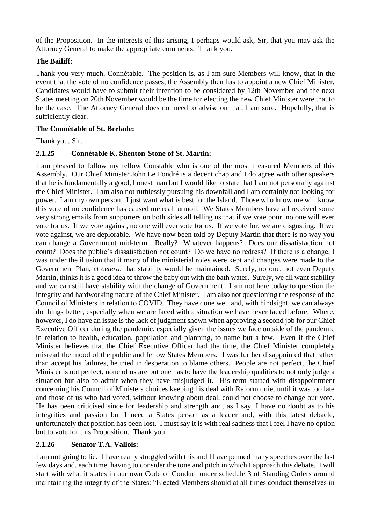of the Proposition. In the interests of this arising, I perhaps would ask, Sir, that you may ask the Attorney General to make the appropriate comments. Thank you.

## **The Bailiff:**

Thank you very much, Connétable. The position is, as I am sure Members will know, that in the event that the vote of no confidence passes, the Assembly then has to appoint a new Chief Minister. Candidates would have to submit their intention to be considered by 12th November and the next States meeting on 20th November would be the time for electing the new Chief Minister were that to be the case. The Attorney General does not need to advise on that, I am sure. Hopefully, that is sufficiently clear.

### **The Connétable of St. Brelade:**

Thank you, Sir.

### **2.1.25 Connétable K. Shenton-Stone of St. Martin:**

I am pleased to follow my fellow Constable who is one of the most measured Members of this Assembly. Our Chief Minister John Le Fondré is a decent chap and I do agree with other speakers that he is fundamentally a good, honest man but I would like to state that I am not personally against the Chief Minister. I am also not ruthlessly pursuing his downfall and I am certainly not looking for power. I am my own person. I just want what is best for the Island. Those who know me will know this vote of no confidence has caused me real turmoil. We States Members have all received some very strong emails from supporters on both sides all telling us that if we vote pour, no one will ever vote for us. If we vote against, no one will ever vote for us. If we vote for, we are disgusting. If we vote against, we are deplorable. We have now been told by Deputy Martin that there is no way you can change a Government mid-term. Really? Whatever happens? Does our dissatisfaction not count? Does the public's dissatisfaction not count? Do we have no redress? If there is a change, I was under the illusion that if many of the ministerial roles were kept and changes were made to the Government Plan, *et cetera*, that stability would be maintained. Surely, no one, not even Deputy Martin, thinks it is a good idea to throw the baby out with the bath water. Surely, we all want stability and we can still have stability with the change of Government. I am not here today to question the integrity and hardworking nature of the Chief Minister. I am also not questioning the response of the Council of Ministers in relation to COVID. They have done well and, with hindsight, we can always do things better, especially when we are faced with a situation we have never faced before. Where, however, I do have an issue is the lack of judgment shown when approving a second job for our Chief Executive Officer during the pandemic, especially given the issues we face outside of the pandemic in relation to health, education, population and planning, to name but a few. Even if the Chief Minister believes that the Chief Executive Officer had the time, the Chief Minister completely misread the mood of the public and fellow States Members. I was further disappointed that rather than accept his failures, he tried in desperation to blame others. People are not perfect, the Chief Minister is not perfect, none of us are but one has to have the leadership qualities to not only judge a situation but also to admit when they have misjudged it. His term started with disappointment concerning his Council of Ministers choices keeping his deal with Reform quiet until it was too late and those of us who had voted, without knowing about deal, could not choose to change our vote. He has been criticised since for leadership and strength and, as I say, I have no doubt as to his integrities and passion but I need a States person as a leader and, with this latest debacle, unfortunately that position has been lost. I must say it is with real sadness that I feel I have no option but to vote for this Proposition. Thank you.

### **2.1.26 Senator T.A. Vallois:**

I am not going to lie. I have really struggled with this and I have penned many speeches over the last few days and, each time, having to consider the tone and pitch in which I approach this debate. I will start with what it states in our own Code of Conduct under schedule 3 of Standing Orders around maintaining the integrity of the States: "Elected Members should at all times conduct themselves in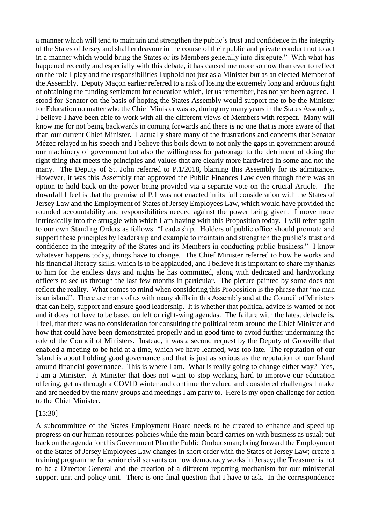a manner which will tend to maintain and strengthen the public's trust and confidence in the integrity of the States of Jersey and shall endeavour in the course of their public and private conduct not to act in a manner which would bring the States or its Members generally into disrepute." With what has happened recently and especially with this debate, it has caused me more so now than ever to reflect on the role I play and the responsibilities I uphold not just as a Minister but as an elected Member of the Assembly. Deputy Maçon earlier referred to a risk of losing the extremely long and arduous fight of obtaining the funding settlement for education which, let us remember, has not yet been agreed. I stood for Senator on the basis of hoping the States Assembly would support me to be the Minister for Education no matter who the Chief Minister was as, during my many years in the States Assembly, I believe I have been able to work with all the different views of Members with respect. Many will know me for not being backwards in coming forwards and there is no one that is more aware of that than our current Chief Minister. I actually share many of the frustrations and concerns that Senator Mézec relayed in his speech and I believe this boils down to not only the gaps in government around our machinery of government but also the willingness for patronage to the detriment of doing the right thing that meets the principles and values that are clearly more hardwired in some and not the many. The Deputy of St. John referred to P.1/2018, blaming this Assembly for its admittance. However, it was this Assembly that approved the Public Finances Law even though there was an option to hold back on the power being provided via a separate vote on the crucial Article. The downfall I feel is that the premise of P.1 was not enacted in its full consideration with the States of Jersey Law and the Employment of States of Jersey Employees Law, which would have provided the rounded accountability and responsibilities needed against the power being given. I move more intrinsically into the struggle with which I am having with this Proposition today. I will refer again to our own Standing Orders as follows: "Leadership. Holders of public office should promote and support these principles by leadership and example to maintain and strengthen the public's trust and confidence in the integrity of the States and its Members in conducting public business." I know whatever happens today, things have to change. The Chief Minister referred to how he works and his financial literacy skills, which is to be applauded, and I believe it is important to share my thanks to him for the endless days and nights he has committed, along with dedicated and hardworking officers to see us through the last few months in particular. The picture painted by some does not reflect the reality. What comes to mind when considering this Proposition is the phrase that "no man is an island". There are many of us with many skills in this Assembly and at the Council of Ministers that can help, support and ensure good leadership. It is whether that political advice is wanted or not and it does not have to be based on left or right-wing agendas. The failure with the latest debacle is, I feel, that there was no consideration for consulting the political team around the Chief Minister and how that could have been demonstrated properly and in good time to avoid further undermining the role of the Council of Ministers. Instead, it was a second request by the Deputy of Grouville that enabled a meeting to be held at a time, which we have learned, was too late. The reputation of our Island is about holding good governance and that is just as serious as the reputation of our Island around financial governance. This is where I am. What is really going to change either way? Yes, I am a Minister. A Minister that does not want to stop working hard to improve our education offering, get us through a COVID winter and continue the valued and considered challenges I make and are needed by the many groups and meetings I am party to. Here is my open challenge for action to the Chief Minister.

### [15:30]

A subcommittee of the States Employment Board needs to be created to enhance and speed up progress on our human resources policies while the main board carries on with business as usual; put back on the agenda for this Government Plan the Public Ombudsman; bring forward the Employment of the States of Jersey Employees Law changes in short order with the States of Jersey Law; create a training programme for senior civil servants on how democracy works in Jersey; the Treasurer is not to be a Director General and the creation of a different reporting mechanism for our ministerial support unit and policy unit. There is one final question that I have to ask. In the correspondence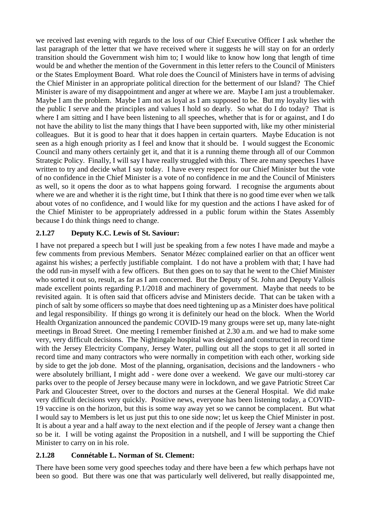we received last evening with regards to the loss of our Chief Executive Officer I ask whether the last paragraph of the letter that we have received where it suggests he will stay on for an orderly transition should the Government wish him to; I would like to know how long that length of time would be and whether the mention of the Government in this letter refers to the Council of Ministers or the States Employment Board. What role does the Council of Ministers have in terms of advising the Chief Minister in an appropriate political direction for the betterment of our Island? The Chief Minister is aware of my disappointment and anger at where we are. Maybe I am just a troublemaker. Maybe I am the problem. Maybe I am not as loyal as I am supposed to be. But my loyalty lies with the public I serve and the principles and values I hold so dearly. So what do I do today? That is where I am sitting and I have been listening to all speeches, whether that is for or against, and I do not have the ability to list the many things that I have been supported with, like my other ministerial colleagues. But it is good to hear that it does happen in certain quarters. Maybe Education is not seen as a high enough priority as I feel and know that it should be. I would suggest the Economic Council and many others certainly get it, and that it is a running theme through all of our Common Strategic Policy. Finally, I will say I have really struggled with this. There are many speeches I have written to try and decide what I say today. I have every respect for our Chief Minister but the vote of no confidence in the Chief Minister is a vote of no confidence in me and the Council of Ministers as well, so it opens the door as to what happens going forward. I recognise the arguments about where we are and whether it is the right time, but I think that there is no good time ever when we talk about votes of no confidence, and I would like for my question and the actions I have asked for of the Chief Minister to be appropriately addressed in a public forum within the States Assembly because I do think things need to change.

## **2.1.27 Deputy K.C. Lewis of St. Saviour:**

I have not prepared a speech but I will just be speaking from a few notes I have made and maybe a few comments from previous Members. Senator Mézec complained earlier on that an officer went against his wishes; a perfectly justifiable complaint. I do not have a problem with that; I have had the odd run-in myself with a few officers. But then goes on to say that he went to the Chief Minister who sorted it out so, result, as far as I am concerned. But the Deputy of St. John and Deputy Vallois made excellent points regarding P.1/2018 and machinery of government. Maybe that needs to be revisited again. It is often said that officers advise and Ministers decide. That can be taken with a pinch of salt by some officers so maybe that does need tightening up as a Minister does have political and legal responsibility. If things go wrong it is definitely our head on the block. When the World Health Organization announced the pandemic COVID-19 many groups were set up, many late-night meetings in Broad Street. One meeting I remember finished at 2.30 a.m. and we had to make some very, very difficult decisions. The Nightingale hospital was designed and constructed in record time with the Jersey Electricity Company, Jersey Water, pulling out all the stops to get it all sorted in record time and many contractors who were normally in competition with each other, working side by side to get the job done. Most of the planning, organisation, decisions and the landowners - who were absolutely brilliant, I might add - were done over a weekend. We gave our multi-storey car parks over to the people of Jersey because many were in lockdown, and we gave Patriotic Street Car Park and Gloucester Street, over to the doctors and nurses at the General Hospital. We did make very difficult decisions very quickly. Positive news, everyone has been listening today, a COVID-19 vaccine is on the horizon, but this is some way away yet so we cannot be complacent. But what I would say to Members is let us just put this to one side now; let us keep the Chief Minister in post. It is about a year and a half away to the next election and if the people of Jersey want a change then so be it. I will be voting against the Proposition in a nutshell, and I will be supporting the Chief Minister to carry on in his role.

# **2.1.28 Connétable L. Norman of St. Clement:**

There have been some very good speeches today and there have been a few which perhaps have not been so good. But there was one that was particularly well delivered, but really disappointed me,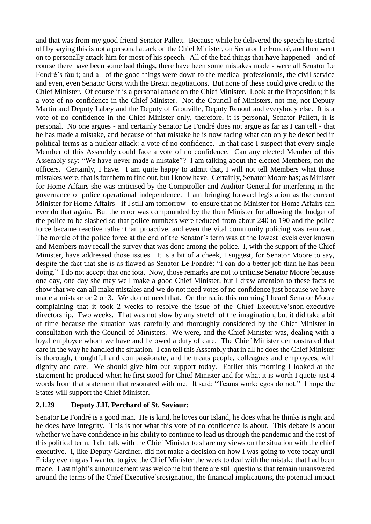and that was from my good friend Senator Pallett. Because while he delivered the speech he started off by saying this is not a personal attack on the Chief Minister, on Senator Le Fondré, and then went on to personally attack him for most of his speech. All of the bad things that have happened - and of course there have been some bad things, there have been some mistakes made - were all Senator Le Fondré's fault; and all of the good things were down to the medical professionals, the civil service and even, even Senator Gorst with the Brexit negotiations. But none of these could give credit to the Chief Minister. Of course it is a personal attack on the Chief Minister. Look at the Proposition; it is a vote of no confidence in the Chief Minister. Not the Council of Ministers, not me, not Deputy Martin and Deputy Labey and the Deputy of Grouville, Deputy Renouf and everybody else. It is a vote of no confidence in the Chief Minister only, therefore, it is personal, Senator Pallett, it is personal. No one argues - and certainly Senator Le Fondré does not argue as far as I can tell - that he has made a mistake, and because of that mistake he is now facing what can only be described in political terms as a nuclear attack: a vote of no confidence. In that case I suspect that every single Member of this Assembly could face a vote of no confidence. Can any elected Member of this Assembly say: "We have never made a mistake"? I am talking about the elected Members, not the officers. Certainly, I have. I am quite happy to admit that, I will not tell Members what those mistakes were, that is for them to find out, but I know have. Certainly, Senator Moore has; as Minister for Home Affairs she was criticised by the Comptroller and Auditor General for interfering in the governance of police operational independence. I am bringing forward legislation as the current Minister for Home Affairs - if I still am tomorrow - to ensure that no Minister for Home Affairs can ever do that again. But the error was compounded by the then Minister for allowing the budget of the police to be slashed so that police numbers were reduced from about 240 to 190 and the police force became reactive rather than proactive, and even the vital community policing was removed. The morale of the police force at the end of the Senator's term was at the lowest levels ever known and Members may recall the survey that was done among the police. I, with the support of the Chief Minister, have addressed those issues. It is a bit of a cheek, I suggest, for Senator Moore to say, despite the fact that she is as flawed as Senator Le Fondré: "I can do a better job than he has been doing." I do not accept that one iota. Now, those remarks are not to criticise Senator Moore because one day, one day she may well make a good Chief Minister, but I draw attention to these facts to show that we can all make mistakes and we do not need votes of no confidence just because we have made a mistake or 2 or 3. We do not need that. On the radio this morning I heard Senator Moore complaining that it took 2 weeks to resolve the issue of the Chief Executive'snon-executive directorship. Two weeks. That was not slow by any stretch of the imagination, but it did take a bit of time because the situation was carefully and thoroughly considered by the Chief Minister in consultation with the Council of Ministers. We were, and the Chief Minister was, dealing with a loyal employee whom we have and he owed a duty of care. The Chief Minister demonstrated that care in the way he handled the situation. I can tell this Assembly that in all he does the Chief Minister is thorough, thoughtful and compassionate, and he treats people, colleagues and employees, with dignity and care. We should give him our support today. Earlier this morning I looked at the statement he produced when he first stood for Chief Minister and for what it is worth I quote just 4 words from that statement that resonated with me. It said: "Teams work; egos do not." I hope the States will support the Chief Minister.

### **2.1.29 Deputy J.H. Perchard of St. Saviour:**

Senator Le Fondré is a good man. He is kind, he loves our Island, he does what he thinks is right and he does have integrity. This is not what this vote of no confidence is about. This debate is about whether we have confidence in his ability to continue to lead us through the pandemic and the rest of this political term. I did talk with the Chief Minister to share my views on the situation with the chief executive. I, like Deputy Gardiner, did not make a decision on how I was going to vote today until Friday evening as I wanted to give the Chief Minister the week to deal with the mistake that had been made. Last night's announcement was welcome but there are still questions that remain unanswered around the terms of the Chief Executive'sresignation, the financial implications, the potential impact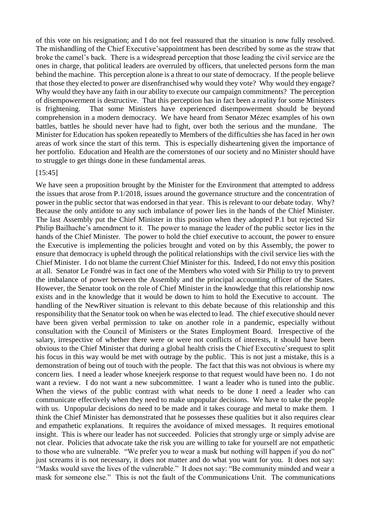of this vote on his resignation; and I do not feel reassured that the situation is now fully resolved. The mishandling of the Chief Executive'sappointment has been described by some as the straw that broke the camel's back. There is a widespread perception that those leading the civil service are the ones in charge, that political leaders are overruled by officers, that unelected persons form the man behind the machine. This perception alone is a threat to our state of democracy. If the people believe that those they elected to power are disenfranchised why would they vote? Why would they engage? Why would they have any faith in our ability to execute our campaign commitments? The perception of disempowerment is destructive. That this perception has in fact been a reality for some Ministers is frightening. That some Ministers have experienced disempowerment should be beyond comprehension in a modern democracy. We have heard from Senator Mézec examples of his own battles, battles he should never have had to fight, over both the serious and the mundane. The Minister for Education has spoken repeatedly to Members of the difficulties she has faced in her own areas of work since the start of this term. This is especially disheartening given the importance of her portfolio. Education and Health are the cornerstones of our society and no Minister should have to struggle to get things done in these fundamental areas.

#### [15:45]

We have seen a proposition brought by the Minister for the Environment that attempted to address the issues that arose from P.1/2018, issues around the governance structure and the concentration of power in the public sector that was endorsed in that year. This is relevant to our debate today. Why? Because the only antidote to any such imbalance of power lies in the hands of the Chief Minister. The last Assembly put the Chief Minister in this position when they adopted P.1 but rejected Sir Philip Bailhache's amendment to it. The power to manage the leader of the public sector lies in the hands of the Chief Minister. The power to hold the chief executive to account, the power to ensure the Executive is implementing the policies brought and voted on by this Assembly, the power to ensure that democracy is upheld through the political relationships with the civil service lies with the Chief Minister. I do not blame the current Chief Minister for this. Indeed, I do not envy this position at all. Senator Le Fondré was in fact one of the Members who voted with Sir Philip to try to prevent the imbalance of power between the Assembly and the principal accounting officer of the States. However, the Senator took on the role of Chief Minister in the knowledge that this relationship now exists and in the knowledge that it would be down to him to hold the Executive to account. The handling of the NewRiver situation is relevant to this debate because of this relationship and this responsibility that the Senator took on when he was elected to lead. The chief executive should never have been given verbal permission to take on another role in a pandemic, especially without consultation with the Council of Ministers or the States Employment Board. Irrespective of the salary, irrespective of whether there were or were not conflicts of interests, it should have been obvious to the Chief Minister that during a global health crisis the Chief Executive'srequest to split his focus in this way would be met with outrage by the public. This is not just a mistake, this is a demonstration of being out of touch with the people. The fact that this was not obvious is where my concern lies. I need a leader whose kneejerk response to that request would have been no. I do not want a review. I do not want a new subcommittee. I want a leader who is tuned into the public. When the views of the public contrast with what needs to be done I need a leader who can communicate effectively when they need to make unpopular decisions. We have to take the people with us. Unpopular decisions do need to be made and it takes courage and metal to make them. I think the Chief Minister has demonstrated that he possesses these qualities but it also requires clear and empathetic explanations. It requires the avoidance of mixed messages. It requires emotional insight. This is where our leader has not succeeded. Policies that strongly urge or simply advise are not clear. Policies that advocate take the risk you are willing to take for yourself are not empathetic to those who are vulnerable. "We prefer you to wear a mask but nothing will happen if you do not" just screams it is not necessary, it does not matter and do what you want for you. It does not say: "Masks would save the lives of the vulnerable." It does not say: "Be community minded and wear a mask for someone else." This is not the fault of the Communications Unit. The communications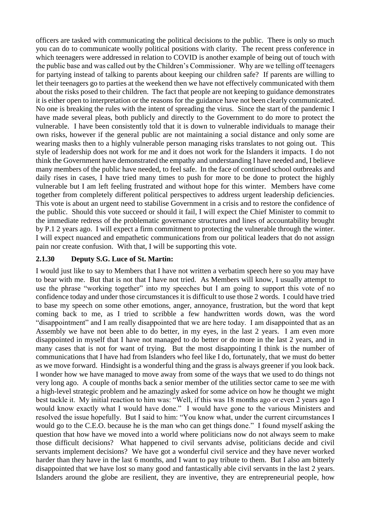officers are tasked with communicating the political decisions to the public. There is only so much you can do to communicate woolly political positions with clarity. The recent press conference in which teenagers were addressed in relation to COVID is another example of being out of touch with the public base and was called out by the Children's Commissioner. Why are we telling off teenagers for partying instead of talking to parents about keeping our children safe? If parents are willing to let their teenagers go to parties at the weekend then we have not effectively communicated with them about the risks posed to their children. The fact that people are not keeping to guidance demonstrates it is either open to interpretation or the reasons for the guidance have not been clearly communicated. No one is breaking the rules with the intent of spreading the virus. Since the start of the pandemic I have made several pleas, both publicly and directly to the Government to do more to protect the vulnerable. I have been consistently told that it is down to vulnerable individuals to manage their own risks, however if the general public are not maintaining a social distance and only some are wearing masks then to a highly vulnerable person managing risks translates to not going out. This style of leadership does not work for me and it does not work for the Islanders it impacts. I do not think the Government have demonstrated the empathy and understanding I have needed and, I believe many members of the public have needed, to feel safe. In the face of continued school outbreaks and daily rises in cases, I have tried many times to push for more to be done to protect the highly vulnerable but I am left feeling frustrated and without hope for this winter. Members have come together from completely different political perspectives to address urgent leadership deficiencies. This vote is about an urgent need to stabilise Government in a crisis and to restore the confidence of the public. Should this vote succeed or should it fail, I will expect the Chief Minister to commit to the immediate redress of the problematic governance structures and lines of accountability brought by P.1 2 years ago. I will expect a firm commitment to protecting the vulnerable through the winter. I will expect nuanced and empathetic communications from our political leaders that do not assign pain nor create confusion. With that, I will be supporting this vote.

## **2.1.30 Deputy S.G. Luce of St. Martin:**

I would just like to say to Members that I have not written a verbatim speech here so you may have to bear with me. But that is not that I have not tried. As Members will know, I usually attempt to use the phrase "working together" into my speeches but I am going to support this vote of no confidence today and under those circumstances it is difficult to use those 2 words. I could have tried to base my speech on some other emotions, anger, annoyance, frustration, but the word that kept coming back to me, as I tried to scribble a few handwritten words down, was the word "disappointment" and I am really disappointed that we are here today. I am disappointed that as an Assembly we have not been able to do better, in my eyes, in the last 2 years. I am even more disappointed in myself that I have not managed to do better or do more in the last 2 years, and in many cases that is not for want of trying. But the most disappointing I think is the number of communications that I have had from Islanders who feel like I do, fortunately, that we must do better as we move forward. Hindsight is a wonderful thing and the grass is always greener if you look back. I wonder how we have managed to move away from some of the ways that we used to do things not very long ago. A couple of months back a senior member of the utilities sector came to see me with a high-level strategic problem and he amazingly asked for some advice on how he thought we might best tackle it. My initial reaction to him was: "Well, if this was 18 months ago or even 2 years ago I would know exactly what I would have done." I would have gone to the various Ministers and resolved the issue hopefully. But I said to him: "You know what, under the current circumstances I would go to the C.E.O. because he is the man who can get things done." I found myself asking the question that how have we moved into a world where politicians now do not always seem to make those difficult decisions? What happened to civil servants advise, politicians decide and civil servants implement decisions? We have got a wonderful civil service and they have never worked harder than they have in the last 6 months, and I want to pay tribute to them. But I also am bitterly disappointed that we have lost so many good and fantastically able civil servants in the last 2 years. Islanders around the globe are resilient, they are inventive, they are entrepreneurial people, how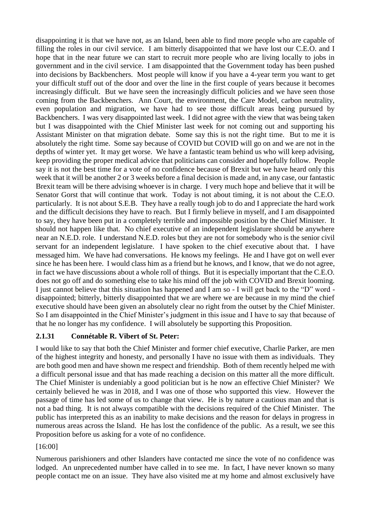disappointing it is that we have not, as an Island, been able to find more people who are capable of filling the roles in our civil service. I am bitterly disappointed that we have lost our C.E.O. and I hope that in the near future we can start to recruit more people who are living locally to jobs in government and in the civil service. I am disappointed that the Government today has been pushed into decisions by Backbenchers. Most people will know if you have a 4-year term you want to get your difficult stuff out of the door and over the line in the first couple of years because it becomes increasingly difficult. But we have seen the increasingly difficult policies and we have seen those coming from the Backbenchers. Ann Court, the environment, the Care Model, carbon neutrality, even population and migration, we have had to see those difficult areas being pursued by Backbenchers. I was very disappointed last week. I did not agree with the view that was being taken but I was disappointed with the Chief Minister last week for not coming out and supporting his Assistant Minister on that migration debate. Some say this is not the right time. But to me it is absolutely the right time. Some say because of COVID but COVID will go on and we are not in the depths of winter yet. It may get worse. We have a fantastic team behind us who will keep advising, keep providing the proper medical advice that politicians can consider and hopefully follow. People say it is not the best time for a vote of no confidence because of Brexit but we have heard only this week that it will be another 2 or 3 weeks before a final decision is made and, in any case, our fantastic Brexit team will be there advising whoever is in charge. I very much hope and believe that it will be Senator Gorst that will continue that work. Today is not about timing, it is not about the C.E.O. particularly. It is not about S.E.B. They have a really tough job to do and I appreciate the hard work and the difficult decisions they have to reach. But I firmly believe in myself, and I am disappointed to say, they have been put in a completely terrible and impossible position by the Chief Minister. It should not happen like that. No chief executive of an independent legislature should be anywhere near an N.E.D. role. I understand N.E.D. roles but they are not for somebody who is the senior civil servant for an independent legislature. I have spoken to the chief executive about that. I have messaged him. We have had conversations. He knows my feelings. He and I have got on well ever since he has been here. I would class him as a friend but he knows, and I know, that we do not agree, in fact we have discussions about a whole roll of things. But it is especially important that the C.E.O. does not go off and do something else to take his mind off the job with COVID and Brexit looming. I just cannot believe that this situation has happened and I am so - I will get back to the "D" word disappointed; bitterly, bitterly disappointed that we are where we are because in my mind the chief executive should have been given an absolutely clear no right from the outset by the Chief Minister. So I am disappointed in the Chief Minister's judgment in this issue and I have to say that because of that he no longer has my confidence. I will absolutely be supporting this Proposition.

# **2.1.31 Connétable R. Vibert of St. Peter:**

I would like to say that both the Chief Minister and former chief executive, Charlie Parker, are men of the highest integrity and honesty, and personally I have no issue with them as individuals. They are both good men and have shown me respect and friendship. Both of them recently helped me with a difficult personal issue and that has made reaching a decision on this matter all the more difficult. The Chief Minister is undeniably a good politician but is he now an effective Chief Minister? We certainly believed he was in 2018, and I was one of those who supported this view. However the passage of time has led some of us to change that view. He is by nature a cautious man and that is not a bad thing. It is not always compatible with the decisions required of the Chief Minister. The public has interpreted this as an inability to make decisions and the reason for delays in progress in numerous areas across the Island. He has lost the confidence of the public. As a result, we see this Proposition before us asking for a vote of no confidence.

# [16:00]

Numerous parishioners and other Islanders have contacted me since the vote of no confidence was lodged. An unprecedented number have called in to see me. In fact, I have never known so many people contact me on an issue. They have also visited me at my home and almost exclusively have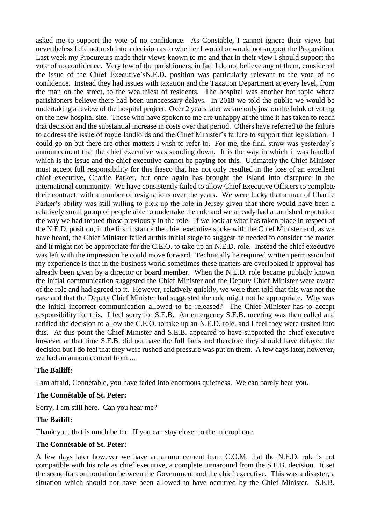asked me to support the vote of no confidence. As Constable, I cannot ignore their views but nevertheless I did not rush into a decision as to whether I would or would not support the Proposition. Last week my Procureurs made their views known to me and that in their view I should support the vote of no confidence. Very few of the parishioners, in fact I do not believe any of them, considered the issue of the Chief Executive'sN.E.D. position was particularly relevant to the vote of no confidence. Instead they had issues with taxation and the Taxation Department at every level, from the man on the street, to the wealthiest of residents. The hospital was another hot topic where parishioners believe there had been unnecessary delays. In 2018 we told the public we would be undertaking a review of the hospital project. Over 2 years later we are only just on the brink of voting on the new hospital site. Those who have spoken to me are unhappy at the time it has taken to reach that decision and the substantial increase in costs over that period. Others have referred to the failure to address the issue of rogue landlords and the Chief Minister's failure to support that legislation. I could go on but there are other matters I wish to refer to. For me, the final straw was yesterday's announcement that the chief executive was standing down. It is the way in which it was handled which is the issue and the chief executive cannot be paying for this. Ultimately the Chief Minister must accept full responsibility for this fiasco that has not only resulted in the loss of an excellent chief executive, Charlie Parker, but once again has brought the Island into disrepute in the international community. We have consistently failed to allow Chief Executive Officers to complete their contract, with a number of resignations over the years. We were lucky that a man of Charlie Parker's ability was still willing to pick up the role in Jersey given that there would have been a relatively small group of people able to undertake the role and we already had a tarnished reputation the way we had treated those previously in the role. If we look at what has taken place in respect of the N.E.D. position, in the first instance the chief executive spoke with the Chief Minister and, as we have heard, the Chief Minister failed at this initial stage to suggest he needed to consider the matter and it might not be appropriate for the C.E.O. to take up an N.E.D. role. Instead the chief executive was left with the impression he could move forward. Technically he required written permission but my experience is that in the business world sometimes these matters are overlooked if approval has already been given by a director or board member. When the N.E.D. role became publicly known the initial communication suggested the Chief Minister and the Deputy Chief Minister were aware of the role and had agreed to it. However, relatively quickly, we were then told that this was not the case and that the Deputy Chief Minister had suggested the role might not be appropriate. Why was the initial incorrect communication allowed to be released? The Chief Minister has to accept responsibility for this. I feel sorry for S.E.B. An emergency S.E.B. meeting was then called and ratified the decision to allow the C.E.O. to take up an N.E.D. role, and I feel they were rushed into this. At this point the Chief Minister and S.E.B. appeared to have supported the chief executive however at that time S.E.B. did not have the full facts and therefore they should have delayed the decision but I do feel that they were rushed and pressure was put on them. A few days later, however, we had an announcement from ...

### **The Bailiff:**

I am afraid, Connétable, you have faded into enormous quietness. We can barely hear you.

### **The Connétable of St. Peter:**

Sorry, I am still here. Can you hear me?

### **The Bailiff:**

Thank you, that is much better. If you can stay closer to the microphone.

#### **The Connétable of St. Peter:**

A few days later however we have an announcement from C.O.M. that the N.E.D. role is not compatible with his role as chief executive, a complete turnaround from the S.E.B. decision. It set the scene for confrontation between the Government and the chief executive. This was a disaster, a situation which should not have been allowed to have occurred by the Chief Minister. S.E.B.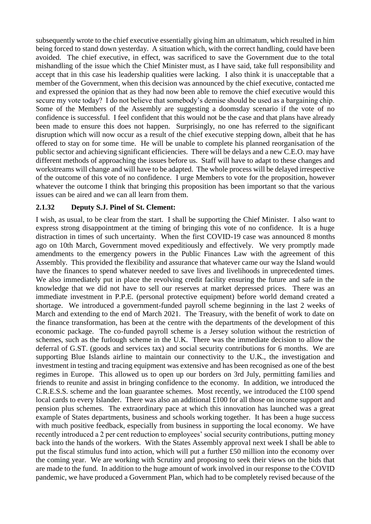subsequently wrote to the chief executive essentially giving him an ultimatum, which resulted in him being forced to stand down yesterday. A situation which, with the correct handling, could have been avoided. The chief executive, in effect, was sacrificed to save the Government due to the total mishandling of the issue which the Chief Minister must, as I have said, take full responsibility and accept that in this case his leadership qualities were lacking. I also think it is unacceptable that a member of the Government, when this decision was announced by the chief executive, contacted me and expressed the opinion that as they had now been able to remove the chief executive would this secure my vote today? I do not believe that somebody's demise should be used as a bargaining chip. Some of the Members of the Assembly are suggesting a doomsday scenario if the vote of no confidence is successful. I feel confident that this would not be the case and that plans have already been made to ensure this does not happen. Surprisingly, no one has referred to the significant disruption which will now occur as a result of the chief executive stepping down, albeit that he has offered to stay on for some time. He will be unable to complete his planned reorganisation of the public sector and achieving significant efficiencies. There will be delays and a new C.E.O. may have different methods of approaching the issues before us. Staff will have to adapt to these changes and workstreams will change and will have to be adapted. The whole process will be delayed irrespective of the outcome of this vote of no confidence. I urge Members to vote for the proposition, however whatever the outcome I think that bringing this proposition has been important so that the various issues can be aired and we can all learn from them.

### **2.1.32 Deputy S.J. Pinel of St. Clement:**

I wish, as usual, to be clear from the start. I shall be supporting the Chief Minister. I also want to express strong disappointment at the timing of bringing this vote of no confidence. It is a huge distraction in times of such uncertainty. When the first COVID-19 case was announced 8 months ago on 10th March, Government moved expeditiously and effectively. We very promptly made amendments to the emergency powers in the Public Finances Law with the agreement of this Assembly. This provided the flexibility and assurance that whatever came our way the Island would have the finances to spend whatever needed to save lives and livelihoods in unprecedented times. We also immediately put in place the revolving credit facility ensuring the future and safe in the knowledge that we did not have to sell our reserves at market depressed prices. There was an immediate investment in P.P.E. (personal protective equipment) before world demand created a shortage. We introduced a government-funded payroll scheme beginning in the last 2 weeks of March and extending to the end of March 2021. The Treasury, with the benefit of work to date on the finance transformation, has been at the centre with the departments of the development of this economic package. The co-funded payroll scheme is a Jersey solution without the restriction of schemes, such as the furlough scheme in the U.K. There was the immediate decision to allow the deferral of G.ST. (goods and services tax) and social security contributions for 6 months. We are supporting Blue Islands airline to maintain our connectivity to the U.K., the investigation and investment in testing and tracing equipment was extensive and has been recognised as one of the best regimes in Europe. This allowed us to open up our borders on 3rd July, permitting families and friends to reunite and assist in bringing confidence to the economy. In addition, we introduced the C.R.E.S.S. scheme and the loan guarantee schemes. Most recently, we introduced the £100 spend local cards to every Islander. There was also an additional £100 for all those on income support and pension plus schemes. The extraordinary pace at which this innovation has launched was a great example of States departments, business and schools working together. It has been a huge success with much positive feedback, especially from business in supporting the local economy. We have recently introduced a 2 per cent reduction to employees' social security contributions, putting money back into the hands of the workers. With the States Assembly approval next week I shall be able to put the fiscal stimulus fund into action, which will put a further £50 million into the economy over the coming year. We are working with Scrutiny and proposing to seek their views on the bids that are made to the fund. In addition to the huge amount of work involved in our response to the COVID pandemic, we have produced a Government Plan, which had to be completely revised because of the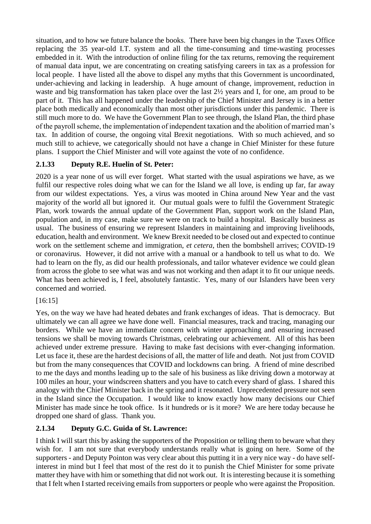situation, and to how we future balance the books. There have been big changes in the Taxes Office replacing the 35 year-old I.T. system and all the time-consuming and time-wasting processes embedded in it. With the introduction of online filing for the tax returns, removing the requirement of manual data input, we are concentrating on creating satisfying careers in tax as a profession for local people. I have listed all the above to dispel any myths that this Government is uncoordinated, under-achieving and lacking in leadership. A huge amount of change, improvement, reduction in waste and big transformation has taken place over the last 2½ years and I, for one, am proud to be part of it. This has all happened under the leadership of the Chief Minister and Jersey is in a better place both medically and economically than most other jurisdictions under this pandemic. There is still much more to do. We have the Government Plan to see through, the Island Plan, the third phase of the payroll scheme, the implementation of independent taxation and the abolition of married man's tax. In addition of course, the ongoing vital Brexit negotiations. With so much achieved, and so much still to achieve, we categorically should not have a change in Chief Minister for these future plans. I support the Chief Minister and will vote against the vote of no confidence.

# **2.1.33 Deputy R.E. Huelin of St. Peter:**

2020 is a year none of us will ever forget. What started with the usual aspirations we have, as we fulfil our respective roles doing what we can for the Island we all love, is ending up far, far away from our wildest expectations. Yes, a virus was mooted in China around New Year and the vast majority of the world all but ignored it. Our mutual goals were to fulfil the Government Strategic Plan, work towards the annual update of the Government Plan, support work on the Island Plan, population and, in my case, make sure we were on track to build a hospital. Basically business as usual. The business of ensuring we represent Islanders in maintaining and improving livelihoods, education, health and environment. We knew Brexit needed to be closed out and expected to continue work on the settlement scheme and immigration, *et cetera*, then the bombshell arrives; COVID-19 or coronavirus. However, it did not arrive with a manual or a handbook to tell us what to do. We had to learn on the fly, as did our health professionals, and tailor whatever evidence we could glean from across the globe to see what was and was not working and then adapt it to fit our unique needs. What has been achieved is, I feel, absolutely fantastic. Yes, many of our Islanders have been very concerned and worried.

# [16:15]

Yes, on the way we have had heated debates and frank exchanges of ideas. That is democracy. But ultimately we can all agree we have done well. Financial measures, track and tracing, managing our borders. While we have an immediate concern with winter approaching and ensuring increased tensions we shall be moving towards Christmas, celebrating our achievement. All of this has been achieved under extreme pressure. Having to make fast decisions with ever-changing information. Let us face it, these are the hardest decisions of all, the matter of life and death. Not just from COVID but from the many consequences that COVID and lockdowns can bring. A friend of mine described to me the days and months leading up to the sale of his business as like driving down a motorway at 100 miles an hour, your windscreen shatters and you have to catch every shard of glass. I shared this analogy with the Chief Minister back in the spring and it resonated. Unprecedented pressure not seen in the Island since the Occupation. I would like to know exactly how many decisions our Chief Minister has made since he took office. Is it hundreds or is it more? We are here today because he dropped one shard of glass. Thank you.

# **2.1.34 Deputy G.C. Guida of St. Lawrence:**

I think I will start this by asking the supporters of the Proposition or telling them to beware what they wish for. I am not sure that everybody understands really what is going on here. Some of the supporters - and Deputy Pointon was very clear about this putting it in a very nice way - do have selfinterest in mind but I feel that most of the rest do it to punish the Chief Minister for some private matter they have with him or something that did not work out. It is interesting because it is something that I felt when I started receiving emails from supporters or people who were against the Proposition.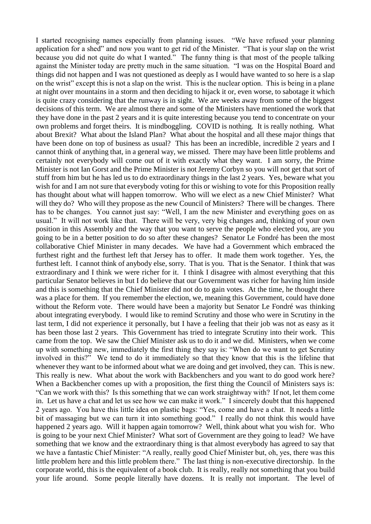I started recognising names especially from planning issues. "We have refused your planning application for a shed" and now you want to get rid of the Minister. "That is your slap on the wrist because you did not quite do what I wanted." The funny thing is that most of the people talking against the Minister today are pretty much in the same situation. "I was on the Hospital Board and things did not happen and I was not questioned as deeply as I would have wanted to so here is a slap on the wrist" except this is not a slap on the wrist. This is the nuclear option. This is being in a plane at night over mountains in a storm and then deciding to hijack it or, even worse, to sabotage it which is quite crazy considering that the runway is in sight. We are weeks away from some of the biggest decisions of this term. We are almost there and some of the Ministers have mentioned the work that they have done in the past 2 years and it is quite interesting because you tend to concentrate on your own problems and forget theirs. It is mindboggling. COVID is nothing. It is really nothing. What about Brexit? What about the Island Plan? What about the hospital and all these major things that have been done on top of business as usual? This has been an incredible, incredible 2 years and I cannot think of anything that, in a general way, we missed. There may have been little problems and certainly not everybody will come out of it with exactly what they want. I am sorry, the Prime Minister is not Ian Gorst and the Prime Minister is not Jeremy Corbyn so you will not get that sort of stuff from him but he has led us to do extraordinary things in the last 2 years. Yes, beware what you wish for and I am not sure that everybody voting for this or wishing to vote for this Proposition really has thought about what will happen tomorrow. Who will we elect as a new Chief Minister? What will they do? Who will they propose as the new Council of Ministers? There will be changes. There has to be changes. You cannot just say: "Well, I am the new Minister and everything goes on as usual." It will not work like that. There will be very, very big changes and, thinking of your own position in this Assembly and the way that you want to serve the people who elected you, are you going to be in a better position to do so after these changes? Senator Le Fondré has been the most collaborative Chief Minister in many decades. We have had a Government which embraced the furthest right and the furthest left that Jersey has to offer. It made them work together. Yes, the furthest left. I cannot think of anybody else, sorry. That is you. That is the Senator. I think that was extraordinary and I think we were richer for it. I think I disagree with almost everything that this particular Senator believes in but I do believe that our Government was richer for having him inside and this is something that the Chief Minister did not do to gain votes. At the time, he thought there was a place for them. If you remember the election, we, meaning this Government, could have done without the Reform vote. There would have been a majority but Senator Le Fondré was thinking about integrating everybody. I would like to remind Scrutiny and those who were in Scrutiny in the last term, I did not experience it personally, but I have a feeling that their job was not as easy as it has been those last 2 years. This Government has tried to integrate Scrutiny into their work. This came from the top. We saw the Chief Minister ask us to do it and we did. Ministers, when we come up with something new, immediately the first thing they say is: "When do we want to get Scrutiny involved in this?" We tend to do it immediately so that they know that this is the lifeline that whenever they want to be informed about what we are doing and get involved, they can. This is new. This really is new. What about the work with Backbenchers and you want to do good work here? When a Backbencher comes up with a proposition, the first thing the Council of Ministers says is: "Can we work with this? Is this something that we can work straightway with? If not, let them come in. Let us have a chat and let us see how we can make it work." I sincerely doubt that this happened 2 years ago. You have this little idea on plastic bags: "Yes, come and have a chat. It needs a little bit of massaging but we can turn it into something good." I really do not think this would have happened 2 years ago. Will it happen again tomorrow? Well, think about what you wish for. Who is going to be your next Chief Minister? What sort of Government are they going to lead? We have something that we know and the extraordinary thing is that almost everybody has agreed to say that we have a fantastic Chief Minister: "A really, really good Chief Minister but, oh, yes, there was this little problem here and this little problem there." The last thing is non-executive directorship. In the corporate world, this is the equivalent of a book club. It is really, really not something that you build your life around. Some people literally have dozens. It is really not important. The level of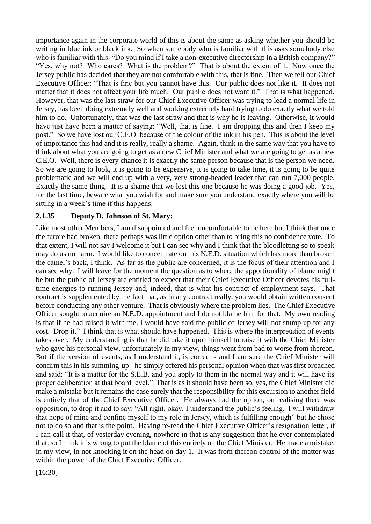importance again in the corporate world of this is about the same as asking whether you should be writing in blue ink or black ink. So when somebody who is familiar with this asks somebody else who is familiar with this: "Do you mind if I take a non-executive directorship in a British company?" "Yes, why not? Who cares? What is the problem?" That is about the extent of it. Now once the Jersey public has decided that they are not comfortable with this, that is fine. Then we tell our Chief Executive Officer: "That is fine but you cannot have this. Our public does not like it. It does not matter that it does not affect your life much. Our public does not want it." That is what happened. However, that was the last straw for our Chief Executive Officer was trying to lead a normal life in Jersey, has been doing extremely well and working extremely hard trying to do exactly what we told him to do. Unfortunately, that was the last straw and that is why he is leaving. Otherwise, it would have just have been a matter of saying: "Well, that is fine. I am dropping this and then I keep my post." So we have lost our C.E.O. because of the colour of the ink in his pen. This is about the level of importance this had and it is really, really a shame. Again, think in the same way that you have to think about what you are going to get as a new Chief Minister and what we are going to get as a new C.E.O. Well, there is every chance it is exactly the same person because that is the person we need. So we are going to look, it is going to be expensive, it is going to take time, it is going to be quite problematic and we will end up with a very, very strong-headed leader that can run 7,000 people. Exactly the same thing. It is a shame that we lost this one because he was doing a good job. Yes, for the last time, beware what you wish for and make sure you understand exactly where you will be sitting in a week's time if this happens.

### **2.1.35 Deputy D. Johnson of St. Mary:**

Like most other Members, I am disappointed and feel uncomfortable to be here but I think that once the furore had broken, there perhaps was little option other than to bring this no confidence vote. To that extent, I will not say I welcome it but I can see why and I think that the bloodletting so to speak may do us no harm. I would like to concentrate on this N.E.D. situation which has more than broken the camel's back, I think. As far as the public are concerned, it is the focus of their attention and I can see why. I will leave for the moment the question as to where the apportionality of blame might be but the public of Jersey are entitled to expect that their Chief Executive Officer devotes his fulltime energies to running Jersey and, indeed, that is what his contract of employment says. That contract is supplemented by the fact that, as in any contract really, you would obtain written consent before conducting any other venture. That is obviously where the problem lies. The Chief Executive Officer sought to acquire an N.E.D. appointment and I do not blame him for that. My own reading is that if he had raised it with me, I would have said the public of Jersey will not stump up for any cost. Drop it." I think that is what should have happened. This is where the interpretation of events takes over. My understanding is that he did take it upon himself to raise it with the Chief Minister who gave his personal view, unfortunately in my view, things went from bad to worse from thereon. But if the version of events, as I understand it, is correct - and I am sure the Chief Minister will confirm this in his summing-up - he simply offered his personal opinion when that was first broached and said: "It is a matter for the S.E.B. and you apply to them in the normal way and it will have its proper deliberation at that board level." That is as it should have been so, yes, the Chief Minister did make a mistake but it remains the case surely that the responsibility for this excursion to another field is entirely that of the Chief Executive Officer. He always had the option, on realising there was opposition, to drop it and to say: "All right, okay, I understand the public's feeling. I will withdraw that hope of mine and confine myself to my role in Jersey, which is fulfilling enough" but he chose not to do so and that is the point. Having re-read the Chief Executive Officer's resignation letter, if I can call it that, of yesterday evening, nowhere in that is any suggestion that he ever contemplated that, so I think it is wrong to put the blame of this entirely on the Chief Minister. He made a mistake, in my view, in not knocking it on the head on day 1. It was from thereon control of the matter was within the power of the Chief Executive Officer.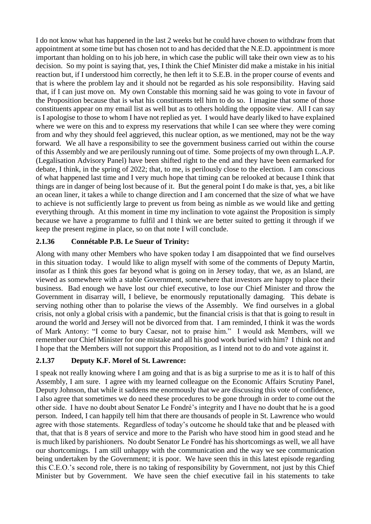I do not know what has happened in the last 2 weeks but he could have chosen to withdraw from that appointment at some time but has chosen not to and has decided that the N.E.D. appointment is more important than holding on to his job here, in which case the public will take their own view as to his decision. So my point is saying that, yes, I think the Chief Minister did make a mistake in his initial reaction but, if I understood him correctly, he then left it to S.E.B. in the proper course of events and that is where the problem lay and it should not be regarded as his sole responsibility. Having said that, if I can just move on. My own Constable this morning said he was going to vote in favour of the Proposition because that is what his constituents tell him to do so. I imagine that some of those constituents appear on my email list as well but as to others holding the opposite view. All I can say is I apologise to those to whom I have not replied as yet. I would have dearly liked to have explained where we were on this and to express my reservations that while I can see where they were coming from and why they should feel aggrieved, this nuclear option, as we mentioned, may not be the way forward. We all have a responsibility to see the government business carried out within the course of this Assembly and we are perilously running out of time. Some projects of my own through L.A.P. (Legalisation Advisory Panel) have been shifted right to the end and they have been earmarked for debate, I think, in the spring of 2022; that, to me, is perilously close to the election. I am conscious of what happened last time and I very much hope that timing can be relooked at because I think that things are in danger of being lost because of it. But the general point I do make is that, yes, a bit like an ocean liner, it takes a while to change direction and I am concerned that the size of what we have to achieve is not sufficiently large to prevent us from being as nimble as we would like and getting everything through. At this moment in time my inclination to vote against the Proposition is simply because we have a programme to fulfil and I think we are better suited to getting it through if we keep the present regime in place, so on that note I will conclude.

# **2.1.36 Connétable P.B. Le Sueur of Trinity:**

Along with many other Members who have spoken today I am disappointed that we find ourselves in this situation today. I would like to align myself with some of the comments of Deputy Martin, insofar as I think this goes far beyond what is going on in Jersey today, that we, as an Island, are viewed as somewhere with a stable Government, somewhere that investors are happy to place their business. Bad enough we have lost our chief executive, to lose our Chief Minister and throw the Government in disarray will, I believe, be enormously reputationally damaging. This debate is serving nothing other than to polarise the views of the Assembly. We find ourselves in a global crisis, not only a global crisis with a pandemic, but the financial crisis is that that is going to result in around the world and Jersey will not be divorced from that. I am reminded, I think it was the words of Mark Antony: "I come to bury Caesar, not to praise him." I would ask Members, will we remember our Chief Minister for one mistake and all his good work buried with him? I think not and I hope that the Members will not support this Proposition, as I intend not to do and vote against it.

# **2.1.37 Deputy K.F. Morel of St. Lawrence:**

I speak not really knowing where I am going and that is as big a surprise to me as it is to half of this Assembly, I am sure. I agree with my learned colleague on the Economic Affairs Scrutiny Panel, Deputy Johnson, that while it saddens me enormously that we are discussing this vote of confidence, I also agree that sometimes we do need these procedures to be gone through in order to come out the other side. I have no doubt about Senator Le Fondré's integrity and I have no doubt that he is a good person. Indeed, I can happily tell him that there are thousands of people in St. Lawrence who would agree with those statements. Regardless of today's outcome he should take that and be pleased with that, that that is 8 years of service and more to the Parish who have stood him in good stead and he is much liked by parishioners. No doubt Senator Le Fondré has his shortcomings as well, we all have our shortcomings. I am still unhappy with the communication and the way we see communication being undertaken by the Government; it is poor. We have seen this in this latest episode regarding this C.E.O.'s second role, there is no taking of responsibility by Government, not just by this Chief Minister but by Government. We have seen the chief executive fail in his statements to take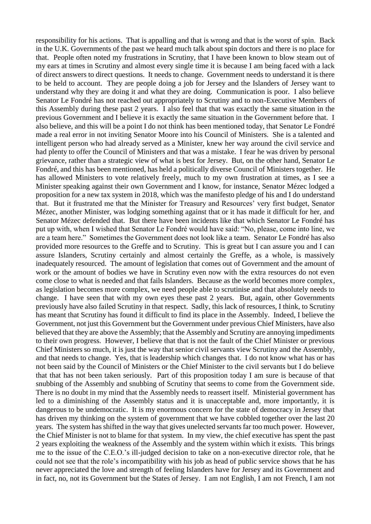responsibility for his actions. That is appalling and that is wrong and that is the worst of spin. Back in the U.K. Governments of the past we heard much talk about spin doctors and there is no place for that. People often noted my frustrations in Scrutiny, that I have been known to blow steam out of my ears at times in Scrutiny and almost every single time it is because I am being faced with a lack of direct answers to direct questions. It needs to change. Government needs to understand it is there to be held to account. They are people doing a job for Jersey and the Islanders of Jersey want to understand why they are doing it and what they are doing. Communication is poor. I also believe Senator Le Fondré has not reached out appropriately to Scrutiny and to non-Executive Members of this Assembly during these past 2 years. I also feel that that was exactly the same situation in the previous Government and I believe it is exactly the same situation in the Government before that. I also believe, and this will be a point I do not think has been mentioned today, that Senator Le Fondré made a real error in not inviting Senator Moore into his Council of Ministers. She is a talented and intelligent person who had already served as a Minister, knew her way around the civil service and had plenty to offer the Council of Ministers and that was a mistake. I fear he was driven by personal grievance, rather than a strategic view of what is best for Jersey. But, on the other hand, Senator Le Fondré, and this has been mentioned, has held a politically diverse Council of Ministers together. He has allowed Ministers to vote relatively freely, much to my own frustration at times, as I see a Minister speaking against their own Government and I know, for instance, Senator Mézec lodged a proposition for a new tax system in 2018, which was the manifesto pledge of his and I do understand that. But it frustrated me that the Minister for Treasury and Resources' very first budget, Senator Mézec, another Minister, was lodging something against that or it has made it difficult for her, and Senator Mézec defended that. But there have been incidents like that which Senator Le Fondré has put up with, when I wished that Senator Le Fondré would have said: "No, please, come into line, we are a team here." Sometimes the Government does not look like a team. Senator Le Fondré has also provided more resources to the Greffe and to Scrutiny. This is great but I can assure you and I can assure Islanders, Scrutiny certainly and almost certainly the Greffe, as a whole, is massively inadequately resourced. The amount of legislation that comes out of Government and the amount of work or the amount of bodies we have in Scrutiny even now with the extra resources do not even come close to what is needed and that fails Islanders. Because as the world becomes more complex, as legislation becomes more complex, we need people able to scrutinise and that absolutely needs to change. I have seen that with my own eyes these past 2 years. But, again, other Governments previously have also failed Scrutiny in that respect. Sadly, this lack of resources, I think, to Scrutiny has meant that Scrutiny has found it difficult to find its place in the Assembly. Indeed, I believe the Government, not just this Government but the Government under previous Chief Ministers, have also believed that they are above the Assembly; that the Assembly and Scrutiny are annoying impediments to their own progress. However, I believe that that is not the fault of the Chief Minister or previous Chief Ministers so much, it is just the way that senior civil servants view Scrutiny and the Assembly, and that needs to change. Yes, that is leadership which changes that. I do not know what has or has not been said by the Council of Ministers or the Chief Minister to the civil servants but I do believe that that has not been taken seriously. Part of this proposition today I am sure is because of that snubbing of the Assembly and snubbing of Scrutiny that seems to come from the Government side. There is no doubt in my mind that the Assembly needs to reassert itself. Ministerial government has led to a diminishing of the Assembly status and it is unacceptable and, more importantly, it is dangerous to be undemocratic. It is my enormous concern for the state of democracy in Jersey that has driven my thinking on the system of government that we have cobbled together over the last 20 years. The system has shifted in the way that gives unelected servants far too much power. However, the Chief Minister is not to blame for that system. In my view, the chief executive has spent the past 2 years exploiting the weakness of the Assembly and the system within which it exists. This brings me to the issue of the C.E.O.'s ill-judged decision to take on a non-executive director role, that he could not see that the role's incompatibility with his job as head of public service shows that he has never appreciated the love and strength of feeling Islanders have for Jersey and its Government and in fact, no, not its Government but the States of Jersey. I am not English, I am not French, I am not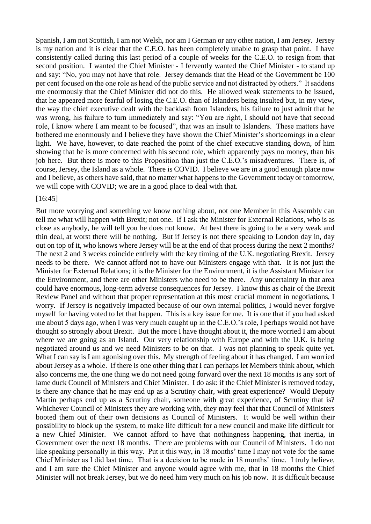Spanish, I am not Scottish, I am not Welsh, nor am I German or any other nation, I am Jersey. Jersey is my nation and it is clear that the C.E.O. has been completely unable to grasp that point. I have consistently called during this last period of a couple of weeks for the C.E.O. to resign from that second position. I wanted the Chief Minister - I fervently wanted the Chief Minister - to stand up and say: "No, you may not have that role. Jersey demands that the Head of the Government be 100 per cent focused on the one role as head of the public service and not distracted by others." It saddens me enormously that the Chief Minister did not do this. He allowed weak statements to be issued, that he appeared more fearful of losing the C.E.O. than of Islanders being insulted but, in my view, the way the chief executive dealt with the backlash from Islanders, his failure to just admit that he was wrong, his failure to turn immediately and say: "You are right, I should not have that second role, I know where I am meant to be focused", that was an insult to Islanders. These matters have bothered me enormously and I believe they have shown the Chief Minister's shortcomings in a clear light. We have, however, to date reached the point of the chief executive standing down, of him showing that he is more concerned with his second role, which apparently pays no money, than his job here. But there is more to this Proposition than just the C.E.O.'s misadventures. There is, of course, Jersey, the Island as a whole. There is COVID. I believe we are in a good enough place now and I believe, as others have said, that no matter what happens to the Government today or tomorrow, we will cope with COVID; we are in a good place to deal with that.

#### [16:45]

But more worrying and something we know nothing about, not one Member in this Assembly can tell me what will happen with Brexit; not one. If I ask the Minister for External Relations, who is as close as anybody, he will tell you he does not know. At best there is going to be a very weak and thin deal, at worst there will be nothing. But if Jersey is not there speaking to London day in, day out on top of it, who knows where Jersey will be at the end of that process during the next 2 months? The next 2 and 3 weeks coincide entirely with the key timing of the U.K. negotiating Brexit. Jersey needs to be there. We cannot afford not to have our Ministers engage with that. It is not just the Minister for External Relations; it is the Minister for the Environment, it is the Assistant Minister for the Environment, and there are other Ministers who need to be there. Any uncertainty in that area could have enormous, long-term adverse consequences for Jersey. I know this as chair of the Brexit Review Panel and without that proper representation at this most crucial moment in negotiations, I worry. If Jersey is negatively impacted because of our own internal politics, I would never forgive myself for having voted to let that happen. This is a key issue for me. It is one that if you had asked me about 5 days ago, when I was very much caught up in the C.E.O.'s role, I perhaps would not have thought so strongly about Brexit. But the more I have thought about it, the more worried I am about where we are going as an Island. Our very relationship with Europe and with the U.K. is being negotiated around us and we need Ministers to be on that. I was not planning to speak quite yet. What I can say is I am agonising over this. My strength of feeling about it has changed. I am worried about Jersey as a whole. If there is one other thing that I can perhaps let Members think about, which also concerns me, the one thing we do not need going forward over the next 18 months is any sort of lame duck Council of Ministers and Chief Minister. I do ask: if the Chief Minister is removed today, is there any chance that he may end up as a Scrutiny chair, with great experience? Would Deputy Martin perhaps end up as a Scrutiny chair, someone with great experience, of Scrutiny that is? Whichever Council of Ministers they are working with, they may feel that that Council of Ministers booted them out of their own decisions as Council of Ministers. It would be well within their possibility to block up the system, to make life difficult for a new council and make life difficult for a new Chief Minister. We cannot afford to have that nothingness happening, that inertia, in Government over the next 18 months. There are problems with our Council of Ministers. I do not like speaking personally in this way. Put it this way, in 18 months' time I may not vote for the same Chief Minister as I did last time. That is a decision to be made in 18 months' time. I truly believe, and I am sure the Chief Minister and anyone would agree with me, that in 18 months the Chief Minister will not break Jersey, but we do need him very much on his job now. It is difficult because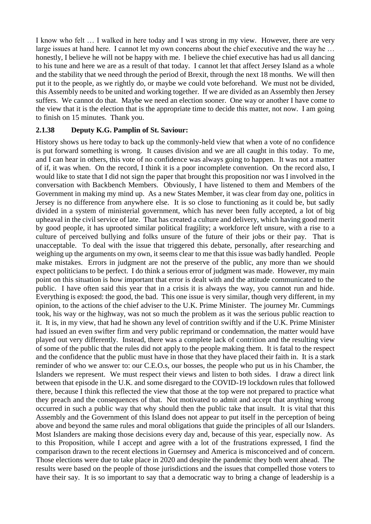I know who felt … I walked in here today and I was strong in my view. However, there are very large issues at hand here. I cannot let my own concerns about the chief executive and the way he … honestly, I believe he will not be happy with me. I believe the chief executive has had us all dancing to his tune and here we are as a result of that today. I cannot let that affect Jersey Island as a whole and the stability that we need through the period of Brexit, through the next 18 months. We will then put it to the people, as we rightly do, or maybe we could vote beforehand. We must not be divided, this Assembly needs to be united and working together. If we are divided as an Assembly then Jersey suffers. We cannot do that. Maybe we need an election sooner. One way or another I have come to the view that it is the election that is the appropriate time to decide this matter, not now. I am going to finish on 15 minutes. Thank you.

### **2.1.38 Deputy K.G. Pamplin of St. Saviour:**

History shows us here today to back up the commonly-held view that when a vote of no confidence is put forward something is wrong. It causes division and we are all caught in this today. To me, and I can hear in others, this vote of no confidence was always going to happen. It was not a matter of if, it was when. On the record, I think it is a poor incomplete convention. On the record also, I would like to state that I did not sign the paper that brought this proposition nor was I involved in the conversation with Backbench Members. Obviously, I have listened to them and Members of the Government in making my mind up. As a new States Member, it was clear from day one, politics in Jersey is no difference from anywhere else. It is so close to functioning as it could be, but sadly divided in a system of ministerial government, which has never been fully accepted, a lot of big upheaval in the civil service of late. That has created a culture and delivery, which having good merit by good people, it has uprooted similar political fragility; a workforce left unsure, with a rise to a culture of perceived bullying and folks unsure of the future of their jobs or their pay. That is unacceptable. To deal with the issue that triggered this debate, personally, after researching and weighing up the arguments on my own, it seems clear to me that this issue was badly handled. People make mistakes. Errors in judgment are not the preserve of the public, any more than we should expect politicians to be perfect. I do think a serious error of judgment was made. However, my main point on this situation is how important that error is dealt with and the attitude communicated to the public. I have often said this year that in a crisis it is always the way, you cannot run and hide. Everything is exposed: the good, the bad. This one issue is very similar, though very different, in my opinion, to the actions of the chief adviser to the U.K. Prime Minister. The journey Mr. Cummings took, his way or the highway, was not so much the problem as it was the serious public reaction to it. It is, in my view, that had he shown any level of contrition swiftly and if the U.K. Prime Minister had issued an even swifter firm and very public reprimand or condemnation, the matter would have played out very differently. Instead, there was a complete lack of contrition and the resulting view of some of the public that the rules did not apply to the people making them. It is fatal to the respect and the confidence that the public must have in those that they have placed their faith in. It is a stark reminder of who we answer to: our C.E.O.s, our bosses, the people who put us in his Chamber, the Islanders we represent. We must respect their views and listen to both sides. I draw a direct link between that episode in the U.K. and some disregard to the COVID-19 lockdown rules that followed there, because I think this reflected the view that those at the top were not prepared to practice what they preach and the consequences of that. Not motivated to admit and accept that anything wrong occurred in such a public way that why should then the public take that insult. It is vital that this Assembly and the Government of this Island does not appear to put itself in the perception of being above and beyond the same rules and moral obligations that guide the principles of all our Islanders. Most Islanders are making those decisions every day and, because of this year, especially now. As to this Proposition, while I accept and agree with a lot of the frustrations expressed, I find the comparison drawn to the recent elections in Guernsey and America is misconceived and of concern. Those elections were due to take place in 2020 and despite the pandemic they both went ahead. The results were based on the people of those jurisdictions and the issues that compelled those voters to have their say. It is so important to say that a democratic way to bring a change of leadership is a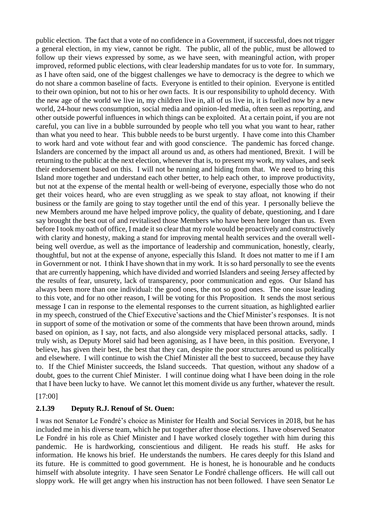public election. The fact that a vote of no confidence in a Government, if successful, does not trigger a general election, in my view, cannot be right. The public, all of the public, must be allowed to follow up their views expressed by some, as we have seen, with meaningful action, with proper improved, reformed public elections, with clear leadership mandates for us to vote for. In summary, as I have often said, one of the biggest challenges we have to democracy is the degree to which we do not share a common baseline of facts. Everyone is entitled to their opinion. Everyone is entitled to their own opinion, but not to his or her own facts. It is our responsibility to uphold decency. With the new age of the world we live in, my children live in, all of us live in, it is fuelled now by a new world, 24-hour news consumption, social media and opinion-led media, often seen as reporting, and other outside powerful influences in which things can be exploited. At a certain point, if you are not careful, you can live in a bubble surrounded by people who tell you what you want to hear, rather than what you need to hear. This bubble needs to be burst urgently. I have come into this Chamber to work hard and vote without fear and with good conscience. The pandemic has forced change. Islanders are concerned by the impact all around us and, as others had mentioned, Brexit. I will be returning to the public at the next election, whenever that is, to present my work, my values, and seek their endorsement based on this. I will not be running and hiding from that. We need to bring this Island more together and understand each other better, to help each other, to improve productivity, but not at the expense of the mental health or well-being of everyone, especially those who do not get their voices heard, who are even struggling as we speak to stay afloat, not knowing if their business or the family are going to stay together until the end of this year. I personally believe the new Members around me have helped improve policy, the quality of debate, questioning, and I dare say brought the best out of and revitalised those Members who have been here longer than us. Even before I took my oath of office, I made it so clear that my role would be proactively and constructively with clarity and honesty, making a stand for improving mental health services and the overall wellbeing well overdue, as well as the importance of leadership and communication, honestly, clearly, thoughtful, but not at the expense of anyone, especially this Island. It does not matter to me if I am in Government or not. I think I have shown that in my work. It is so hard personally to see the events that are currently happening, which have divided and worried Islanders and seeing Jersey affected by the results of fear, unsurety, lack of transparency, poor communication and egos. Our Island has always been more than one individual: the good ones, the not so good ones. The one issue leading to this vote, and for no other reason, I will be voting for this Proposition. It sends the most serious message I can in response to the elemental responses to the current situation, as highlighted earlier in my speech, construed of the Chief Executive'sactions and the Chief Minister's responses. It is not in support of some of the motivation or some of the comments that have been thrown around, minds based on opinion, as I say, not facts, and also alongside very misplaced personal attacks, sadly. I truly wish, as Deputy Morel said had been agonising, as I have been, in this position. Everyone, I believe, has given their best, the best that they can, despite the poor structures around us politically and elsewhere. I will continue to wish the Chief Minister all the best to succeed, because they have to. If the Chief Minister succeeds, the Island succeeds. That question, without any shadow of a doubt, goes to the current Chief Minister. I will continue doing what I have been doing in the role that I have been lucky to have. We cannot let this moment divide us any further, whatever the result.

[17:00]

### **2.1.39 Deputy R.J. Renouf of St. Ouen:**

I was not Senator Le Fondré's choice as Minister for Health and Social Services in 2018, but he has included me in his diverse team, which he put together after those elections. I have observed Senator Le Fondré in his role as Chief Minister and I have worked closely together with him during this pandemic. He is hardworking, conscientious and diligent. He reads his stuff. He asks for information. He knows his brief. He understands the numbers. He cares deeply for this Island and its future. He is committed to good government. He is honest, he is honourable and he conducts himself with absolute integrity. I have seen Senator Le Fondré challenge officers. He will call out sloppy work. He will get angry when his instruction has not been followed. I have seen Senator Le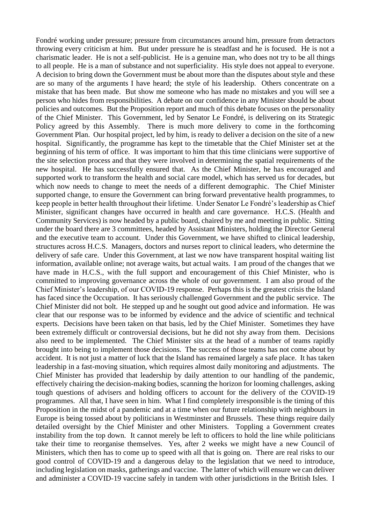Fondré working under pressure; pressure from circumstances around him, pressure from detractors throwing every criticism at him. But under pressure he is steadfast and he is focused. He is not a charismatic leader. He is not a self-publicist. He is a genuine man, who does not try to be all things to all people. He is a man of substance and not superficiality. His style does not appeal to everyone. A decision to bring down the Government must be about more than the disputes about style and these are so many of the arguments I have heard; the style of his leadership. Others concentrate on a mistake that has been made. But show me someone who has made no mistakes and you will see a person who hides from responsibilities. A debate on our confidence in any Minister should be about policies and outcomes. But the Proposition report and much of this debate focuses on the personality of the Chief Minister. This Government, led by Senator Le Fondré, is delivering on its Strategic Policy agreed by this Assembly. There is much more delivery to come in the forthcoming Government Plan. Our hospital project, led by him, is ready to deliver a decision on the site of a new hospital. Significantly, the programme has kept to the timetable that the Chief Minister set at the beginning of his term of office. It was important to him that this time clinicians were supportive of the site selection process and that they were involved in determining the spatial requirements of the new hospital. He has successfully ensured that. As the Chief Minister, he has encouraged and supported work to transform the health and social care model, which has served us for decades, but which now needs to change to meet the needs of a different demographic. The Chief Minister supported change, to ensure the Government can bring forward preventative health programmes, to keep people in better health throughout their lifetime. Under Senator Le Fondré's leadership as Chief Minister, significant changes have occurred in health and care governance. H.C.S. (Health and Community Services) is now headed by a public board, chaired by me and meeting in public. Sitting under the board there are 3 committees, headed by Assistant Ministers, holding the Director General and the executive team to account. Under this Government, we have shifted to clinical leadership, structures across H.C.S. Managers, doctors and nurses report to clinical leaders, who determine the delivery of safe care. Under this Government, at last we now have transparent hospital waiting list information, available online; not average waits, but actual waits. I am proud of the changes that we have made in H.C.S., with the full support and encouragement of this Chief Minister, who is committed to improving governance across the whole of our government. I am also proud of the Chief Minister's leadership, of our COVID-19 response. Perhaps this is the greatest crisis the Island has faced since the Occupation. It has seriously challenged Government and the public service. The Chief Minister did not bolt. He stepped up and he sought out good advice and information. He was clear that our response was to be informed by evidence and the advice of scientific and technical experts. Decisions have been taken on that basis, led by the Chief Minister. Sometimes they have been extremely difficult or controversial decisions, but he did not shy away from them. Decisions also need to be implemented. The Chief Minister sits at the head of a number of teams rapidly brought into being to implement those decisions. The success of those teams has not come about by accident. It is not just a matter of luck that the Island has remained largely a safe place. It has taken leadership in a fast-moving situation, which requires almost daily monitoring and adjustments. The Chief Minister has provided that leadership by daily attention to our handling of the pandemic, effectively chairing the decision-making bodies, scanning the horizon for looming challenges, asking tough questions of advisers and holding officers to account for the delivery of the COVID-19 programmes. All that, I have seen in him. What I find completely irresponsible is the timing of this Proposition in the midst of a pandemic and at a time when our future relationship with neighbours in Europe is being tossed about by politicians in Westminster and Brussels. These things require daily detailed oversight by the Chief Minister and other Ministers. Toppling a Government creates instability from the top down. It cannot merely be left to officers to hold the line while politicians take their time to reorganise themselves. Yes, after 2 weeks we might have a new Council of Ministers, which then has to come up to speed with all that is going on. There are real risks to our good control of COVID-19 and a dangerous delay to the legislation that we need to introduce, including legislation on masks, gatherings and vaccine. The latter of which will ensure we can deliver and administer a COVID-19 vaccine safely in tandem with other jurisdictions in the British Isles. I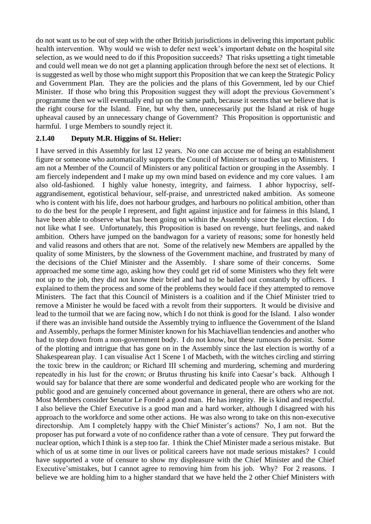do not want us to be out of step with the other British jurisdictions in delivering this important public health intervention. Why would we wish to defer next week's important debate on the hospital site selection, as we would need to do if this Proposition succeeds? That risks upsetting a tight timetable and could well mean we do not get a planning application through before the next set of elections. It is suggested as well by those who might support this Proposition that we can keep the Strategic Policy and Government Plan. They are the policies and the plans of this Government, led by our Chief Minister. If those who bring this Proposition suggest they will adopt the previous Government's programme then we will eventually end up on the same path, because it seems that we believe that is the right course for the Island. Fine, but why then, unnecessarily put the Island at risk of huge upheaval caused by an unnecessary change of Government? This Proposition is opportunistic and harmful. I urge Members to soundly reject it.

### **2.1.40 Deputy M.R. Higgins of St. Helier:**

I have served in this Assembly for last 12 years. No one can accuse me of being an establishment figure or someone who automatically supports the Council of Ministers or toadies up to Ministers. I am not a Member of the Council of Ministers or any political faction or grouping in the Assembly. I am fiercely independent and I make up my own mind based on evidence and my core values. I am also old-fashioned. I highly value honesty, integrity, and fairness. I abhor hypocrisy, selfaggrandisement, egotistical behaviour, self-praise, and unrestricted naked ambition. As someone who is content with his life, does not harbour grudges, and harbours no political ambition, other than to do the best for the people I represent, and fight against injustice and for fairness in this Island, I have been able to observe what has been going on within the Assembly since the last election. I do not like what I see. Unfortunately, this Proposition is based on revenge, hurt feelings, and naked ambition. Others have jumped on the bandwagon for a variety of reasons; some for honestly held and valid reasons and others that are not. Some of the relatively new Members are appalled by the quality of some Ministers, by the slowness of the Government machine, and frustrated by many of the decisions of the Chief Minister and the Assembly. I share some of their concerns. Some approached me some time ago, asking how they could get rid of some Ministers who they felt were not up to the job, they did not know their brief and had to be bailed out constantly by officers. I explained to them the process and some of the problems they would face if they attempted to remove Ministers. The fact that this Council of Ministers is a coalition and if the Chief Minister tried to remove a Minister he would be faced with a revolt from their supporters. It would be divisive and lead to the turmoil that we are facing now, which I do not think is good for the Island. I also wonder if there was an invisible hand outside the Assembly trying to influence the Government of the Island and Assembly, perhaps the former Minister known for his Machiavellian tendencies and another who had to step down from a non-government body. I do not know, but these rumours do persist. Some of the plotting and intrigue that has gone on in the Assembly since the last election is worthy of a Shakespearean play. I can visualise Act 1 Scene 1 of Macbeth, with the witches circling and stirring the toxic brew in the cauldron; or Richard III scheming and murdering, scheming and murdering repeatedly in his lust for the crown; or Brutus thrusting his knife into Caesar's back. Although I would say for balance that there are some wonderful and dedicated people who are working for the public good and are genuinely concerned about governance in general, there are others who are not. Most Members consider Senator Le Fondré a good man. He has integrity. He is kind and respectful. I also believe the Chief Executive is a good man and a hard worker, although I disagreed with his approach to the workforce and some other actions. He was also wrong to take on this non-executive directorship. Am I completely happy with the Chief Minister's actions? No, I am not. But the proposer has put forward a vote of no confidence rather than a vote of censure. They put forward the nuclear option, which I think is a step too far. I think the Chief Minister made a serious mistake. But which of us at some time in our lives or political careers have not made serious mistakes? I could have supported a vote of censure to show my displeasure with the Chief Minister and the Chief Executive'smistakes, but I cannot agree to removing him from his job. Why? For 2 reasons. I believe we are holding him to a higher standard that we have held the 2 other Chief Ministers with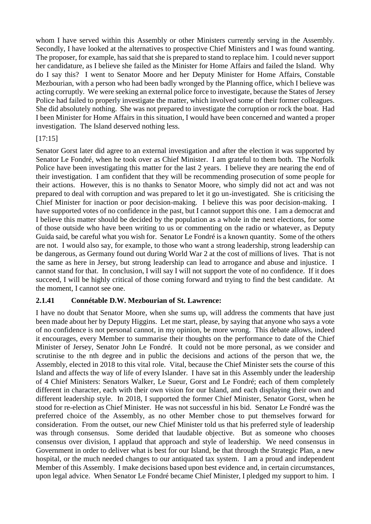whom I have served within this Assembly or other Ministers currently serving in the Assembly. Secondly, I have looked at the alternatives to prospective Chief Ministers and I was found wanting. The proposer, for example, has said that she is prepared to stand to replace him. I could never support her candidature, as I believe she failed as the Minister for Home Affairs and failed the Island. Why do I say this? I went to Senator Moore and her Deputy Minister for Home Affairs, Constable Mezbourian, with a person who had been badly wronged by the Planning office, which I believe was acting corruptly. We were seeking an external police force to investigate, because the States of Jersey Police had failed to properly investigate the matter, which involved some of their former colleagues. She did absolutely nothing. She was not prepared to investigate the corruption or rock the boat. Had I been Minister for Home Affairs in this situation, I would have been concerned and wanted a proper investigation. The Island deserved nothing less.

### [17:15]

Senator Gorst later did agree to an external investigation and after the election it was supported by Senator Le Fondré, when he took over as Chief Minister. I am grateful to them both. The Norfolk Police have been investigating this matter for the last 2 years. I believe they are nearing the end of their investigation. I am confident that they will be recommending prosecution of some people for their actions. However, this is no thanks to Senator Moore, who simply did not act and was not prepared to deal with corruption and was prepared to let it go un-investigated. She is criticising the Chief Minister for inaction or poor decision-making. I believe this was poor decision-making. I have supported votes of no confidence in the past, but I cannot support this one. I am a democrat and I believe this matter should be decided by the population as a whole in the next elections, for some of those outside who have been writing to us or commenting on the radio or whatever, as Deputy Guida said, be careful what you wish for. Senator Le Fondré is a known quantity. Some of the others are not. I would also say, for example, to those who want a strong leadership, strong leadership can be dangerous, as Germany found out during World War 2 at the cost of millions of lives. That is not the same as here in Jersey, but strong leadership can lead to arrogance and abuse and injustice. I cannot stand for that. In conclusion, I will say I will not support the vote of no confidence. If it does succeed, I will be highly critical of those coming forward and trying to find the best candidate. At the moment, I cannot see one.

### **2.1.41 Connétable D.W. Mezbourian of St. Lawrence:**

I have no doubt that Senator Moore, when she sums up, will address the comments that have just been made about her by Deputy Higgins. Let me start, please, by saying that anyone who says a vote of no confidence is not personal cannot, in my opinion, be more wrong. This debate allows, indeed it encourages, every Member to summarise their thoughts on the performance to date of the Chief Minister of Jersey, Senator John Le Fondré. It could not be more personal, as we consider and scrutinise to the nth degree and in public the decisions and actions of the person that we, the Assembly, elected in 2018 to this vital role. Vital, because the Chief Minister sets the course of this Island and affects the way of life of every Islander. I have sat in this Assembly under the leadership of 4 Chief Ministers: Senators Walker, Le Sueur, Gorst and Le Fondré; each of them completely different in character, each with their own vision for our Island, and each displaying their own and different leadership style. In 2018, I supported the former Chief Minister, Senator Gorst, when he stood for re-election as Chief Minister. He was not successful in his bid. Senator Le Fondré was the preferred choice of the Assembly, as no other Member chose to put themselves forward for consideration. From the outset, our new Chief Minister told us that his preferred style of leadership was through consensus. Some derided that laudable objective. But as someone who chooses consensus over division, I applaud that approach and style of leadership. We need consensus in Government in order to deliver what is best for our Island, be that through the Strategic Plan, a new hospital, or the much needed changes to our antiquated tax system. I am a proud and independent Member of this Assembly. I make decisions based upon best evidence and, in certain circumstances, upon legal advice. When Senator Le Fondré became Chief Minister, I pledged my support to him. I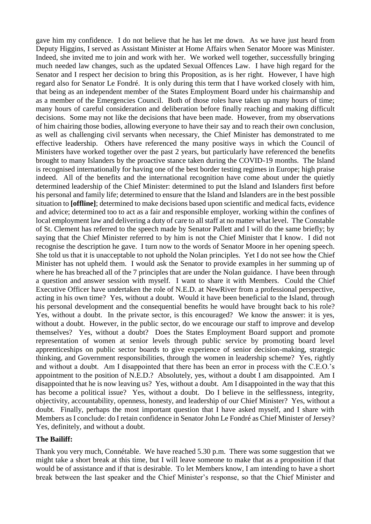gave him my confidence. I do not believe that he has let me down. As we have just heard from Deputy Higgins, I served as Assistant Minister at Home Affairs when Senator Moore was Minister. Indeed, she invited me to join and work with her. We worked well together, successfully bringing much needed law changes, such as the updated Sexual Offences Law. I have high regard for the Senator and I respect her decision to bring this Proposition, as is her right. However, I have high regard also for Senator Le Fondré. It is only during this term that I have worked closely with him, that being as an independent member of the States Employment Board under his chairmanship and as a member of the Emergencies Council. Both of those roles have taken up many hours of time; many hours of careful consideration and deliberation before finally reaching and making difficult decisions. Some may not like the decisions that have been made. However, from my observations of him chairing those bodies, allowing everyone to have their say and to reach their own conclusion, as well as challenging civil servants when necessary, the Chief Minister has demonstrated to me effective leadership. Others have referenced the many positive ways in which the Council of Ministers have worked together over the past 2 years, but particularly have referenced the benefits brought to many Islanders by the proactive stance taken during the COVID-19 months. The Island is recognised internationally for having one of the best border testing regimes in Europe; high praise indeed. All of the benefits and the international recognition have come about under the quietly determined leadership of the Chief Minister: determined to put the Island and Islanders first before his personal and family life; determined to ensure that the Island and Islanders are in the best possible situation to **[offline]**; determined to make decisions based upon scientific and medical facts, evidence and advice; determined too to act as a fair and responsible employer, working within the confines of local employment law and delivering a duty of care to all staff at no matter what level. The Constable of St. Clement has referred to the speech made by Senator Pallett and I will do the same briefly; by saying that the Chief Minister referred to by him is not the Chief Minister that I know. I did not recognise the description he gave. I turn now to the words of Senator Moore in her opening speech. She told us that it is unacceptable to not uphold the Nolan principles. Yet I do not see how the Chief Minister has not upheld them. I would ask the Senator to provide examples in her summing up of where he has breached all of the 7 principles that are under the Nolan guidance. I have been through a question and answer session with myself. I want to share it with Members. Could the Chief Executive Officer have undertaken the role of N.E.D. at NewRiver from a professional perspective, acting in his own time? Yes, without a doubt. Would it have been beneficial to the Island, through his personal development and the consequential benefits he would have brought back to his role? Yes, without a doubt. In the private sector, is this encouraged? We know the answer: it is yes, without a doubt. However, in the public sector, do we encourage our staff to improve and develop themselves? Yes, without a doubt? Does the States Employment Board support and promote representation of women at senior levels through public service by promoting board level apprenticeships on public sector boards to give experience of senior decision-making, strategic thinking, and Government responsibilities, through the women in leadership scheme? Yes, rightly and without a doubt. Am I disappointed that there has been an error in process with the C.E.O.'s appointment to the position of N.E.D.? Absolutely, yes, without a doubt I am disappointed. Am I disappointed that he is now leaving us? Yes, without a doubt. Am I disappointed in the way that this has become a political issue? Yes, without a doubt. Do I believe in the selflessness, integrity, objectivity, accountability, openness, honesty, and leadership of our Chief Minister? Yes, without a doubt. Finally, perhaps the most important question that I have asked myself, and I share with Members as I conclude: do I retain confidence in Senator John Le Fondré as Chief Minister of Jersey? Yes, definitely, and without a doubt.

### **The Bailiff:**

Thank you very much, Connétable. We have reached 5.30 p.m. There was some suggestion that we might take a short break at this time, but I will leave someone to make that as a proposition if that would be of assistance and if that is desirable. To let Members know, I am intending to have a short break between the last speaker and the Chief Minister's response, so that the Chief Minister and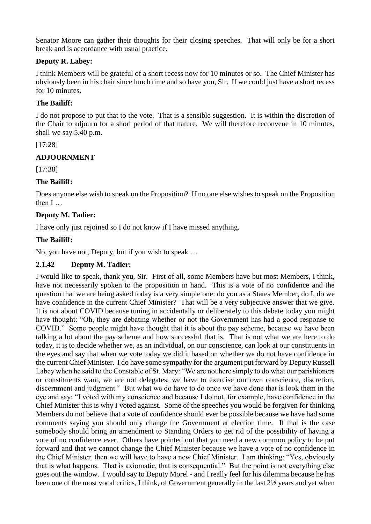Senator Moore can gather their thoughts for their closing speeches. That will only be for a short break and is accordance with usual practice.

## **Deputy R. Labey:**

I think Members will be grateful of a short recess now for 10 minutes or so. The Chief Minister has obviously been in his chair since lunch time and so have you, Sir. If we could just have a short recess for 10 minutes.

### **The Bailiff:**

I do not propose to put that to the vote. That is a sensible suggestion. It is within the discretion of the Chair to adjourn for a short period of that nature. We will therefore reconvene in 10 minutes, shall we say 5.40 p.m.

## [17:28]

# **ADJOURNMENT**

[17:38]

## **The Bailiff:**

Does anyone else wish to speak on the Proposition? If no one else wishes to speak on the Proposition then I …

# **Deputy M. Tadier:**

I have only just rejoined so I do not know if I have missed anything.

## **The Bailiff:**

No, you have not, Deputy, but if you wish to speak …

### **2.1.42 Deputy M. Tadier:**

I would like to speak, thank you, Sir. First of all, some Members have but most Members, I think, have not necessarily spoken to the proposition in hand. This is a vote of no confidence and the question that we are being asked today is a very simple one: do you as a States Member, do I, do we have confidence in the current Chief Minister? That will be a very subjective answer that we give. It is not about COVID because tuning in accidentally or deliberately to this debate today you might have thought: "Oh, they are debating whether or not the Government has had a good response to COVID." Some people might have thought that it is about the pay scheme, because we have been talking a lot about the pay scheme and how successful that is. That is not what we are here to do today, it is to decide whether we, as an individual, on our conscience, can look at our constituents in the eyes and say that when we vote today we did it based on whether we do not have confidence in the current Chief Minister. I do have some sympathy for the argument put forward by Deputy Russell Labey when he said to the Constable of St. Mary: "We are not here simply to do what our parishioners or constituents want, we are not delegates, we have to exercise our own conscience, discretion, discernment and judgment." But what we do have to do once we have done that is look them in the eye and say: "I voted with my conscience and because I do not, for example, have confidence in the Chief Minister this is why I voted against. Some of the speeches you would be forgiven for thinking Members do not believe that a vote of confidence should ever be possible because we have had some comments saying you should only change the Government at election time. If that is the case somebody should bring an amendment to Standing Orders to get rid of the possibility of having a vote of no confidence ever. Others have pointed out that you need a new common policy to be put forward and that we cannot change the Chief Minister because we have a vote of no confidence in the Chief Minister, then we will have to have a new Chief Minister. I am thinking: "Yes, obviously that is what happens. That is axiomatic, that is consequential." But the point is not everything else goes out the window. I would say to Deputy Morel - and I really feel for his dilemma because he has been one of the most vocal critics, I think, of Government generally in the last 2½ years and yet when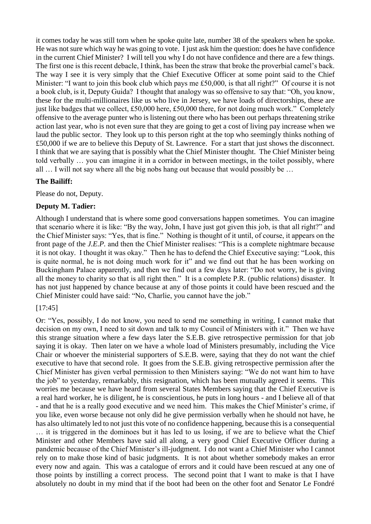it comes today he was still torn when he spoke quite late, number 38 of the speakers when he spoke. He was not sure which way he was going to vote. I just ask him the question: does he have confidence in the current Chief Minister? I will tell you why I do not have confidence and there are a few things. The first one is this recent debacle, I think, has been the straw that broke the proverbial camel's back. The way I see it is very simply that the Chief Executive Officer at some point said to the Chief Minister: "I want to join this book club which pays me £50,000, is that all right?" Of course it is not a book club, is it, Deputy Guida? I thought that analogy was so offensive to say that: "Oh, you know, these for the multi-millionaires like us who live in Jersey, we have loads of directorships, these are just like badges that we collect, £50,000 here, £50,000 there, for not doing much work." Completely offensive to the average punter who is listening out there who has been out perhaps threatening strike action last year, who is not even sure that they are going to get a cost of living pay increase when we laud the public sector. They look up to this person right at the top who seemingly thinks nothing of £50,000 if we are to believe this Deputy of St. Lawrence. For a start that just shows the disconnect. I think that we are saying that is possibly what the Chief Minister thought. The Chief Minister being told verbally … you can imagine it in a corridor in between meetings, in the toilet possibly, where all … I will not say where all the big nobs hang out because that would possibly be …

## **The Bailiff:**

Please do not, Deputy.

## **Deputy M. Tadier:**

Although I understand that is where some good conversations happen sometimes. You can imagine that scenario where it is like: "By the way, John, I have just got given this job, is that all right?" and the Chief Minister says: "Yes, that is fine." Nothing is thought of it until, of course, it appears on the front page of the *J.E.P.* and then the Chief Minister realises: "This is a complete nightmare because it is not okay. I thought it was okay." Then he has to defend the Chief Executive saying: "Look, this is quite normal, he is not doing much work for it" and we find out that he has been working on Buckingham Palace apparently, and then we find out a few days later: "Do not worry, he is giving all the money to charity so that is all right then." It is a complete P.R. (public relations) disaster. It has not just happened by chance because at any of those points it could have been rescued and the Chief Minister could have said: "No, Charlie, you cannot have the job."

## [17:45]

Or: "Yes, possibly, I do not know, you need to send me something in writing, I cannot make that decision on my own, I need to sit down and talk to my Council of Ministers with it." Then we have this strange situation where a few days later the S.E.B. give retrospective permission for that job saying it is okay. Then later on we have a whole load of Ministers presumably, including the Vice Chair or whoever the ministerial supporters of S.E.B. were, saying that they do not want the chief executive to have that second role. It goes from the S.E.B. giving retrospective permission after the Chief Minister has given verbal permission to then Ministers saying: "We do not want him to have the job" to yesterday, remarkably, this resignation, which has been mutually agreed it seems. This worries me because we have heard from several States Members saying that the Chief Executive is a real hard worker, he is diligent, he is conscientious, he puts in long hours - and I believe all of that - and that he is a really good executive and we need him. This makes the Chief Minister's crime, if you like, even worse because not only did he give permission verbally when he should not have, he has also ultimately led to not just this vote of no confidence happening, because this is a consequential … it is triggered in the dominoes but it has led to us losing, if we are to believe what the Chief Minister and other Members have said all along, a very good Chief Executive Officer during a pandemic because of the Chief Minister's ill-judgment. I do not want a Chief Minister who I cannot rely on to make those kind of basic judgments. It is not about whether somebody makes an error every now and again. This was a catalogue of errors and it could have been rescued at any one of those points by instilling a correct process. The second point that I want to make is that I have absolutely no doubt in my mind that if the boot had been on the other foot and Senator Le Fondré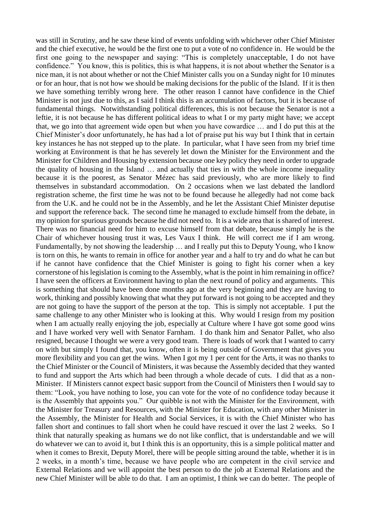was still in Scrutiny, and he saw these kind of events unfolding with whichever other Chief Minister and the chief executive, he would be the first one to put a vote of no confidence in. He would be the first one going to the newspaper and saying: "This is completely unacceptable, I do not have confidence." You know, this is politics, this is what happens, it is not about whether the Senator is a nice man, it is not about whether or not the Chief Minister calls you on a Sunday night for 10 minutes or for an hour, that is not how we should be making decisions for the public of the Island. If it is then we have something terribly wrong here. The other reason I cannot have confidence in the Chief Minister is not just due to this, as I said I think this is an accumulation of factors, but it is because of fundamental things. Notwithstanding political differences, this is not because the Senator is not a leftie, it is not because he has different political ideas to what I or my party might have; we accept that, we go into that agreement wide open but when you have cowardice … and I do put this at the Chief Minister's door unfortunately, he has had a lot of praise put his way but I think that in certain key instances he has not stepped up to the plate. In particular, what I have seen from my brief time working at Environment is that he has severely let down the Minister for the Environment and the Minister for Children and Housing by extension because one key policy they need in order to upgrade the quality of housing in the Island … and actually that ties in with the whole income inequality because it is the poorest, as Senator Mézec has said previously, who are more likely to find themselves in substandard accommodation. On 2 occasions when we last debated the landlord registration scheme, the first time he was not to be found because he allegedly had not come back from the U.K. and he could not be in the Assembly, and he let the Assistant Chief Minister deputise and support the reference back. The second time he managed to exclude himself from the debate, in my opinion for spurious grounds because he did not need to. It is a wide area that is shared of interest. There was no financial need for him to excuse himself from that debate, because simply he is the Chair of whichever housing trust it was, Les Vaux I think. He will correct me if I am wrong. Fundamentally, by not showing the leadership … and I really put this to Deputy Young, who I know is torn on this, he wants to remain in office for another year and a half to try and do what he can but if he cannot have confidence that the Chief Minister is going to fight his corner when a key cornerstone of his legislation is coming to the Assembly, what is the point in him remaining in office? I have seen the officers at Environment having to plan the next round of policy and arguments. This is something that should have been done months ago at the very beginning and they are having to work, thinking and possibly knowing that what they put forward is not going to be accepted and they are not going to have the support of the person at the top. This is simply not acceptable. I put the same challenge to any other Minister who is looking at this. Why would I resign from my position when I am actually really enjoying the job, especially at Culture where I have got some good wins and I have worked very well with Senator Farnham. I do thank him and Senator Pallet, who also resigned, because I thought we were a very good team. There is loads of work that I wanted to carry on with but simply I found that, you know, often it is being outside of Government that gives you more flexibility and you can get the wins. When I got my 1 per cent for the Arts, it was no thanks to the Chief Minister or the Council of Ministers, it was because the Assembly decided that they wanted to fund and support the Arts which had been through a whole decade of cuts. I did that as a non-Minister. If Ministers cannot expect basic support from the Council of Ministers then I would say to them: "Look, you have nothing to lose, you can vote for the vote of no confidence today because it is the Assembly that appoints you." Our quibble is not with the Minister for the Environment, with the Minister for Treasury and Resources, with the Minister for Education, with any other Minister in the Assembly, the Minister for Health and Social Services, it is with the Chief Minister who has fallen short and continues to fall short when he could have rescued it over the last 2 weeks. So I think that naturally speaking as humans we do not like conflict, that is understandable and we will do whatever we can to avoid it, but I think this is an opportunity, this is a simple political matter and when it comes to Brexit, Deputy Morel, there will be people sitting around the table, whether it is in 2 weeks, in a month's time, because we have people who are competent in the civil service and External Relations and we will appoint the best person to do the job at External Relations and the new Chief Minister will be able to do that. I am an optimist, I think we can do better. The people of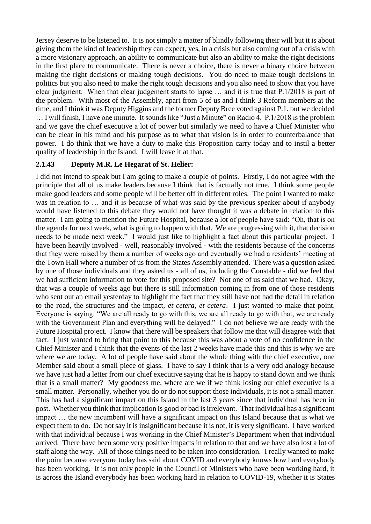Jersey deserve to be listened to. It is not simply a matter of blindly following their will but it is about giving them the kind of leadership they can expect, yes, in a crisis but also coming out of a crisis with a more visionary approach, an ability to communicate but also an ability to make the right decisions in the first place to communicate. There is never a choice, there is never a binary choice between making the right decisions or making tough decisions. You do need to make tough decisions in politics but you also need to make the right tough decisions and you also need to show that you have clear judgment. When that clear judgement starts to lapse … and it is true that P.1/2018 is part of the problem. With most of the Assembly, apart from 5 of us and I think 3 Reform members at the time, and I think it was Deputy Higgins and the former Deputy Bree voted against P.1. but we decided … I will finish, I have one minute. It sounds like "Just a Minute" on Radio 4. P.1/2018 is the problem and we gave the chief executive a lot of power but similarly we need to have a Chief Minister who can be clear in his mind and his purpose as to what that vision is in order to counterbalance that power. I do think that we have a duty to make this Proposition carry today and to instil a better quality of leadership in the Island. I will leave it at that.

### **2.1.43 Deputy M.R. Le Hegarat of St. Helier:**

I did not intend to speak but I am going to make a couple of points. Firstly, I do not agree with the principle that all of us make leaders because I think that is factually not true. I think some people make good leaders and some people will be better off in different roles. The point I wanted to make was in relation to … and it is because of what was said by the previous speaker about if anybody would have listened to this debate they would not have thought it was a debate in relation to this matter. I am going to mention the Future Hospital, because a lot of people have said: "Oh, that is on the agenda for next week, what is going to happen with that. We are progressing with it, that decision needs to be made next week." I would just like to highlight a fact about this particular project. I have been heavily involved - well, reasonably involved - with the residents because of the concerns that they were raised by them a number of weeks ago and eventually we had a residents' meeting at the Town Hall where a number of us from the States Assembly attended. There was a question asked by one of those individuals and they asked us - all of us, including the Constable - did we feel that we had sufficient information to vote for this proposed site? Not one of us said that we had. Okay, that was a couple of weeks ago but there is still information coming in from one of those residents who sent out an email yesterday to highlight the fact that they still have not had the detail in relation to the road, the structures and the impact, *et cetera, et cetera*. I just wanted to make that point. Everyone is saying: "We are all ready to go with this, we are all ready to go with that, we are ready with the Government Plan and everything will be delayed." I do not believe we are ready with the Future Hospital project. I know that there will be speakers that follow me that will disagree with that fact. I just wanted to bring that point to this because this was about a vote of no confidence in the Chief Minister and I think that the events of the last 2 weeks have made this and this is why we are where we are today. A lot of people have said about the whole thing with the chief executive, one Member said about a small piece of glass. I have to say I think that is a very odd analogy because we have just had a letter from our chief executive saying that he is happy to stand down and we think that is a small matter? My goodness me, where are we if we think losing our chief executive is a small matter. Personally, whether you do or do not support those individuals, it is not a small matter. This has had a significant impact on this Island in the last 3 years since that individual has been in post. Whether you think that implication is good or bad is irrelevant. That individual has a significant impact … the new incumbent will have a significant impact on this Island because that is what we expect them to do. Do not say it is insignificant because it is not, it is very significant. I have worked with that individual because I was working in the Chief Minister's Department when that individual arrived. There have been some very positive impacts in relation to that and we have also lost a lot of staff along the way. All of those things need to be taken into consideration. I really wanted to make the point because everyone today has said about COVID and everybody knows how hard everybody has been working. It is not only people in the Council of Ministers who have been working hard, it is across the Island everybody has been working hard in relation to COVID-19, whether it is States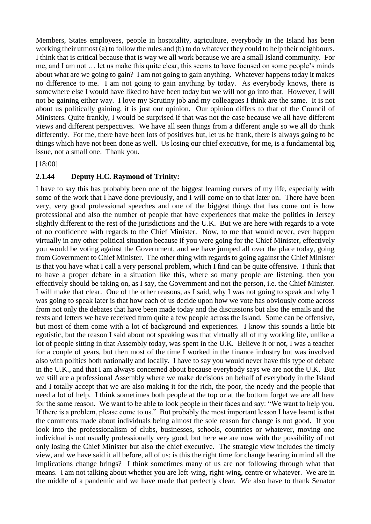Members, States employees, people in hospitality, agriculture, everybody in the Island has been working their utmost (a) to follow the rules and (b) to do whatever they could to help their neighbours. I think that is critical because that is way we all work because we are a small Island community. For me, and I am not … let us make this quite clear, this seems to have focused on some people's minds about what are we going to gain? I am not going to gain anything. Whatever happens today it makes no difference to me. I am not going to gain anything by today. As everybody knows, there is somewhere else I would have liked to have been today but we will not go into that. However, I will not be gaining either way. I love my Scrutiny job and my colleagues I think are the same. It is not about us politically gaining, it is just our opinion. Our opinion differs to that of the Council of Ministers. Quite frankly, I would be surprised if that was not the case because we all have different views and different perspectives. We have all seen things from a different angle so we all do think differently. For me, there have been lots of positives but, let us be frank, there is always going to be things which have not been done as well. Us losing our chief executive, for me, is a fundamental big issue, not a small one. Thank you.

[18:00]

### **2.1.44 Deputy H.C. Raymond of Trinity:**

I have to say this has probably been one of the biggest learning curves of my life, especially with some of the work that I have done previously, and I will come on to that later on. There have been very, very good professional speeches and one of the biggest things that has come out is how professional and also the number of people that have experiences that make the politics in Jersey slightly different to the rest of the jurisdictions and the U.K. But we are here with regards to a vote of no confidence with regards to the Chief Minister. Now, to me that would never, ever happen virtually in any other political situation because if you were going for the Chief Minister, effectively you would be voting against the Government, and we have jumped all over the place today, going from Government to Chief Minister. The other thing with regards to going against the Chief Minister is that you have what I call a very personal problem, which I find can be quite offensive. I think that to have a proper debate in a situation like this, where so many people are listening, then you effectively should be taking on, as I say, the Government and not the person, i.e. the Chief Minister. I will make that clear. One of the other reasons, as I said, why I was not going to speak and why I was going to speak later is that how each of us decide upon how we vote has obviously come across from not only the debates that have been made today and the discussions but also the emails and the texts and letters we have received from quite a few people across the Island. Some can be offensive, but most of them come with a lot of background and experiences. I know this sounds a little bit egotistic, but the reason I said about not speaking was that virtually all of my working life, unlike a lot of people sitting in that Assembly today, was spent in the U.K. Believe it or not, I was a teacher for a couple of years, but then most of the time I worked in the finance industry but was involved also with politics both nationally and locally. I have to say you would never have this type of debate in the U.K., and that I am always concerned about because everybody says we are not the U.K. But we still are a professional Assembly where we make decisions on behalf of everybody in the Island and I totally accept that we are also making it for the rich, the poor, the needy and the people that need a lot of help. I think sometimes both people at the top or at the bottom forget we are all here for the same reason. We want to be able to look people in their faces and say: "We want to help you. If there is a problem, please come to us." But probably the most important lesson I have learnt is that the comments made about individuals being almost the sole reason for change is not good. If you look into the professionalism of clubs, businesses, schools, countries or whatever, moving one individual is not usually professionally very good, but here we are now with the possibility of not only losing the Chief Minister but also the chief executive. The strategic view includes the timely view, and we have said it all before, all of us: is this the right time for change bearing in mind all the implications change brings? I think sometimes many of us are not following through what that means. I am not talking about whether you are left-wing, right-wing, centre or whatever. We are in the middle of a pandemic and we have made that perfectly clear. We also have to thank Senator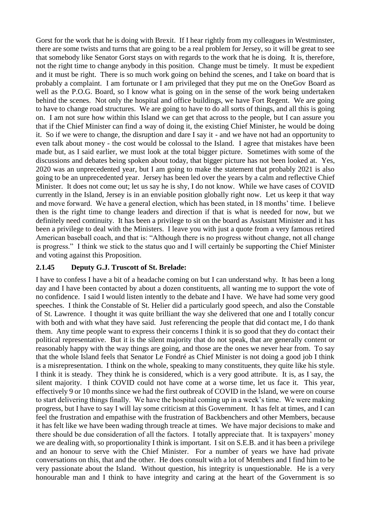Gorst for the work that he is doing with Brexit. If I hear rightly from my colleagues in Westminster, there are some twists and turns that are going to be a real problem for Jersey, so it will be great to see that somebody like Senator Gorst stays on with regards to the work that he is doing. It is, therefore, not the right time to change anybody in this position. Change must be timely. It must be expedient and it must be right. There is so much work going on behind the scenes, and I take on board that is probably a complaint. I am fortunate or I am privileged that they put me on the OneGov Board as well as the P.O.G. Board, so I know what is going on in the sense of the work being undertaken behind the scenes. Not only the hospital and office buildings, we have Fort Regent. We are going to have to change road structures. We are going to have to do all sorts of things, and all this is going on. I am not sure how within this Island we can get that across to the people, but I can assure you that if the Chief Minister can find a way of doing it, the existing Chief Minister, he would be doing it. So if we were to change, the disruption and dare I say it - and we have not had an opportunity to even talk about money - the cost would be colossal to the Island. I agree that mistakes have been made but, as I said earlier, we must look at the total bigger picture. Sometimes with some of the discussions and debates being spoken about today, that bigger picture has not been looked at. Yes, 2020 was an unprecedented year, but I am going to make the statement that probably 2021 is also going to be an unprecedented year. Jersey has been led over the years by a calm and reflective Chief Minister. It does not come out; let us say he is shy, I do not know. While we have cases of COVID currently in the Island, Jersey is in an enviable position globally right now. Let us keep it that way and move forward. We have a general election, which has been stated, in 18 months' time. I believe then is the right time to change leaders and direction if that is what is needed for now, but we definitely need continuity. It has been a privilege to sit on the board as Assistant Minister and it has been a privilege to deal with the Ministers. I leave you with just a quote from a very famous retired American baseball coach, and that is: "Although there is no progress without change, not all change is progress." I think we stick to the status quo and I will certainly be supporting the Chief Minister and voting against this Proposition.

### **2.1.45 Deputy G.J. Truscott of St. Brelade:**

I have to confess I have a bit of a headache coming on but I can understand why. It has been a long day and I have been contacted by about a dozen constituents, all wanting me to support the vote of no confidence. I said I would listen intently to the debate and I have. We have had some very good speeches. I think the Constable of St. Helier did a particularly good speech, and also the Constable of St. Lawrence. I thought it was quite brilliant the way she delivered that one and I totally concur with both and with what they have said. Just referencing the people that did contact me, I do thank them. Any time people want to express their concerns I think it is so good that they do contact their political representative. But it is the silent majority that do not speak, that are generally content or reasonably happy with the way things are going, and those are the ones we never hear from. To say that the whole Island feels that Senator Le Fondré as Chief Minister is not doing a good job I think is a misrepresentation. I think on the whole, speaking to many constituents, they quite like his style. I think it is steady. They think he is considered, which is a very good attribute. It is, as I say, the silent majority. I think COVID could not have come at a worse time, let us face it. This year, effectively 9 or 10 months since we had the first outbreak of COVID in the Island, we were on course to start delivering things finally. We have the hospital coming up in a week's time. We were making progress, but I have to say I will lay some criticism at this Government. It has felt at times, and I can feel the frustration and empathise with the frustration of Backbenchers and other Members, because it has felt like we have been wading through treacle at times. We have major decisions to make and there should be due consideration of all the factors. I totally appreciate that. It is taxpayers' money we are dealing with, so proportionality I think is important. I sit on S.E.B. and it has been a privilege and an honour to serve with the Chief Minister. For a number of years we have had private conversations on this, that and the other. He does consult with a lot of Members and I find him to be very passionate about the Island. Without question, his integrity is unquestionable. He is a very honourable man and I think to have integrity and caring at the heart of the Government is so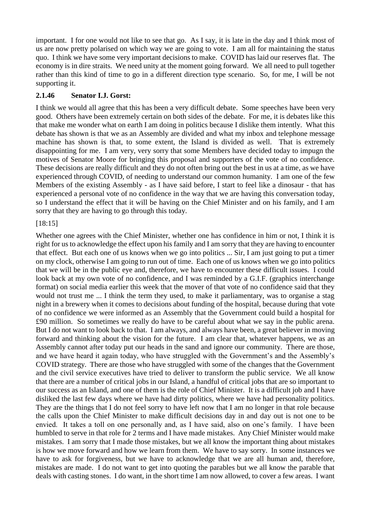important. I for one would not like to see that go. As I say, it is late in the day and I think most of us are now pretty polarised on which way we are going to vote. I am all for maintaining the status quo. I think we have some very important decisions to make. COVID has laid our reserves flat. The economy is in dire straits. We need unity at the moment going forward. We all need to pull together rather than this kind of time to go in a different direction type scenario. So, for me, I will be not supporting it.

## **2.1.46 Senator I.J. Gorst:**

I think we would all agree that this has been a very difficult debate. Some speeches have been very good. Others have been extremely certain on both sides of the debate. For me, it is debates like this that make me wonder what on earth I am doing in politics because I dislike them intently. What this debate has shown is that we as an Assembly are divided and what my inbox and telephone message machine has shown is that, to some extent, the Island is divided as well. That is extremely disappointing for me. I am very, very sorry that some Members have decided today to impugn the motives of Senator Moore for bringing this proposal and supporters of the vote of no confidence. These decisions are really difficult and they do not often bring out the best in us at a time, as we have experienced through COVID, of needing to understand our common humanity. I am one of the few Members of the existing Assembly - as I have said before, I start to feel like a dinosaur - that has experienced a personal vote of no confidence in the way that we are having this conversation today, so I understand the effect that it will be having on the Chief Minister and on his family, and I am sorry that they are having to go through this today.

## [18:15]

Whether one agrees with the Chief Minister, whether one has confidence in him or not, I think it is right for us to acknowledge the effect upon his family and I am sorry that they are having to encounter that effect. But each one of us knows when we go into politics ... Sir, I am just going to put a timer on my clock, otherwise I am going to run out of time. Each one of us knows when we go into politics that we will be in the public eye and, therefore, we have to encounter these difficult issues. I could look back at my own vote of no confidence, and I was reminded by a G.I.F. (graphics interchange format) on social media earlier this week that the mover of that vote of no confidence said that they would not trust me ... I think the term they used, to make it parliamentary, was to organise a stag night in a brewery when it comes to decisions about funding of the hospital, because during that vote of no confidence we were informed as an Assembly that the Government could build a hospital for £90 million. So sometimes we really do have to be careful about what we say in the public arena. But I do not want to look back to that. I am always, and always have been, a great believer in moving forward and thinking about the vision for the future. I am clear that, whatever happens, we as an Assembly cannot after today put our heads in the sand and ignore our community. There are those, and we have heard it again today, who have struggled with the Government's and the Assembly's COVID strategy. There are those who have struggled with some of the changes that the Government and the civil service executives have tried to deliver to transform the public service. We all know that there are a number of critical jobs in our Island, a handful of critical jobs that are so important to our success as an Island, and one of them is the role of Chief Minister. It is a difficult job and I have disliked the last few days where we have had dirty politics, where we have had personality politics. They are the things that I do not feel sorry to have left now that I am no longer in that role because the calls upon the Chief Minister to make difficult decisions day in and day out is not one to be envied. It takes a toll on one personally and, as I have said, also on one's family. I have been humbled to serve in that role for 2 terms and I have made mistakes. Any Chief Minister would make mistakes. I am sorry that I made those mistakes, but we all know the important thing about mistakes is how we move forward and how we learn from them. We have to say sorry. In some instances we have to ask for forgiveness, but we have to acknowledge that we are all human and, therefore, mistakes are made. I do not want to get into quoting the parables but we all know the parable that deals with casting stones. I do want, in the short time I am now allowed, to cover a few areas. I want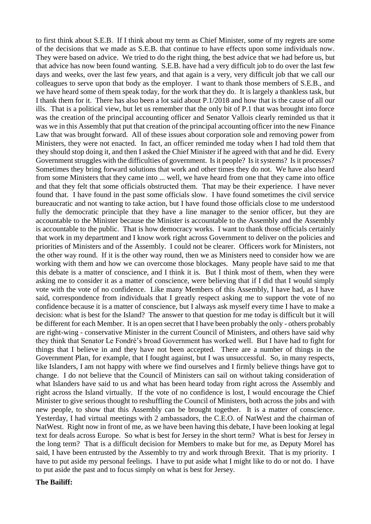to first think about S.E.B. If I think about my term as Chief Minister, some of my regrets are some of the decisions that we made as S.E.B. that continue to have effects upon some individuals now. They were based on advice. We tried to do the right thing, the best advice that we had before us, but that advice has now been found wanting. S.E.B. have had a very difficult job to do over the last few days and weeks, over the last few years, and that again is a very, very difficult job that we call our colleagues to serve upon that body as the employer. I want to thank those members of S.E.B., and we have heard some of them speak today, for the work that they do. It is largely a thankless task, but I thank them for it. There has also been a lot said about P.1/2018 and how that is the cause of all our ills. That is a political view, but let us remember that the only bit of P.1 that was brought into force was the creation of the principal accounting officer and Senator Vallois clearly reminded us that it was we in this Assembly that put that creation of the principal accounting officer into the new Finance Law that was brought forward. All of these issues about corporation sole and removing power from Ministers, they were not enacted. In fact, an officer reminded me today when I had told them that they should stop doing it, and then I asked the Chief Minister if he agreed with that and he did. Every Government struggles with the difficulties of government. Is it people? Is it systems? Is it processes? Sometimes they bring forward solutions that work and other times they do not. We have also heard from some Ministers that they came into ... well, we have heard from one that they came into office and that they felt that some officials obstructed them. That may be their experience. I have never found that. I have found in the past some officials slow. I have found sometimes the civil service bureaucratic and not wanting to take action, but I have found those officials close to me understood fully the democratic principle that they have a line manager to the senior officer, but they are accountable to the Minister because the Minister is accountable to the Assembly and the Assembly is accountable to the public. That is how democracy works. I want to thank those officials certainly that work in my department and I know work right across Government to deliver on the policies and priorities of Ministers and of the Assembly. I could not be clearer. Officers work for Ministers, not the other way round. If it is the other way round, then we as Ministers need to consider how we are working with them and how we can overcome those blockages. Many people have said to me that this debate is a matter of conscience, and I think it is. But I think most of them, when they were asking me to consider it as a matter of conscience, were believing that if I did that I would simply vote with the vote of no confidence. Like many Members of this Assembly, I have had, as I have said, correspondence from individuals that I greatly respect asking me to support the vote of no confidence because it is a matter of conscience, but I always ask myself every time I have to make a decision: what is best for the Island? The answer to that question for me today is difficult but it will be different for each Member. It is an open secret that I have been probably the only - others probably are right-wing - conservative Minister in the current Council of Ministers, and others have said why they think that Senator Le Fondré's broad Government has worked well. But I have had to fight for things that I believe in and they have not been accepted. There are a number of things in the Government Plan, for example, that I fought against, but I was unsuccessful. So, in many respects, like Islanders, I am not happy with where we find ourselves and I firmly believe things have got to change. I do not believe that the Council of Ministers can sail on without taking consideration of what Islanders have said to us and what has been heard today from right across the Assembly and right across the Island virtually. If the vote of no confidence is lost, I would encourage the Chief Minister to give serious thought to reshuffling the Council of Ministers, both across the jobs and with new people, to show that this Assembly can be brought together. It is a matter of conscience. Yesterday, I had virtual meetings with 2 ambassadors, the C.E.O. of NatWest and the chairman of NatWest. Right now in front of me, as we have been having this debate, I have been looking at legal text for deals across Europe. So what is best for Jersey in the short term? What is best for Jersey in the long term? That is a difficult decision for Members to make but for me, as Deputy Morel has said, I have been entrusted by the Assembly to try and work through Brexit. That is my priority. I have to put aside my personal feelings. I have to put aside what I might like to do or not do. I have to put aside the past and to focus simply on what is best for Jersey.

### **The Bailiff:**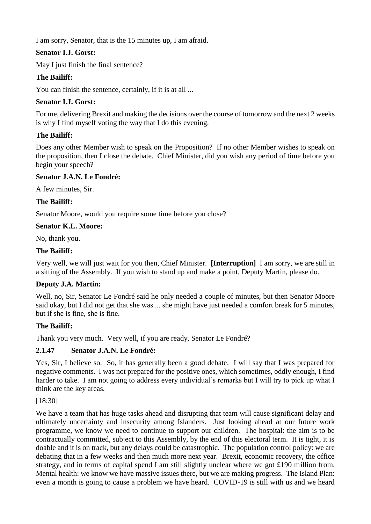I am sorry, Senator, that is the 15 minutes up, I am afraid.

# **Senator I.J. Gorst:**

May I just finish the final sentence?

# **The Bailiff:**

You can finish the sentence, certainly, if it is at all ...

## **Senator I.J. Gorst:**

For me, delivering Brexit and making the decisions over the course of tomorrow and the next 2 weeks is why I find myself voting the way that I do this evening.

# **The Bailiff:**

Does any other Member wish to speak on the Proposition? If no other Member wishes to speak on the proposition, then I close the debate. Chief Minister, did you wish any period of time before you begin your speech?

## **Senator J.A.N. Le Fondré:**

A few minutes, Sir.

## **The Bailiff:**

Senator Moore, would you require some time before you close?

### **Senator K.L. Moore:**

No, thank you.

## **The Bailiff:**

Very well, we will just wait for you then, Chief Minister. **[Interruption]** I am sorry, we are still in a sitting of the Assembly. If you wish to stand up and make a point, Deputy Martin, please do.

## **Deputy J.A. Martin:**

Well, no, Sir, Senator Le Fondré said he only needed a couple of minutes, but then Senator Moore said okay, but I did not get that she was ... she might have just needed a comfort break for 5 minutes, but if she is fine, she is fine.

## **The Bailiff:**

Thank you very much. Very well, if you are ready, Senator Le Fondré?

## **2.1.47 Senator J.A.N. Le Fondré:**

Yes, Sir, I believe so. So, it has generally been a good debate. I will say that I was prepared for negative comments. I was not prepared for the positive ones, which sometimes, oddly enough, I find harder to take. I am not going to address every individual's remarks but I will try to pick up what I think are the key areas.

[18:30]

We have a team that has huge tasks ahead and disrupting that team will cause significant delay and ultimately uncertainty and insecurity among Islanders. Just looking ahead at our future work programme, we know we need to continue to support our children. The hospital: the aim is to be contractually committed, subject to this Assembly, by the end of this electoral term. It is tight, it is doable and it is on track, but any delays could be catastrophic. The population control policy: we are debating that in a few weeks and then much more next year. Brexit, economic recovery, the office strategy, and in terms of capital spend I am still slightly unclear where we got £190 million from. Mental health: we know we have massive issues there, but we are making progress. The Island Plan: even a month is going to cause a problem we have heard. COVID-19 is still with us and we heard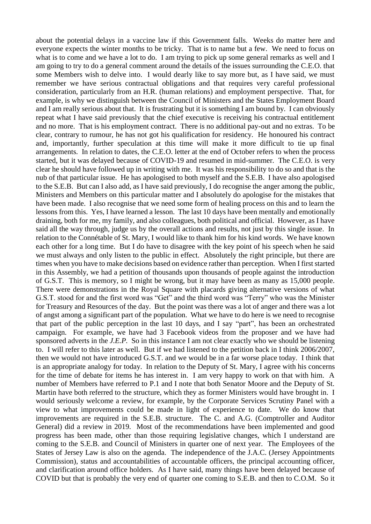about the potential delays in a vaccine law if this Government falls. Weeks do matter here and everyone expects the winter months to be tricky. That is to name but a few. We need to focus on what is to come and we have a lot to do. I am trying to pick up some general remarks as well and I am going to try to do a general comment around the details of the issues surrounding the C.E.O. that some Members wish to delve into. I would dearly like to say more but, as I have said, we must remember we have serious contractual obligations and that requires very careful professional consideration, particularly from an H.R. (human relations) and employment perspective. That, for example, is why we distinguish between the Council of Ministers and the States Employment Board and I am really serious about that. It is frustrating but it is something I am bound by. I can obviously repeat what I have said previously that the chief executive is receiving his contractual entitlement and no more. That is his employment contract. There is no additional pay-out and no extras. To be clear, contrary to rumour, he has not got his qualification for residency. He honoured his contract and, importantly, further speculation at this time will make it more difficult to tie up final arrangements. In relation to dates, the C.E.O. letter at the end of October refers to when the process started, but it was delayed because of COVID-19 and resumed in mid-summer. The C.E.O. is very clear he should have followed up in writing with me. It was his responsibility to do so and that is the nub of that particular issue. He has apologised to both myself and the S.E.B. I have also apologised to the S.E.B. But can I also add, as I have said previously, I do recognise the anger among the public, Ministers and Members on this particular matter and I absolutely do apologise for the mistakes that have been made. I also recognise that we need some form of healing process on this and to learn the lessons from this. Yes, I have learned a lesson. The last 10 days have been mentally and emotionally draining, both for me, my family, and also colleagues, both political and official. However, as I have said all the way through, judge us by the overall actions and results, not just by this single issue. In relation to the Connétable of St. Mary, I would like to thank him for his kind words. We have known each other for a long time. But I do have to disagree with the key point of his speech when he said we must always and only listen to the public in effect. Absolutely the right principle, but there are times when you have to make decisions based on evidence rather than perception. When I first started in this Assembly, we had a petition of thousands upon thousands of people against the introduction of G.S.T. This is memory, so I might be wrong, but it may have been as many as 15,000 people. There were demonstrations in the Royal Square with placards giving alternative versions of what G.S.T. stood for and the first word was "Get" and the third word was "Terry" who was the Minister for Treasury and Resources of the day. But the point was there was a lot of anger and there was a lot of angst among a significant part of the population. What we have to do here is we need to recognise that part of the public perception in the last 10 days, and I say "part", has been an orchestrated campaign. For example, we have had 3 Facebook videos from the proposer and we have had sponsored adverts in the *J.E.P.* So in this instance I am not clear exactly who we should be listening to. I will refer to this later as well. But if we had listened to the petition back in I think 2006/2007, then we would not have introduced G.S.T. and we would be in a far worse place today. I think that is an appropriate analogy for today. In relation to the Deputy of St. Mary, I agree with his concerns for the time of debate for items he has interest in. I am very happy to work on that with him. A number of Members have referred to P.1 and I note that both Senator Moore and the Deputy of St. Martin have both referred to the structure, which they as former Ministers would have brought in. I would seriously welcome a review, for example, by the Corporate Services Scrutiny Panel with a view to what improvements could be made in light of experience to date. We do know that improvements are required in the S.E.B. structure. The C. and A.G. (Comptroller and Auditor General) did a review in 2019. Most of the recommendations have been implemented and good progress has been made, other than those requiring legislative changes, which I understand are coming to the S.E.B. and Council of Ministers in quarter one of next year. The Employees of the States of Jersey Law is also on the agenda. The independence of the J.A.C. (Jersey Appointments Commission), status and accountabilities of accountable officers, the principal accounting officer, and clarification around office holders. As I have said, many things have been delayed because of COVID but that is probably the very end of quarter one coming to S.E.B. and then to C.O.M. So it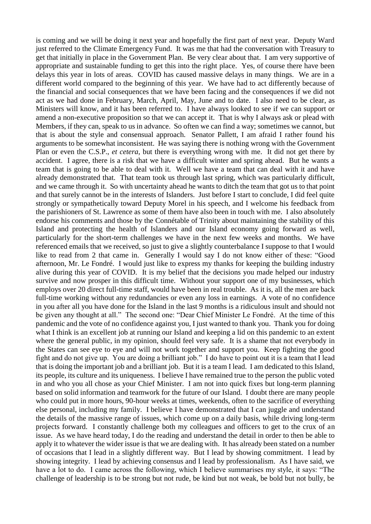is coming and we will be doing it next year and hopefully the first part of next year. Deputy Ward just referred to the Climate Emergency Fund. It was me that had the conversation with Treasury to get that initially in place in the Government Plan. Be very clear about that. I am very supportive of appropriate and sustainable funding to get this into the right place. Yes, of course there have been delays this year in lots of areas. COVID has caused massive delays in many things. We are in a different world compared to the beginning of this year. We have had to act differently because of the financial and social consequences that we have been facing and the consequences if we did not act as we had done in February, March, April, May, June and to date. I also need to be clear, as Ministers will know, and it has been referred to. I have always looked to see if we can support or amend a non-executive proposition so that we can accept it. That is why I always ask or plead with Members, if they can, speak to us in advance. So often we can find a way; sometimes we cannot, but that is about the style and consensual approach. Senator Pallett, I am afraid I rather found his arguments to be somewhat inconsistent. He was saying there is nothing wrong with the Government Plan or even the C.S.P., *et cetera*, but there is everything wrong with me. It did not get there by accident. I agree, there is a risk that we have a difficult winter and spring ahead. But he wants a team that is going to be able to deal with it. Well we have a team that can deal with it and have already demonstrated that. That team took us through last spring, which was particularly difficult, and we came through it. So with uncertainty ahead he wants to ditch the team that got us to that point and that surely cannot be in the interests of Islanders. Just before I start to conclude, I did feel quite strongly or sympathetically toward Deputy Morel in his speech, and I welcome his feedback from the parishioners of St. Lawrence as some of them have also been in touch with me. I also absolutely endorse his comments and those by the Connétable of Trinity about maintaining the stability of this Island and protecting the health of Islanders and our Island economy going forward as well, particularly for the short-term challenges we have in the next few weeks and months. We have referenced emails that we received, so just to give a slightly counterbalance I suppose to that I would like to read from 2 that came in. Generally I would say I do not know either of these: "Good afternoon, Mr. Le Fondré. I would just like to express my thanks for keeping the building industry alive during this year of COVID. It is my belief that the decisions you made helped our industry survive and now prosper in this difficult time. Without your support one of my businesses, which employs over 20 direct full-time staff, would have been in real trouble. As it is, all the men are back full-time working without any redundancies or even any loss in earnings. A vote of no confidence in you after all you have done for the Island in the last 9 months is a ridiculous insult and should not be given any thought at all." The second one: "Dear Chief Minister Le Fondré. At the time of this pandemic and the vote of no confidence against you, I just wanted to thank you. Thank you for doing what I think is an excellent job at running our Island and keeping a lid on this pandemic to an extent where the general public, in my opinion, should feel very safe. It is a shame that not everybody in the States can see eye to eye and will not work together and support you. Keep fighting the good fight and do not give up. You are doing a brilliant job." I do have to point out it is a team that I lead that is doing the important job and a brilliant job. But it is a team I lead. I am dedicated to this Island, its people, its culture and its uniqueness. I believe I have remained true to the person the public voted in and who you all chose as your Chief Minister. I am not into quick fixes but long-term planning based on solid information and teamwork for the future of our Island. I doubt there are many people who could put in more hours, 90-hour weeks at times, weekends, often to the sacrifice of everything else personal, including my family. I believe I have demonstrated that I can juggle and understand the details of the massive range of issues, which come up on a daily basis, while driving long-term projects forward. I constantly challenge both my colleagues and officers to get to the crux of an issue. As we have heard today, I do the reading and understand the detail in order to then be able to apply it to whatever the wider issue is that we are dealing with. It has already been stated on a number of occasions that I lead in a slightly different way. But I lead by showing commitment. I lead by showing integrity. I lead by achieving consensus and I lead by professionalism. As I have said, we have a lot to do. I came across the following, which I believe summarises my style, it says: "The challenge of leadership is to be strong but not rude, be kind but not weak, be bold but not bully, be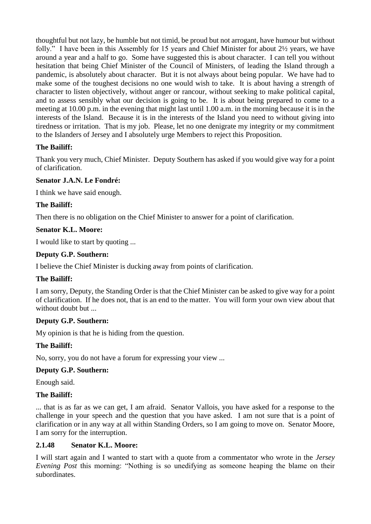thoughtful but not lazy, be humble but not timid, be proud but not arrogant, have humour but without folly." I have been in this Assembly for 15 years and Chief Minister for about 2½ years, we have around a year and a half to go. Some have suggested this is about character. I can tell you without hesitation that being Chief Minister of the Council of Ministers, of leading the Island through a pandemic, is absolutely about character. But it is not always about being popular. We have had to make some of the toughest decisions no one would wish to take. It is about having a strength of character to listen objectively, without anger or rancour, without seeking to make political capital, and to assess sensibly what our decision is going to be. It is about being prepared to come to a meeting at 10.00 p.m. in the evening that might last until 1.00 a.m. in the morning because it is in the interests of the Island. Because it is in the interests of the Island you need to without giving into tiredness or irritation. That is my job. Please, let no one denigrate my integrity or my commitment to the Islanders of Jersey and I absolutely urge Members to reject this Proposition.

# **The Bailiff:**

Thank you very much, Chief Minister. Deputy Southern has asked if you would give way for a point of clarification.

## **Senator J.A.N. Le Fondré:**

I think we have said enough.

## **The Bailiff:**

Then there is no obligation on the Chief Minister to answer for a point of clarification.

## **Senator K.L. Moore:**

I would like to start by quoting ...

## **Deputy G.P. Southern:**

I believe the Chief Minister is ducking away from points of clarification.

## **The Bailiff:**

I am sorry, Deputy, the Standing Order is that the Chief Minister can be asked to give way for a point of clarification. If he does not, that is an end to the matter. You will form your own view about that without doubt but ...

## **Deputy G.P. Southern:**

My opinion is that he is hiding from the question.

## **The Bailiff:**

No, sorry, you do not have a forum for expressing your view ...

## **Deputy G.P. Southern:**

Enough said.

## **The Bailiff:**

... that is as far as we can get, I am afraid. Senator Vallois, you have asked for a response to the challenge in your speech and the question that you have asked. I am not sure that is a point of clarification or in any way at all within Standing Orders, so I am going to move on. Senator Moore, I am sorry for the interruption.

## **2.1.48 Senator K.L. Moore:**

I will start again and I wanted to start with a quote from a commentator who wrote in the *Jersey Evening Post* this morning: "Nothing is so unedifying as someone heaping the blame on their subordinates.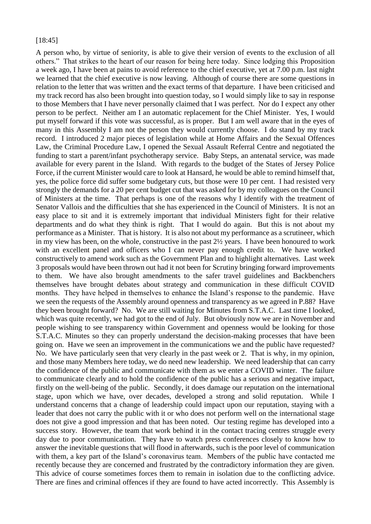#### [18:45]

A person who, by virtue of seniority, is able to give their version of events to the exclusion of all others." That strikes to the heart of our reason for being here today. Since lodging this Proposition a week ago, I have been at pains to avoid reference to the chief executive, yet at 7.00 p.m. last night we learned that the chief executive is now leaving. Although of course there are some questions in relation to the letter that was written and the exact terms of that departure. I have been criticised and my track record has also been brought into question today, so I would simply like to say in response to those Members that I have never personally claimed that I was perfect. Nor do I expect any other person to be perfect. Neither am I an automatic replacement for the Chief Minister. Yes, I would put myself forward if this vote was successful, as is proper. But I am well aware that in the eyes of many in this Assembly I am not the person they would currently choose. I do stand by my track record. I introduced 2 major pieces of legislation while at Home Affairs and the Sexual Offences Law, the Criminal Procedure Law, I opened the Sexual Assault Referral Centre and negotiated the funding to start a parent/infant psychotherapy service. Baby Steps, an antenatal service, was made available for every parent in the Island. With regards to the budget of the States of Jersey Police Force, if the current Minister would care to look at Hansard, he would be able to remind himself that, yes, the police force did suffer some budgetary cuts, but those were 10 per cent. I had resisted very strongly the demands for a 20 per cent budget cut that was asked for by my colleagues on the Council of Ministers at the time. That perhaps is one of the reasons why I identify with the treatment of Senator Vallois and the difficulties that she has experienced in the Council of Ministers. It is not an easy place to sit and it is extremely important that individual Ministers fight for their relative departments and do what they think is right. That I would do again. But this is not about my performance as a Minister. That is history. It is also not about my performance as a scrutineer, which in my view has been, on the whole, constructive in the past 2½ years. I have been honoured to work with an excellent panel and officers who I can never pay enough credit to. We have worked constructively to amend work such as the Government Plan and to highlight alternatives. Last week 3 proposals would have been thrown out had it not been for Scrutiny bringing forward improvements to them. We have also brought amendments to the safer travel guidelines and Backbenchers themselves have brought debates about strategy and communication in these difficult COVID months. They have helped in themselves to enhance the Island's response to the pandemic. Have we seen the requests of the Assembly around openness and transparency as we agreed in P.88? Have they been brought forward? No. We are still waiting for Minutes from S.T.A.C. Last time I looked, which was quite recently, we had got to the end of July. But obviously now we are in November and people wishing to see transparency within Government and openness would be looking for those S.T.A.C. Minutes so they can properly understand the decision-making processes that have been going on. Have we seen an improvement in the communications we and the public have requested? No. We have particularly seen that very clearly in the past week or 2. That is why, in my opinion, and those many Members here today, we do need new leadership. We need leadership that can carry the confidence of the public and communicate with them as we enter a COVID winter. The failure to communicate clearly and to hold the confidence of the public has a serious and negative impact, firstly on the well-being of the public. Secondly, it does damage our reputation on the international stage, upon which we have, over decades, developed a strong and solid reputation. While I understand concerns that a change of leadership could impact upon our reputation, staying with a leader that does not carry the public with it or who does not perform well on the international stage does not give a good impression and that has been noted. Our testing regime has developed into a success story. However, the team that work behind it in the contact tracing centres struggle every day due to poor communication. They have to watch press conferences closely to know how to answer the inevitable questions that will flood in afterwards, such is the poor level of communication with them, a key part of the Island's coronavirus team. Members of the public have contacted me recently because they are concerned and frustrated by the contradictory information they are given. This advice of course sometimes forces them to remain in isolation due to the conflicting advice. There are fines and criminal offences if they are found to have acted incorrectly. This Assembly is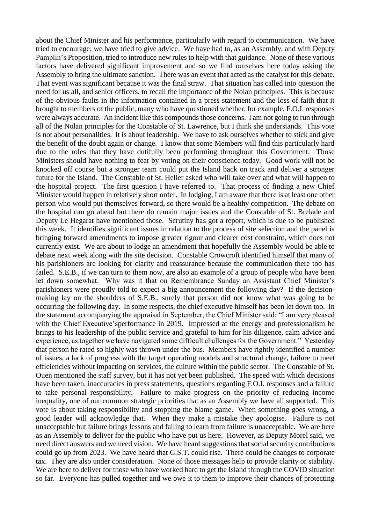about the Chief Minister and his performance, particularly with regard to communication. We have tried to encourage; we have tried to give advice. We have had to, as an Assembly, and with Deputy Pamplin's Proposition, tried to introduce new rules to help with that guidance. None of these various factors have delivered significant improvement and so we find ourselves here today asking the Assembly to bring the ultimate sanction. There was an event that acted as the catalyst for this debate. That event was significant because it was the final straw. That situation has called into question the need for us all, and senior officers, to recall the importance of the Nolan principles. This is because of the obvious faults in the information contained in a press statement and the loss of faith that it brought to members of the public, many who have questioned whether, for example, F.O.I. responses were always accurate. An incident like this compounds those concerns. I am not going to run through all of the Nolan principles for the Constable of St. Lawrence, but I think she understands. This vote is not about personalities. It is about leadership. We have to ask ourselves whether to stick and give the benefit of the doubt again or change. I know that some Members will find this particularly hard due to the roles that they have dutifully been performing throughout this Government. Those Ministers should have nothing to fear by voting on their conscience today. Good work will not be knocked off course but a stronger team could put the Island back on track and deliver a stronger future for the Island. The Constable of St. Helier asked who will take over and what will happen to the hospital project. The first question I have referred to. That process of finding a new Chief Minister would happen in relatively short order. In lodging, I am aware that there is at least one other person who would put themselves forward, so there would be a healthy competition. The debate on the hospital can go ahead but there do remain major issues and the Constable of St. Brelade and Deputy Le Hegarat have mentioned those. Scrutiny has got a report, which is due to be published this week. It identifies significant issues in relation to the process of site selection and the panel is bringing forward amendments to impose greater rigour and clearer cost constraint, which does not currently exist. We are about to lodge an amendment that hopefully the Assembly would be able to debate next week along with the site decision. Constable Crowcroft identified himself that many of his parishioners are looking for clarity and reassurance because the communication there too has failed. S.E.B., if we can turn to them now, are also an example of a group of people who have been let down somewhat. Why was it that on Remembrance Sunday an Assistant Chief Minister's parishioners were proudly told to expect a big announcement the following day? If the decisionmaking lay on the shoulders of S.E.B., surely that person did not know what was going to be occurring the following day. In some respects, the chief executive himself has been let down too. In the statement accompanying the appraisal in September, the Chief Minister said: "I am very pleased with the Chief Executive'sperformance in 2019. Impressed at the energy and professionalism he brings to his leadership of the public service and grateful to him for his diligence, calm advice and experience, as together we have navigated some difficult challenges for the Government." Yesterday that person he rated so highly was thrown under the bus. Members have rightly identified a number of issues, a lack of progress with the target operating models and structural change, failure to meet efficiencies without impacting on services, the culture within the public sector. The Constable of St. Ouen mentioned the staff survey, but it has not yet been published. The speed with which decisions have been taken, inaccuracies in press statements, questions regarding F.O.I. responses and a failure to take personal responsibility. Failure to make progress on the priority of reducing income inequality, one of our common strategic priorities that as an Assembly we have all supported. This vote is about taking responsibility and stopping the blame game. When something goes wrong, a good leader will acknowledge that. When they make a mistake they apologise. Failure is not unacceptable but failure brings lessons and failing to learn from failure is unacceptable. We are here as an Assembly to deliver for the public who have put us here. However, as Deputy Morel said, we need direct answers and we need vision. We have heard suggestions that social security contributions could go up from 2023. We have heard that G.S.T. could rise. There could be changes to corporate tax. They are also under consideration. None of those messages help to provide clarity or stability. We are here to deliver for those who have worked hard to get the Island through the COVID situation so far. Everyone has pulled together and we owe it to them to improve their chances of protecting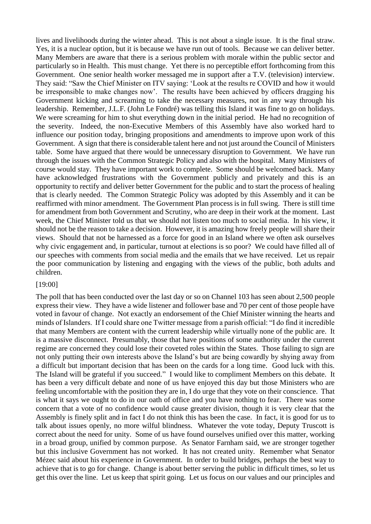lives and livelihoods during the winter ahead. This is not about a single issue. It is the final straw. Yes, it is a nuclear option, but it is because we have run out of tools. Because we can deliver better. Many Members are aware that there is a serious problem with morale within the public sector and particularly so in Health. This must change. Yet there is no perceptible effort forthcoming from this Government. One senior health worker messaged me in support after a T.V. (television) interview. They said: "Saw the Chief Minister on ITV saying: 'Look at the results re COVID and how it would be irresponsible to make changes now'. The results have been achieved by officers dragging his Government kicking and screaming to take the necessary measures, not in any way through his leadership. Remember, J.L.F. (John Le Fondré) was telling this Island it was fine to go on holidays. We were screaming for him to shut everything down in the initial period. He had no recognition of the severity. Indeed, the non-Executive Members of this Assembly have also worked hard to influence our position today, bringing propositions and amendments to improve upon work of this Government. A sign that there is considerable talent here and not just around the Council of Ministers table. Some have argued that there would be unnecessary disruption to Government. We have run through the issues with the Common Strategic Policy and also with the hospital. Many Ministers of course would stay. They have important work to complete. Some should be welcomed back. Many have acknowledged frustrations with the Government publicly and privately and this is an opportunity to rectify and deliver better Government for the public and to start the process of healing that is clearly needed. The Common Strategic Policy was adopted by this Assembly and it can be reaffirmed with minor amendment. The Government Plan process is in full swing. There is still time for amendment from both Government and Scrutiny, who are deep in their work at the moment. Last week, the Chief Minister told us that we should not listen too much to social media. In his view, it should not be the reason to take a decision. However, it is amazing how freely people will share their views. Should that not be harnessed as a force for good in an Island where we often ask ourselves why civic engagement and, in particular, turnout at elections is so poor? We could have filled all of our speeches with comments from social media and the emails that we have received. Let us repair the poor communication by listening and engaging with the views of the public, both adults and children.

#### [19:00]

The poll that has been conducted over the last day or so on Channel 103 has seen about 2,500 people express their view. They have a wide listener and follower base and 70 per cent of those people have voted in favour of change. Not exactly an endorsement of the Chief Minister winning the hearts and minds of Islanders. If I could share one Twitter message from a parish official: "I do find it incredible that many Members are content with the current leadership while virtually none of the public are. It is a massive disconnect. Presumably, those that have positions of some authority under the current regime are concerned they could lose their coveted roles within the States. Those failing to sign are not only putting their own interests above the Island's but are being cowardly by shying away from a difficult but important decision that has been on the cards for a long time. Good luck with this. The Island will be grateful if you succeed." I would like to compliment Members on this debate. It has been a very difficult debate and none of us have enjoyed this day but those Ministers who are feeling uncomfortable with the position they are in, I do urge that they vote on their conscience. That is what it says we ought to do in our oath of office and you have nothing to fear. There was some concern that a vote of no confidence would cause greater division, though it is very clear that the Assembly is finely split and in fact I do not think this has been the case. In fact, it is good for us to talk about issues openly, no more wilful blindness. Whatever the vote today, Deputy Truscott is correct about the need for unity. Some of us have found ourselves unified over this matter, working in a broad group, unified by common purpose. As Senator Farnham said, we are stronger together but this inclusive Government has not worked. It has not created unity. Remember what Senator Mézec said about his experience in Government. In order to build bridges, perhaps the best way to achieve that is to go for change. Change is about better serving the public in difficult times, so let us get this over the line. Let us keep that spirit going. Let us focus on our values and our principles and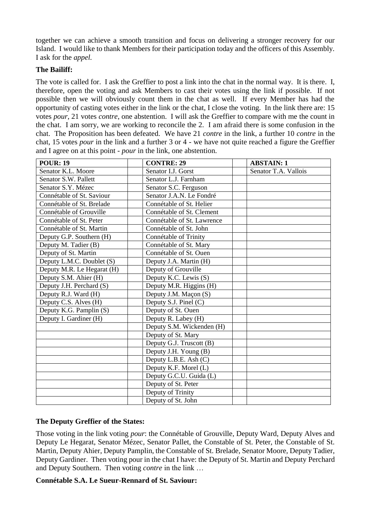together we can achieve a smooth transition and focus on delivering a stronger recovery for our Island. I would like to thank Members for their participation today and the officers of this Assembly. I ask for the *appel.*

## **The Bailiff:**

The vote is called for. I ask the Greffier to post a link into the chat in the normal way. It is there. I, therefore, open the voting and ask Members to cast their votes using the link if possible. If not possible then we will obviously count them in the chat as well. If every Member has had the opportunity of casting votes either in the link or the chat, I close the voting. In the link there are: 15 votes *pour*, 21 votes *contre*, one abstention. I will ask the Greffier to compare with me the count in the chat. I am sorry, we are working to reconcile the 2. I am afraid there is some confusion in the chat. The Proposition has been defeated. We have 21 *contre* in the link, a further 10 *contre* in the chat, 15 votes *pour* in the link and a further 3 or 4 - we have not quite reached a figure the Greffier and I agree on at this point - *pour* in the link, one abstention.

| <b>POUR: 19</b>            | <b>CONTRE: 29</b>          | <b>ABSTAIN: 1</b>    |
|----------------------------|----------------------------|----------------------|
| Senator K.L. Moore         | Senator I.J. Gorst         | Senator T.A. Vallois |
| Senator S.W. Pallett       | Senator L.J. Farnham       |                      |
| Senator S.Y. Mézec         | Senator S.C. Ferguson      |                      |
| Connétable of St. Saviour  | Senator J.A.N. Le Fondré   |                      |
| Connétable of St. Brelade  | Connétable of St. Helier   |                      |
| Connétable of Grouville    | Connétable of St. Clement  |                      |
| Connétable of St. Peter    | Connétable of St. Lawrence |                      |
| Connétable of St. Martin   | Connétable of St. John     |                      |
| Deputy G.P. Southern (H)   | Connétable of Trinity      |                      |
| Deputy M. Tadier (B)       | Connétable of St. Mary     |                      |
| Deputy of St. Martin       | Connétable of St. Ouen     |                      |
| Deputy L.M.C. Doublet (S)  | Deputy J.A. Martin (H)     |                      |
| Deputy M.R. Le Hegarat (H) | Deputy of Grouville        |                      |
| Deputy S.M. Ahier (H)      | Deputy K.C. Lewis (S)      |                      |
| Deputy J.H. Perchard (S)   | Deputy M.R. Higgins (H)    |                      |
| Deputy R.J. Ward (H)       | Deputy J.M. Maçon (S)      |                      |
| Deputy C.S. Alves (H)      | Deputy S.J. Pinel (C)      |                      |
| Deputy K.G. Pamplin $(S)$  | Deputy of St. Ouen         |                      |
| Deputy I. Gardiner (H)     | Deputy R. Labey (H)        |                      |
|                            | Deputy S.M. Wickenden (H)  |                      |
|                            | Deputy of St. Mary         |                      |
|                            | Deputy G.J. Truscott (B)   |                      |
|                            | Deputy J.H. Young (B)      |                      |
|                            | Deputy L.B.E. Ash (C)      |                      |
|                            | Deputy K.F. Morel (L)      |                      |
|                            | Deputy G.C.U. Guida (L)    |                      |
|                            | Deputy of St. Peter        |                      |
|                            | Deputy of Trinity          |                      |
|                            | Deputy of St. John         |                      |

## **The Deputy Greffier of the States:**

Those voting in the link voting *pour*: the Connétable of Grouville, Deputy Ward, Deputy Alves and Deputy Le Hegarat, Senator Mézec, Senator Pallet, the Constable of St. Peter, the Constable of St. Martin, Deputy Ahier, Deputy Pamplin, the Constable of St. Brelade, Senator Moore, Deputy Tadier, Deputy Gardiner. Then voting pour in the chat I have: the Deputy of St. Martin and Deputy Perchard and Deputy Southern. Then voting *contre* in the link …

## **Connétable S.A. Le Sueur-Rennard of St. Saviour:**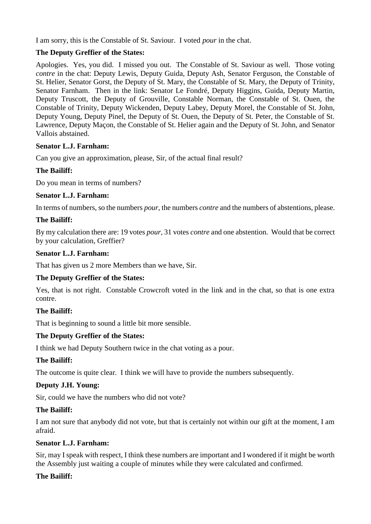I am sorry, this is the Constable of St. Saviour. I voted *pour* in the chat.

## **The Deputy Greffier of the States:**

Apologies. Yes, you did. I missed you out. The Constable of St. Saviour as well. Those voting *contre* in the chat: Deputy Lewis, Deputy Guida, Deputy Ash, Senator Ferguson, the Constable of St. Helier, Senator Gorst, the Deputy of St. Mary, the Constable of St. Mary, the Deputy of Trinity, Senator Farnham. Then in the link: Senator Le Fondré, Deputy Higgins, Guida, Deputy Martin, Deputy Truscott, the Deputy of Grouville, Constable Norman, the Constable of St. Ouen, the Constable of Trinity, Deputy Wickenden, Deputy Labey, Deputy Morel, the Constable of St. John, Deputy Young, Deputy Pinel, the Deputy of St. Ouen, the Deputy of St. Peter, the Constable of St. Lawrence, Deputy Maçon, the Constable of St. Helier again and the Deputy of St. John, and Senator Vallois abstained.

## **Senator L.J. Farnham:**

Can you give an approximation, please, Sir, of the actual final result?

# **The Bailiff:**

Do you mean in terms of numbers?

## **Senator L.J. Farnham:**

In terms of numbers, so the numbers *pour*, the numbers *contre* and the numbers of abstentions, please.

## **The Bailiff:**

By my calculation there are: 19 votes *pour,* 31 votes *contre* and one abstention. Would that be correct by your calculation, Greffier?

## **Senator L.J. Farnham:**

That has given us 2 more Members than we have, Sir.

## **The Deputy Greffier of the States:**

Yes, that is not right. Constable Crowcroft voted in the link and in the chat, so that is one extra contre.

# **The Bailiff:**

That is beginning to sound a little bit more sensible.

## **The Deputy Greffier of the States:**

I think we had Deputy Southern twice in the chat voting as a pour.

## **The Bailiff:**

The outcome is quite clear. I think we will have to provide the numbers subsequently.

# **Deputy J.H. Young:**

Sir, could we have the numbers who did not vote?

## **The Bailiff:**

I am not sure that anybody did not vote, but that is certainly not within our gift at the moment, I am afraid.

## **Senator L.J. Farnham:**

Sir, may I speak with respect, I think these numbers are important and I wondered if it might be worth the Assembly just waiting a couple of minutes while they were calculated and confirmed.

# **The Bailiff:**